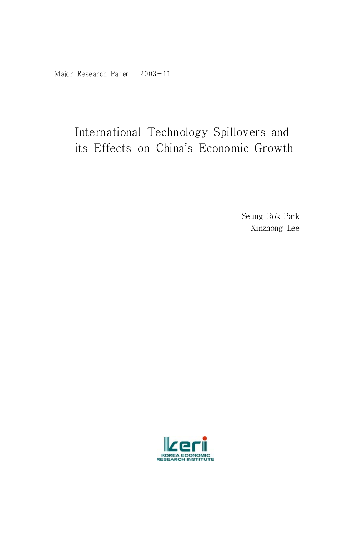# International Technology Spillovers and its Effects on China's Economic Growth

Seung Rok Park Xinzhong Lee

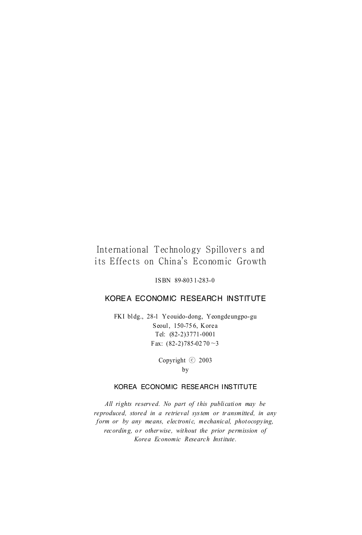#### International Technology Spillovers and its Effects on China's Economic Growth

ISBN 89-803 1-283-0

#### KOREA ECONOMIC RESEARCH INSTITUTE

FKI bldg., 28-1 Yeouido-dong, Yeongdeungpo-gu Seoul, 150-75 6, Korea Tel: (82-2)3771-0001 Fax:  $(82-2)785-0270-3$ 

> Copyright ⓒ 2003 by

#### KOREA ECONOMIC RESEARCH INSTITUTE

All rights reserved. No part of this publication may be *reproduced, stored in a retrieval sys tem or tr ansmitted, in any form or by any means, electronic, mechanical, photocopying, recording, or otherwise, without the prior permission of Korea Economic Research Inst itute.*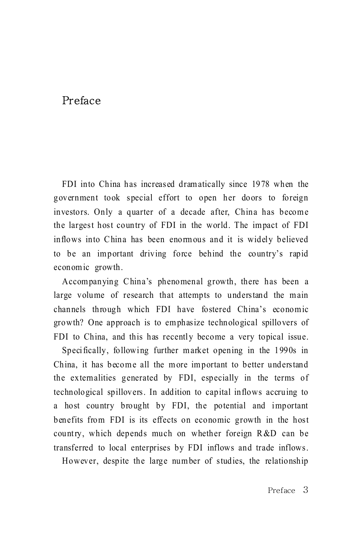### Preface

FDI into China has increased dram atically since 1978 when the government took special effort to open her doors to foreign investors. Only a quarter of a decade after, China has become the largest host country of FDI in the world. The im pact of FDI inflows into China has been enormous and it is widely believed to be an im portant driving force behind the country's rapid economic growth.

Accom panying C hina's phenomenal growth, there has been a large volume of research that attempts to understand the main channels through which FDI have fostered China's econom ic growth? One approach is to em phasize technological spillovers of FDI to China, and this has recently become a very topical issue.

Specifically, following further market opening in the 1990s in China, it has become all the more important to better understand the externalities generated by FDI, especially in the terms of technological spillovers. In addition to capital inflows accruing to a host country brought by FDI, the potential and important benefits from FDI is its effects on economic growth in the host country, which depends much on whether foreign R &D can be transferred to local enterprises by FDI inflows and trade inflows.

However, despite the large num ber of studies, the relationship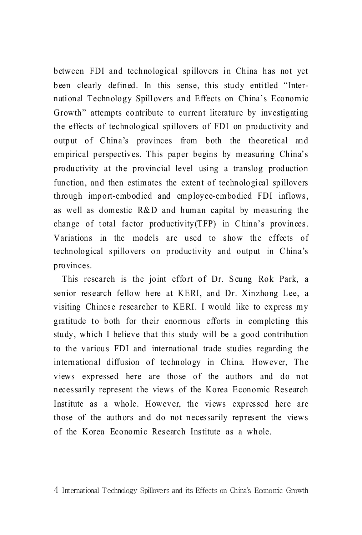between FDI and technological spillovers in China has not yet been clearly defined. In this sense, this study entitled "International Technology Spillovers and Effects on China's Economic Growth" attempts contribute to current literature by investigating the effects of technological spillovers of FDI on productivity and output of China's provinces from both the theoretical and empirical perspectives. This paper begins by measuring China's productivity at the provincial level using a translog production function, and then estim ates the extent of technological spillovers through import-embodied and em ployee-em bodied FDI inflows, as well as domestic R&D and human capital by measuring the change of total factor productivity  $(TFP)$  in China's provinces. Variations in the models are used to show the effects of technological spillovers on productivity and output in C hina's provinces.

This research is the joint effort of Dr. Seung Rok Park, a senior research fellow here at KERI, and Dr. Xinzhong Lee, a visiting Chinese researcher to KERI. I would like to express m y gratitude to both for their enorm ous efforts in com pleting this study, which I believe that this study will be a good contribution to the various FDI and international trade studies regarding the international diffusion of technology in China. However, The views expressed here are those of the authors and do not necessarily represent the views of the Korea Economic Research Institute as a whole. However, the views expressed here are those of the authors and do not necessarily represent the views of the Korea Economic Research Institute as a whole.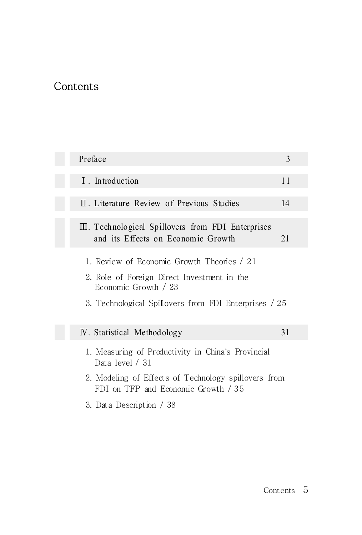# **Contents**

| Preface                                                                                     | 3  |
|---------------------------------------------------------------------------------------------|----|
| I . Introduction                                                                            | 11 |
| II. Literature Review of Previous Studies                                                   | 14 |
| III. Technological Spillovers from FDI Enterprises<br>and its Effects on Economic Growth    | 21 |
| 1. Review of Economic Growth Theories / 21                                                  |    |
| 2. Role of Foreign Direct Investment in the<br>Economic Growth / 23                         |    |
| 3. Technological Spillovers from FDI Enterprises / 25                                       |    |
| IV. Statistical Methodology                                                                 | 31 |
| 1. Measuring of Productivity in China's Provincial<br>Data level / 31                       |    |
| 2. Modeling of Effects of Technology spillovers from<br>FDI on TFP and Economic Growth / 35 |    |
| 3. Data Description / 38                                                                    |    |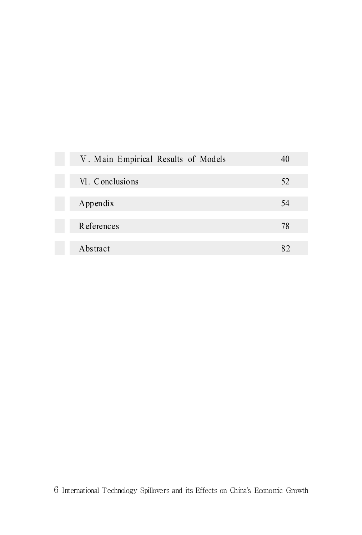| V. Main Empirical Results of Models |    |
|-------------------------------------|----|
| VI. Conclusions                     | 52 |
| Appendix                            | 54 |
| <b>R</b> eferences                  | 78 |
| Abstract                            | 82 |

6 International Technology Spillovers and its Effects on China's Economic Growth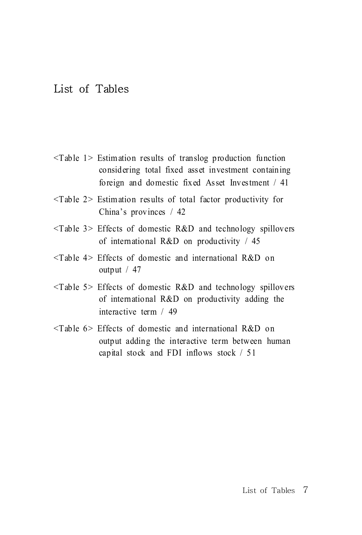# List of Tables

- <Table 1> Estim ation results of translog production function considering total fixed asset investment containing foreign and domestic fixed Asset Investment / 41
- <Table 2> Estim ation results of total factor productivity for China's provinces / 42
- $\langle$ Table 3> Effects of domestic R&D and technology spillovers of international R&D on productivity / 45
- <Table 4> Effects of domestic and international R&D on output / 47
- <Table 5> Effects of domestic R&D and technology spillovers of international R&D on productivity adding the interactive term / 49
- <Table 6> Effects of domestic and international R&D on output adding the interactive term between human capital stock and FDI inflows stock / 51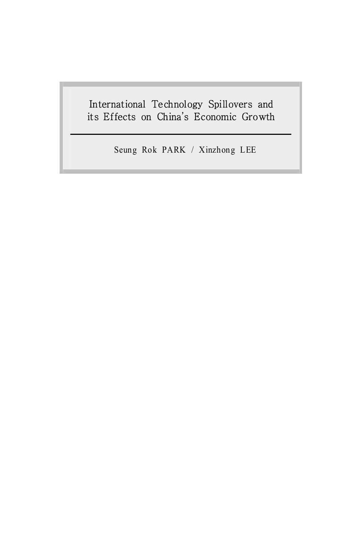## International Technology Spillovers and its Effects on China's Economic Growth

Seung Rok PARK / Xinzhong LEE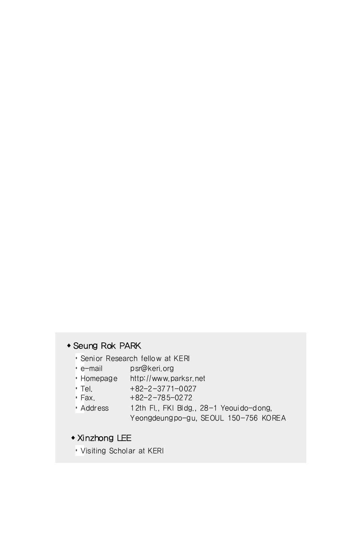#### ꋮSeung Rok PARK

- Senior Research fellow at KERI
- e-mail psr@keri.org
- Homepage http://www.parksr.net
- Tel. +82-2-3771-0027
- Fax. +82-2-785-0272
- Address 12th Fl., FKI Bldg., 28-1 Yeouido-dong, Yeongdeungpo-gu, SEOUL 150-756 KOREA

#### ꋮXinzhong LEE

Visiting Scholar at KERI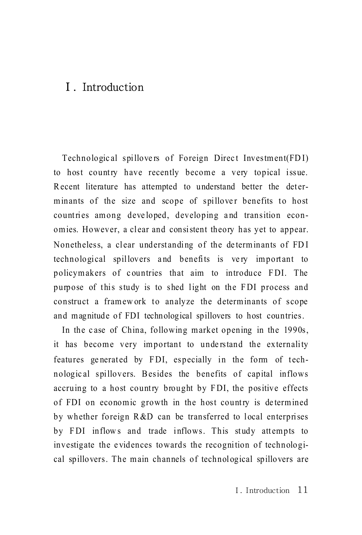## Ⅰ. Introduction

Technological spillovers of Foreign Direct Investment(FDI) to host country have recently become a very topical issue. R ecent literature has attempted to understand better the determinants of the size and scope of spillover benefits to host countries among developed, developing and transition economies. However, a clear and consistent theory has yet to appear. Nonetheless, a clear understanding of the determinants of FDI technological spillovers and benefits is very important to policymakers of countries that aim to introduce FDI. The purpose of this study is to shed light on the FDI process and construct a framew ork to analyze the determinants of scope and m agnitude of FDI technological spillovers to host countries.

In the case of China, following market opening in the 1990s, it has become very important to understand the externality features generated by FDI, especially in the form of technologic al spillovers. B esides the benefits of capital inflows accruing to a host country brought by FDI, the positive effects of FDI on economic growth in the host country is determined by whether foreign  $R & D$  can be transferred to local enterprises by FDI inflows and trade inflows. This study attempts to investigate the evidences towards the recognition of technological spillovers. The m ain channels of technological spillovers are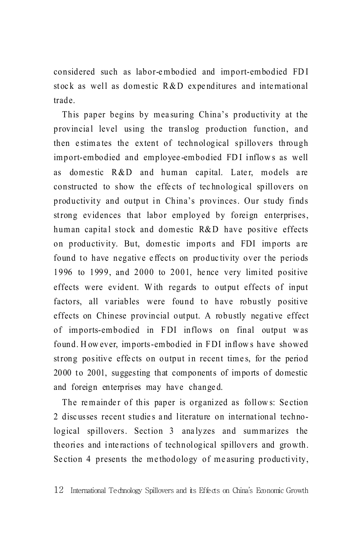considered such as labor-e m bodied and im port-em bodied FD I stock as well as domestic  $R&D$  expenditures and international trade.

This paper begins by measuring China's productivity at the provincial level using the translog production function, and then estimates the extent of technological spillovers through import-embodied and employee-embodied FDI inflows as well as domestic R&D and human capital. Later, models are constructed to show the effects of technological spillovers on productivity and output in China's provinces. Our study finds strong evidences that labor employed by foreign enterprises, human capital stock and domestic  $R&D$  have positive effects on productivity. But, domestic imports and FDI imports are found to have negative effects on productivity over the periods 1996 to 1999, and 2000 to 2001, he nce very limited positive effects were evident. W ith regards to output effects of input factors, all variables were found to have robustly positive effects on Chinese provincial output. A robustly negative effect of imports-embodied in F DI inflows on final output w as found. However, imports-embodied in FDI inflows have showed strong positive effects on output in recent times, for the period 2000 to 2001, suggesting that components of imports of domestic and foreign enterprises may have change d.

The remainder of this paper is organized as follows: Section 2 discusses recent studies and literature on international technological spillovers. Section 3 analyzes and summarizes the theories and interactions of technological spillovers and growth. Section 4 presents the methodology of measuring productivity,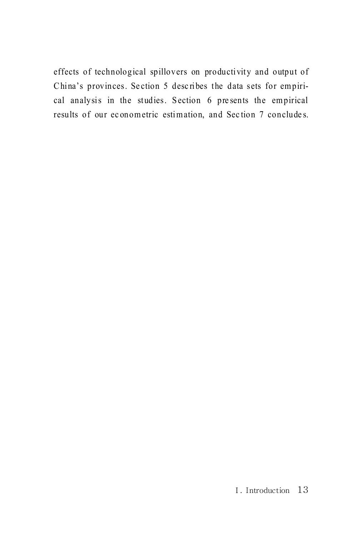effects of technological spillovers on productivity and output of China's provinces. Section 5 describes the data sets for empirical analysis in the studies. Section 6 presents the empirical results of our econometric estimation, and Section 7 concludes.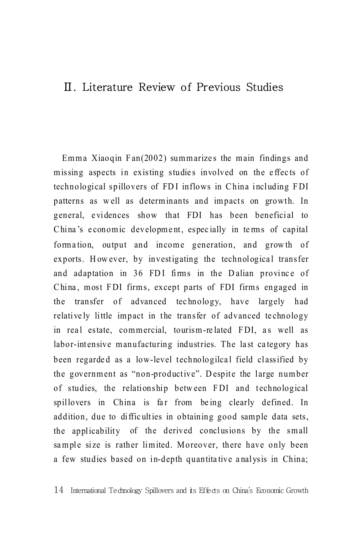## Ⅱ. Literature Review of Previous Studies

Emma Xiaoqin Fan $(2002)$  summarizes the main findings and missing aspects in existing studies involved on the effects of technological spillovers of FD I inflows in C hina including F DI patterns as w ell as determ inants and im pacts on growth. In general, e vidences show that FDI has been beneficial to China's economic development, especially in terms of capital formation, output and income generation, and growth of exports. However, by investigating the technological transfer and adaptation in 36 FDI firms in the Dalian province of China, most FDI firms, except parts of FDI firms engaged in the transfer of advanced tec hnology, have largely had relatively little impact in the transfer of advanced technology in real estate, commercial, tourism-related FDI, as well as labor-intensive manufacturing industries. The last category has been regarded as a low-level technologilcal field classified by the government as "non-productive". Despite the large number of studies, the relationship between FDI and technological spillovers in China is far from being clearly defined. In addition, due to difficulties in obtaining good sample data sets, the applicability of the derived conclusions by the small sample size is rather limited. Moreover, there have only been a few studies based on in-depth quantita tive a nalysis in China;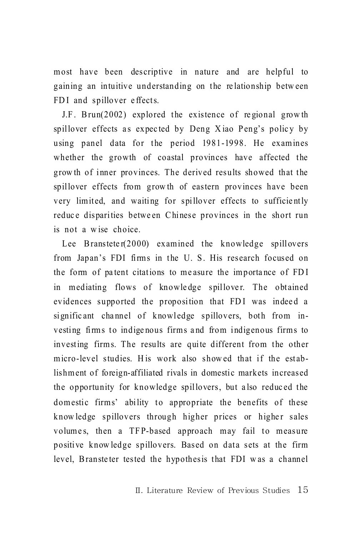m ost have been descriptive in nature and are helpful to gaining an intuitive understanding on the relationship between FDI and spillover effects.

J.F. Brun(2002) explored the existence of regional growth spillover effects as expected by Deng Xiao Peng's policy by using panel data for the period 1981-1998. He examines whether the growth of coastal provinces have affected the grow th of inner provinces. The derived results showed that the spillover effects from grow th of eastern provinces have been very lim ited, and waiting for spillover effects to sufficie ntly reduce disparities between Chinese provinces in the short run is not a w ise choice.

Lee Bransteter(2000) examined the knowledge spillovers from Japan's FDI firms in the U.S. His research focused on the form of patent citations to measure the importance of FDI in mediating flows of knowledge spillover. The obtained evidences supported the proposition that FDI was indeed a significant channel of knowledge spillovers, both from investing firms to indigenous firms and from indigenous firms to investing firms. The results are quite different from the other micro-level studies. His work also showed that if the establishm ent of foreign-affiliated rivals in domestic markets increased the opportunity for knowledge spillovers, but a lso reduc ed the domestic firms' ability to appropriate the benefits of these know ledge spillovers through higher prices or higher sales volumes, then a TFP-based approach may fail to measure positive know ledge spillovers. Based on data sets at the firm level, Bransteter tested the hypothesis that FDI was a channel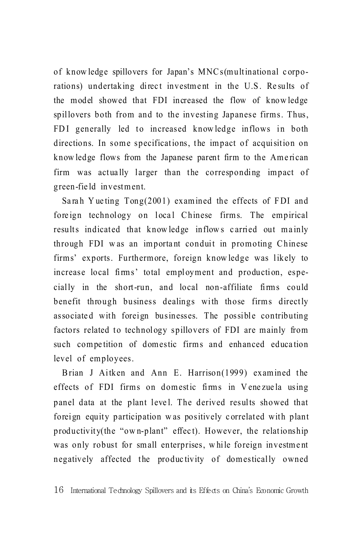of know ledge spillovers for Japan's MNC s(m ultinational c orporations) undertaking direct investment in the U.S. Results of the m odel showed that FDI increased the flow of know ledge spillovers both from and to the investing Japanese firms. Thus, FDI generally led to increased know ledge inflows in both directions. In some specifications, the impact of acquisition on know ledge flows from the Japanese parent firm to the Ame rican firm was actually larger than the corresponding impact of green-field investment.

Sarah Yue ting  $Tong(2001)$  examined the effects of FDI and foreign technology on local Chinese firms. The empirical results indicated that knowledge inflows carried out mainly through FDI was an important conduit in promoting Chinese firms' exports. Furthermore, foreign know ledge was likely to increase local firms' total employment and production, especially in the short-run, and local non-affiliate firms could benefit through business dealings with those firms directly associated with foreign businesses. The possible contributing factors related to technology spillovers of FDI are mainly from such competition of domestic firms and enhanced education level of employees.

Brian J Aitken and Ann E. Harrison(1999) examined the effects of FDI firms on domestic firms in Venezuela using panel data at the plant level. The derived results showed that foreign equity participation w as positively c orrelated with plant productivity(the "ow n-plant" effec t). However, the relationship was only robust for small enterprises, while foreign investment negatively affected the produc tivity of domestically owned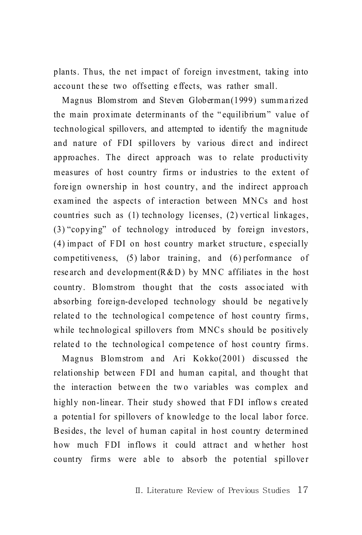plants. Thus, the net impact of foreign investment, taking into account these two offsetting effects, was rather small.

Magnus Blomstrom and Steven Globerman(1999) summarized the main proximate determinants of the "equilibrium" value of technological spillovers, and attempted to identify the magnitude and nature of FDI spillovers by various direct and indirect approaches. The direct approach was to relate productivity measures of host country firms or industries to the extent of foreign ownership in host country, and the indirect approach examined the aspects of interaction between MNCs and host countries such as (1) technology licenses, (2) vertical linkages, (3) "copying" of technology introduced by foreign investors, (4) impact of FDI on host country market structure, especially competitiveness,  $(5)$  labor training, and  $(6)$  performance of research and development  $(R & D)$  by MNC affiliates in the host country. Blomstrom thought that the costs associated with absorbing foreign-developed technology should be negatively related to the technological competence of host country firms, while technological spillovers from MNCs should be positively related to the technological competence of host country firms.

Magnus Blomstrom and Ari Kokko(2001) discussed the relationship between FDI and human capital, and thought that the interaction between the two variables was complex and highly non-linear. Their study showed that FDI inflows created a potential for spillovers of knowledge to the local labor force. Besides, the level of human capital in host country determined how much FDI inflows it could attract and whether host country firms were able to absorb the potential spillover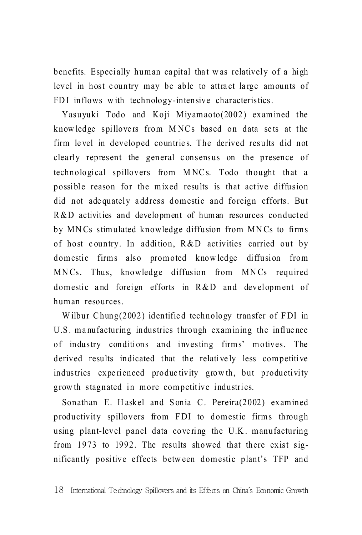benefits. Especially human capital that was relatively of a high level in host country may be able to attract large amounts of FDI inflows with technology-intensive characteristics.

Yasuvuki Todo and Koji Miyamaoto(2002) examined the knowledge spillovers from MNCs based on data sets at the firm level in developed countries. The derived results did not clearly represent the general consensus on the presence of technological spillovers from MNCs. Todo thought that a possible reason for the mixed results is that active diffusion did not adequately address domestic and foreign efforts. But R&D activities and development of human resources conducted by MNCs stimulated knowledge diffusion from MNCs to firms of host country. In addition, R&D activities carried out by domestic firms also promoted knowledge diffusion from MNCs. Thus, knowledge diffusion from MNCs required domestic and foreign efforts in R&D and development of human resources

Wilbur Chung(2002) identified technology transfer of FDI in U.S. manufacturing industries through examining the influence of industry conditions and investing firms' motives. The derived results indicated that the relatively less competitive industries experienced productivity growth, but productivity growth stagnated in more competitive industries.

Sonathan E. Haskel and Sonia C. Pereira(2002) examined productivity spillovers from FDI to domestic firms through using plant-level panel data covering the U.K. manufacturing from 1973 to 1992. The results showed that there exist significantly positive effects between domestic plant's TFP and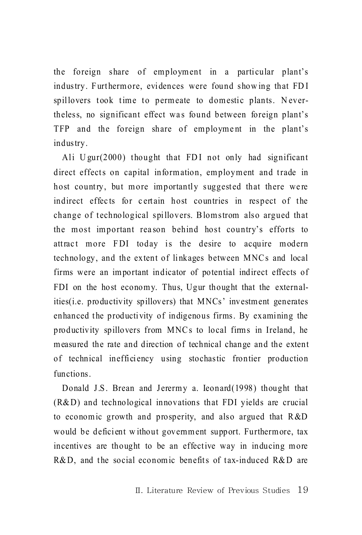the foreign share of employment in a particular plant's industry. Furthermore, evidences were found showing that FDI spillovers took time to permeate to domestic plants. Nevertheless, no significant effect was found between foreign plant's TFP and the foreign share of employment in the plant's industry.

Ali  $U \text{gur}(2000)$  thought that FDI not only had significant direct effects on capital information, employment and trade in host country, but more importantly suggested that there were indirect effects for certain host countries in respect of the change of technological spillovers. B lomstrom also argued that the most important rea son behind host country's efforts to attract more FDI today is the desire to acquire modern technology, and the extent of linkages between MNC s and local firms were an im portant indicator of potential indirect effects of FDI on the host economy. Thus, Ugur thought that the externalities(*i.e.* productivity spillovers) that MNCs' investment generates enhanced the productivity of indigenous firms. By examining the productivity spillovers from MNCs to local firms in Ireland, he m easured the rate and direction of technical change and the extent of technical inefficiency using stochastic frontier production functions.

Donald J.S. Brean and Jerermy a. Ieonard(1998) thought that (R& D) and technological innovations that FDI yields are crucial to economic growth and prosperity, and also argued that R&D would be deficient without government support. Furthermore, tax incentives are thought to be an effective way in inducing more  $R&D$ , and the social economic benefits of tax-induced  $R&D$  are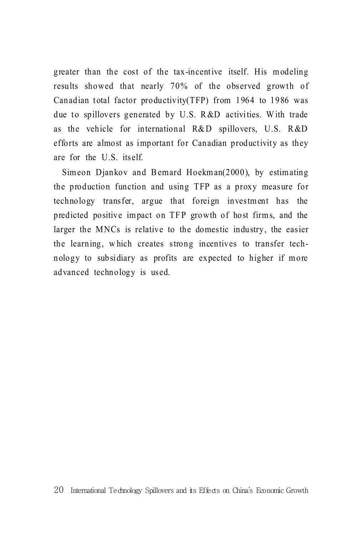greater than the cost of the tax-incentive itself. His modeling results showed that nearly 70% of the observed growth of Canadian total factor productivity(TFP) from 1964 to 1986 was due to spillovers generated by U.S. R &D activities. W ith trade as the vehicle for international R&D spillovers, U.S. R&D efforts are almost as important for Canadian productivity as they are for the U.S. itself.

Simeon Djankov and Bernard Hoekman(2000), by estimating the production function and using TFP as a proxy measure for technology transfer, argue that foreign investment has the predicted positive impact on TFP growth of host firms, and the larger the MNCs is relative to the domestic industry, the easier the learning, w hich creates strong incentives to transfer technology to subsidiary as profits are expected to higher if more advanced technology is used.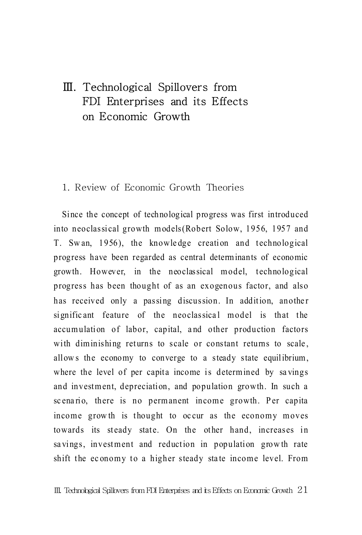## Ⅲ. Technological Spillovers from FDI Enterprises and its Effects on Economic Growth

#### 1. Review of Economic Growth Theories

Since the concept of technological progress was first introduced into neoclassical growth models(Robert Solow, 1956, 1957 and T. Swan, 1956), the knowledge creation and technological progress have been regarded as central determ inants of economic growth. However, in the neoclassical m odel, technological progress has been thought of as an exogenous factor, and also has received only a passing discussion. In addition, another significant feature of the neoclassical model is that the accumulation of labor, capital, and other production factors with diminishing returns to scale or constant returns to scale, allows the economy to converge to a steady state equilibrium, where the level of per capita income is determined by savings and investment, depreciation, and population growth. In such a sc enario, there is no permanent income growth. Per capita income grow th is thought to oc cur as the economy moves towards its steady state. On the other hand, increases in sa vings, investment and reduction in population growth rate shift the economy to a higher steady state income level. From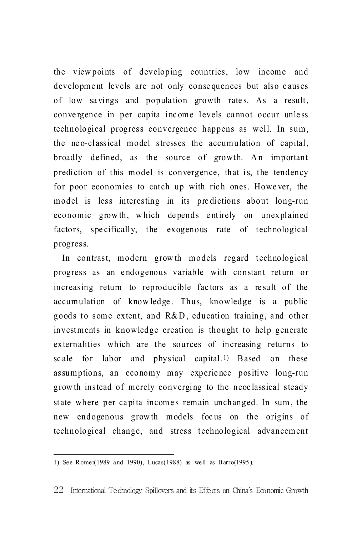the viewpoints of developing countries, low income and development levels are not only consequences but also causes of low savings and population growth rates. As a result, convergence in per capita income levels cannot occur unless technological progress convergence happens as well. In sum, the neo-classical model stresses the accumulation of capital, broadly defined, as the source of growth. An important prediction of this model is convergence, that is, the tendency for poor economies to catch up with rich ones. However, the model is less interesting in its predictions about long-run economic growth, which depends entirely on unexplained factors, specifically, the exogenous rate of technological progress.

In contrast, modern growth models regard technological progress as an endogenous variable with constant return or increasing return to reproducible factors as a result of the accumulation of knowledge. Thus, knowledge is a public goods to some extent, and R&D, education training, and other investments in knowledge creation is thought to help generate externalities which are the sources of increasing returns to scale for labor and physical capital.<sup>1</sup>) Based on these assumptions, an economy may experience positive long-run growth instead of merely converging to the neoclassical steady state where per capita incomes remain unchanged. In sum, the new endogenous growth models focus on the origins of technological change, and stress technological advancement

<sup>1)</sup> See Romer(1989 and 1990), Lucas(1988) as well as  $Barrow(1995)$ .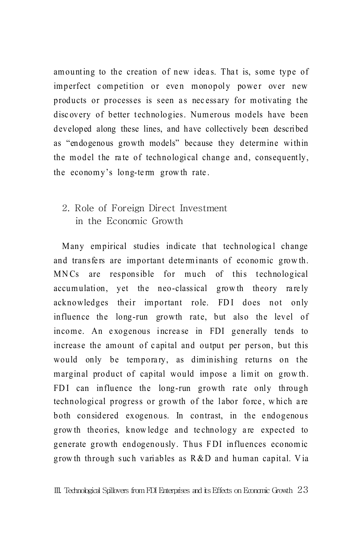amounting to the creation of new ideas. That is, some type of imperfect competition or even monopoly power over new products or processes is seen as necessary for motivating the disc overy of better technologies. Numerous models have been developed along these lines, and have collectively been described as "endogenous growth models" because they determine within the model the rate of technological change and, consequently, the economy's long-term growth rate.

### 2. Role of Foreign Direct Investment in the Economic Growth

Many empirical studies indicate that technological change and transfers are important determinants of economic growth. MN Cs are responsible for much of this technological accumulation, yet the neo-classical growth theory rarely acknowledges their important role. FDI does not only influence the long-run growth rate, but also the level of income. An exogenous increase in FDI generally tends to increase the amount of capital and output per person, but this would only be temporary, as diminishing returns on the marginal product of capital would impose a limit on growth. FDI can influence the long-run growth rate only through technological progress or growth of the labor force, which are both considered exogenous. In contrast, in the endogenous grow th theories, know ledge and technology are expected to generate growth endogenously. Thus F DI influences economic grow th through such variables as  $R & D$  and human capital. Via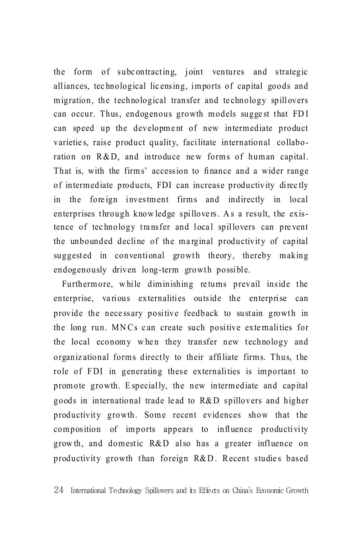the form of subc ontracting, joint ventures and strategic alliances, tec hnological lic ensing, imports of capital goods and migration, the technological transfer and te chnology spillovers can occur. Thus, endogenous growth models suggest that FDI can speed up the development of new intermediate product varieties, raise product quality, facilitate international collaboration on  $R & D$ , and introduce new forms of human capital. That is, with the firms' accession to finance and a wider range of interm ediate products, FDI can increase productivity di rec tly in the foreign investment firms and indirectly in local enterprises through knowledge spillovers. As a result, the existence of technology transfer and local spillovers can prevent the unbounded decline of the marginal productivity of capital suggested in conventional growth theory, thereby making endogenously driven long-term growth possible.

Furthermore, while diminishing returns prevail inside the enterprise, va rious externalities outside the enterprise can provide the necessary positive feedback to sustain growth in the long run. MNCs can create such positive externalities for the local economy when they transfer new technology and organiz ational form s directly to their affiliate firm s. Thus, the role of FDI in generating these externalities is important to prom ote growth. E specially, the new interm ediate and capital goods in international trade le ad to R& D spillovers and higher productivity growth. Some recent evidences show that the composition of imports appears to influence productivity grow th, and domestic R&D also has a greater influence on productivity growth than foreign R&D. Recent studies based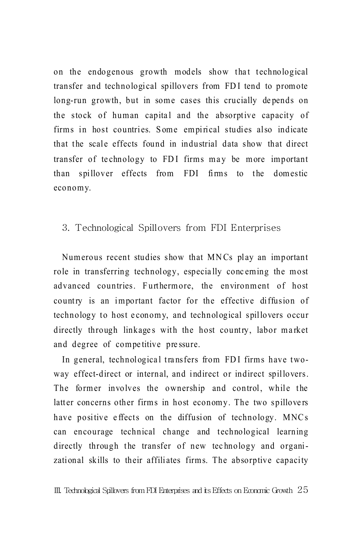on the endogenous growth models show that technological transfer and technological spillovers from FD I tend to promote long-run growth, but in some cases this crucially de pends on the stock of human capital and the absorptive capacity of firms in host countries. Some empirical studies also indicate that the scale effects found in industrial data show that direct transfer of technology to FDI firms may be more important than spillover effects from FDI firms to the domestic economy.

#### 3. Technological Spillovers from FDI Enterprises

Num erous recent studies show that MNCs play an important role in transferring technology, especially concerning the most advanced countries. Furthermore, the environment of host country is an important factor for the effective diffusion of technology to host economy, and technological spillovers occur directly through linkages with the host country, labor market and degree of com pe titive pre ssure.

In general, technological transfers from FDI firms have twoway effect-direct or internal, and indirect or indirect spillovers. The former involves the ownership and control, while the latter concerns other firms in host economy. The two spillovers have positive effects on the diffusion of technology. MNCs can encourage technical change and technological learning directly through the transfer of new technology and organizational skills to their affiliates firms. The absorptive capacity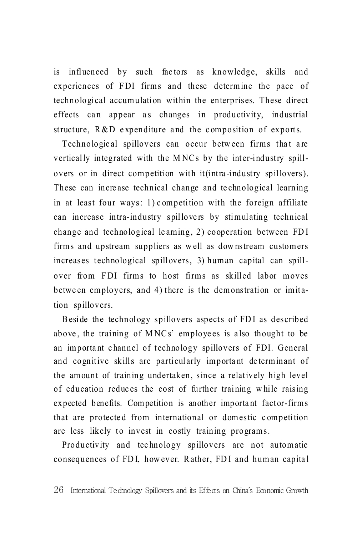is influenced by such factors as knowledge, skills and experiences of FDI firms and these determine the pace of technological accumulation within the enterprises. These direct effects can appear as changes in productivity, industrial structure, R&D expenditure and the composition of exports.

Technological spillovers can occur between firms that are vertically integrated with the MNCs by the inter-industry spillovers or in direct competition with it(intra-industry spillovers). These can increase technical change and technological learning in at least four ways: 1) competition with the foreign affiliate can increase intra-industry spillovers by stimulating technical change and technological learning, 2) cooperation between FDI firms and upstream suppliers as well as downstream customers increases technological spillovers, 3) human capital can spillover from FDI firms to host firms as skilled labor moves between employers, and 4) there is the demonstration or imitation spillovers.

Beside the technology spillovers aspects of FDI as described above, the training of MNCs' employees is also thought to be an important channel of technology spillovers of FDI. General and cognitive skills are particularly important determinant of the amount of training undertaken, since a relatively high level of education reduces the cost of further training while raising expected benefits. Competition is another important factor-firms that are protected from international or domestic competition are less likely to invest in costly training programs.

Productivity and technology spillovers are not automatic consequences of FDI, however. Rather, FDI and human capital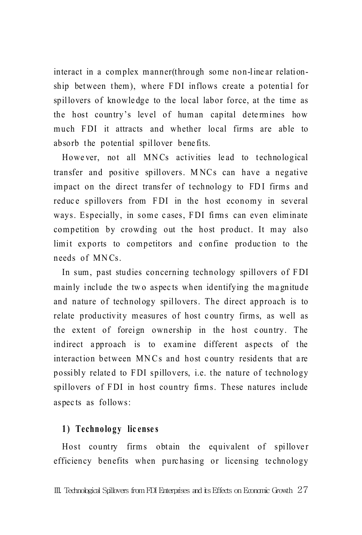interact in a complex manner(through some non-line ar relationship between them), where FDI inflows create a potential for spillovers of knowledge to the local labor force, at the time as the host country's level of human capital determines how much FDI it attracts and whether local firms are able to absorb the potential spillover bene fits.

However, not all MNCs activities lead to technological transfer and positive spillovers. M NC s can have a negative impact on the direct transfer of technology to FDI firms and reduce spillovers from FDI in the host economy in several ways. Especially, in some cases, FDI firms can even eliminate competition by crowding out the host product. It may also limit exports to competitors and confine production to the needs of MN Cs.

In sum, past studies concerning technology spillovers of FDI mainly include the two aspects when identifying the magnitude and nature of technology spillovers. The direct approach is to relate productivity measures of host c ountry firms, as well as the extent of foreign ownership in the host c ountry. The indirect approach is to examine different aspects of the interaction between MNCs and host country residents that are possibly relate d to F DI spillovers, i.e. the nature of technology spillovers of FDI in host country firms. These natures include aspec ts as follows:

#### **1) Technology lic ense s**

Host country firms obtain the equivalent of spillover efficiency benefits when purchasing or licensing technology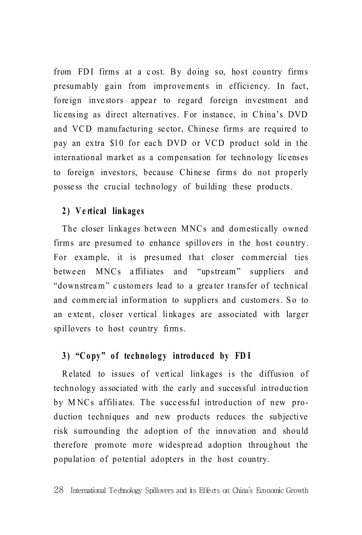from FDI firms at a cost. By doing so, host country firms presumably gain from improvements in efficiency. In fact, foreign investors appear to regard foreign investment and licensing as direct alternatives. For instance, in China's DVD and VCD manufacturing sector, Chinese firms are required to pay an extra \$10 for each DVD or VCD product sold in the international market as a compensation for technology licenses to foreign investors, because Chinese firms do not properly possess the crucial technology of building these products.

#### 2) Vertical linkages

The closer linkages between MNCs and domestically owned firms are presumed to enhance spillovers in the host country. For example, it is presumed that closer commercial ties between MNCs affiliates and "upstream" suppliers and "downstream" customers lead to a greater transfer of technical and commercial information to suppliers and customers. So to an extent, closer vertical linkages are associated with larger spillovers to host country firms.

#### 3) "Copy" of technology introduced by FDI

Related to issues of vertical linkages is the diffusion of technology associated with the early and successful introduction by MNCs affiliates. The successful introduction of new production techniques and new products reduces the subjective risk surrounding the adoption of the innovation and should therefore promote more widespread adoption throughout the population of potential adopters in the host country.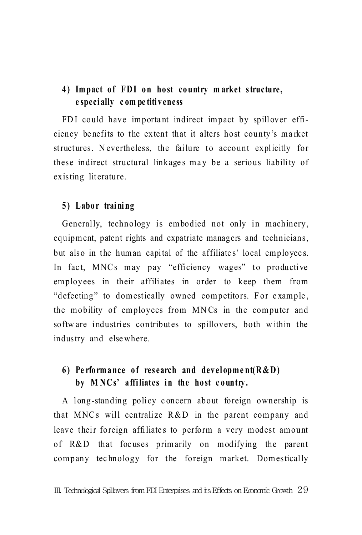#### 4) Impact of FDI on host country market structure,  **e speci ally c om pe titi v eness**

FDI could have important indirect impact by spillover efficiency benefits to the extent that it alters host county's market structures. Nevertheless, the failure to account explicitly for these indirect structural linkages may be a serious liability of existing literature.

#### **5 ) Labo r trai ni ng**

Generally, technology is embodied not only in machinery, equipm ent, patent rights and expatriate managers and technicians, but also in the human capital of the affiliate s' local employee s. In fact, MNCs may pay "efficiency wages" to productive employees in their affiliates in order to keep them from "defecting" to domestically owned competitors. For example, the mobility of employees from MN Cs in the computer and softw are industries contributes to spillovers, both within the industry and else where.

### **6)** Performance of research and development( $R & D$ ) by MNCs' affiliates in the host country.

A long-standing policy concern about foreign ownership is that MNCs will centralize R&D in the parent company and leave their foreign affiliates to perform a very modest amount of R&D that foc uses primarily on modifying the parent company technology for the foreign market. Domestically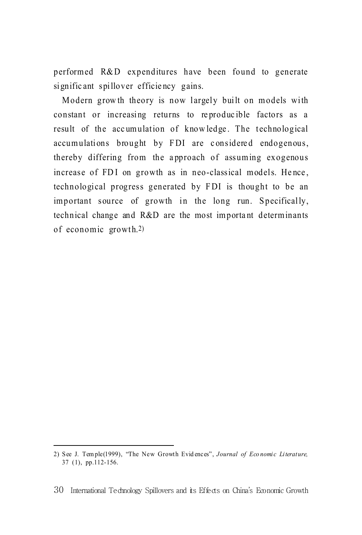performed R&D expenditures have been found to generate signific ant spillover efficie ncy gains.

Modern grow th theory is now largely built on models with constant or increasing returns to reproducible factors as a result of the accumulation of knowledge. The technological accumulations brought by FDI are considered endogenous, thereby differing from the a pproach of assuming exogenous increase of FDI on growth as in neo-classical models. Hence, technological progress generated by F DI is thought to be an important source of growth in the long run. Specifically, technical change and R&D are the most im porta nt determ inants of economic growth.2)

<sup>2)</sup> See J. Temple(1999), "The New Growth Evidences", *Journal of Economic Literature*, 37 (1), pp.112-156.

<sup>30</sup> International Technology Spillovers and its Effects on China's Economic Growth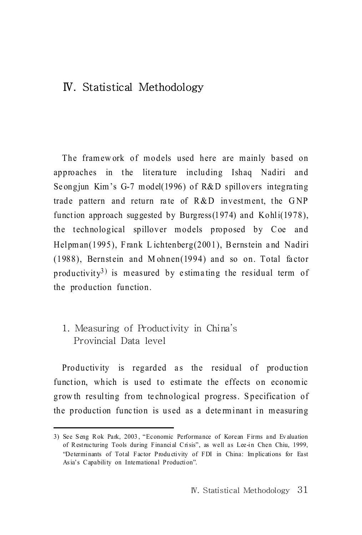## Ⅳ. Statistical Methodology

The framew ork of models used here are mainly based on approaches in the literature including Ishaq Nadiri and Se ongjun Kim's G-7 model(1996) of R&D spillovers integra ting trade pattern and return rate of  $R & D$  investment, the GNP function approach suggested by Burgress(1974) and Kohli(1978), the technological spillover models proposed by Coe and Helpman(1995), Frank Lichtenberg(2001), Bernstein and Nadiri  $(1988)$ , Bernstein and M ohnen $(1994)$  and so on. Total factor productivity<sup>3)</sup> is measured by estimating the residual term of the production function.

### 1. Measuring of Productivity in China's Provincial Data level

Productivity is regarded as the residual of production function, which is used to estimate the effects on economic grow th resulting from technological progress. Specification of the production function is used as a determinant in measuring

<sup>3)</sup> See Seng R ok Park, 2003 , "Economic Performance of Korean Firms and Ev aluation of R estructuring Tools during Financial C risis", as well as Lee-in Chen Chiu, 1999, "Determinants of Total Factor Produ ctivity of FDI in China: Im plications for East As ia's C apability on International Production".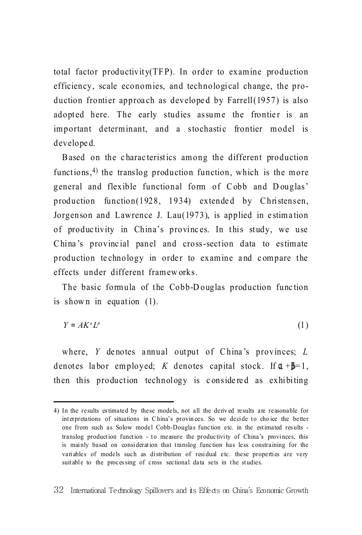total factor productivity(TF P). In order to examine production efficiency, scale economies, and technological change, the production frontier approach as developed by Farrell $(1957)$  is also adopted here. The early studies assume the frontier is an im portant determ inant, and a stochastic frontier m odel is develope d.

B ased on the c harac teristics among the different production functions,  $4$ ) the translog production function, which is the more general and flexible functional form of Cobb and Douglas' production function(1928, 1934) extended by Christensen, Jorgenson and Lawrence J. Lau(1973), is applied in estimation of produc tivity in China's provinc es. In this study, we use China's provincial panel and cross-section data to estimate production te chnology in order to examine and compare the effects under different framew orks.

The basic formula of the Cobb-Douglas production function is shown in equation  $(1)$ .

$$
Y = AK^{\alpha}L^{\beta} \tag{1}
$$

where,  $Y$  denotes annual output of China's provinces;  $L$ denotes labor employed; *K* denotes capital stock. If  $\mathbf{u} + \mathbf{b} = 1$ , then this production technology is considered as exhibiting

<sup>4)</sup> In the results es timated by these models, not all the deriv ed results are reasonable for interpretations of situations in C hina's provin ces. So we decide to cho ice the better one from such as Solow model Cobb-Douglas function etc. in the estimated res ults translog production function - to measure the productivity of China's provinces, this is mainly based on consideration that translog function has less constraining for the variables of models such as distribution of residual etc. these properties are very suitable to the proces sing of cross sectional data sets in the studies.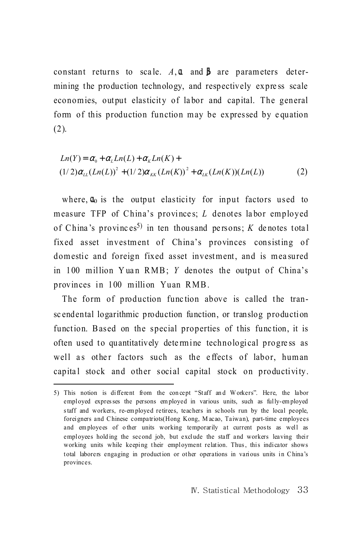constant returns to scale,  $A, \mathbf{u}$  and  $\mathbf{b}$  are parameters determining the production technology, and respectively express scale economies, output elasticity of labor and capital. The general form of this production function may be expressed by equation  $(2).$ 

$$
Ln(Y) = \alpha_0 + \alpha_L Ln(L) + \alpha_K Ln(K) +
$$
  
(1/2) $\alpha_{LL}(Ln(L))^{2}$  + (1/2) $\alpha_{LK}(Ln(K))^{2}$  +  $\alpha_{LK}(Ln(K))(Ln(L))$  (2)

where,  $\mathbf{u}_0$  is the output elasticity for input factors used to measure TFP of China's provinces; L denotes labor employed of China's provinces<sup>5)</sup> in ten thousand persons; K denotes total fixed asset investment of China's provinces consisting of domestic and foreign fixed asset investment, and is measured in 100 million Yuan RMB; Y denotes the output of China's provinces in 100 million Yuan RMB.

The form of production function above is called the transcendental logarithmic production function, or translog production function. Based on the special properties of this function, it is often used to quantitatively determine technological progress as well as other factors such as the effects of labor, human capital stock and other social capital stock on productivity.

<sup>5)</sup> This notion is different from the concept "Staff and Workers". Here, the labor employed expresses the persons employed in various units, such as fully-employed staff and workers, re-employed retirees, teachers in schools run by the local people, foreigners and Chinese compatriots (Hong Kong, Macao, Taiwan), part-time employees and employees of other units working temporarily at current posts as well as employees holding the second job, but exclude the staff and workers leaving their working units while keeping their employment relation. Thus, this indicator shows total laborers engaging in production or other operations in various units in China's provinces.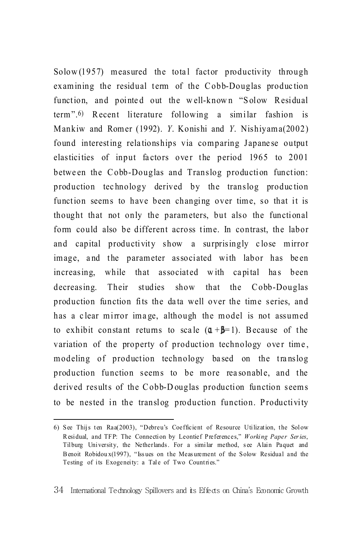$Solow(1957)$  measured the total factor productivity through examining the residual term of the Cobb-Douglas production function, and pointed out the well-known "Solow Residual term".6) R ecent literature following a similar fashion is Mankiw and Rom er (1992). *Y*. Konishi and *Y*. Nishiyam a(2002) found interesting rela tionships via comparing Japane se output elasticities of input factors over the period 1965 to 2001 between the Cobb-Douglas and Translog production function: production tec hnology derived by the translog produc tion function seems to have been changing over time, so that it is thought that not only the parameters, but also the functional form could also be different across time. In contrast, the labor and capital productivity show a surprisingly close mirror image, and the parameter associated with labor has been increasing, while that associated with capital has been decreasing. Their studies show that the Cobb-Douglas production function fits the data well over the time series, and has a clear mirror image, although the model is not assumed to exhibit constant returns to scale  $(1 + \beta = 1)$ . Because of the variation of the property of production technology over time, modeling of production technology based on the translog production function seems to be more reasonable, and the derived results of the Cobb-Douglas production function seems to be nested in the translog production function. Productivity

<sup>6)</sup> See Thijs ten Raa(2003), "Debreu's Coefficient of Resource Utilization, the Solow R esidual, and TFP: The Connection by Leontief Preferences," *Worki ng Paper Ser ies*, Tilburg University, the Netherlands. For a similar method, see Alain Paquet and B enoit Robidou x(1997), "Iss ues on the Meas urement of the Solow Residual and the Testing of its Exogeneity: a Tale of Two Countries."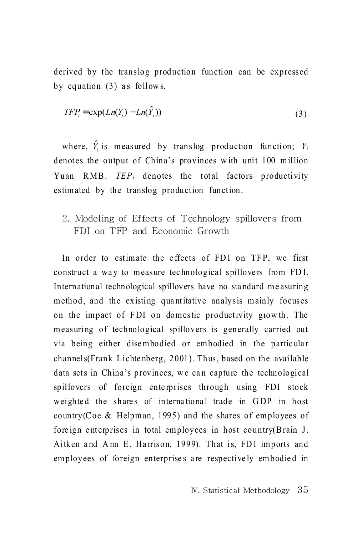derived by the translog production function can be expressed by equation  $(3)$  as follows.

$$
TFP_i = \exp(Ln(Y_i) - Ln(\hat{Y}_i))
$$
\n(3)

where,  $\hat{Y}_i$  is measured by translog production function;  $Y_i$ denotes the output of China's provinces w ith unit 100 million Yuan RMB. *TEP<sub>i</sub>* denotes the total factors productivity estimated by the translog production function.

2. Modeling of Effects of Technology spillovers from FDI on TFP and Economic Growth

In order to estimate the effects of FDI on TFP, we first construct a way to measure technological spillovers from FDI. International technological spillovers have no standard measuring method, and the existing quantitative analysis mainly focuses on the impact of FDI on domestic productivity growth. The measuring of technological spillovers is generally carried out via being either disembodied or embodied in the particular channels(Frank Lichtenberg, 2001). Thus, based on the available data sets in China's provinces, we can capture the technological spillovers of foreign enterprises through using FDI stock weighted the shares of international trade in GDP in host country(Coe & Helpman, 1995) and the shares of employees of foreign enterprises in total employees in host country(Brain J. Aitken and Ann E. Harrison, 1999). That is, FDI imports and employees of foreign enterprises are respectively embodied in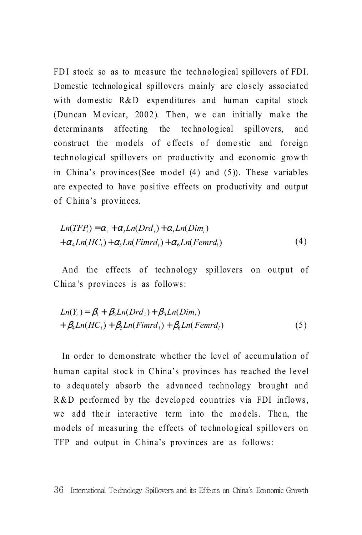FDI stock so as to measure the technological spillovers of FDI. Domestic technological spillovers mainly are closely associated with domestic R&D expenditures and human capital stock (Duncan M cvicar, 2002). Then, we can initially make the determinants affecting the technological spillovers, and construct the models of effects of domestic and foreign technological spillovers on productivity and economic growth in China's provinces(See m odel (4) and (5)). These variables are expected to have positive effects on productivity and output of China's provinces.

$$
Ln(TFPi) = \alpha_1 + \alpha_2 Ln(Drdi) + \alpha_3 Ln(Dimi)
$$
  
+  $\alpha_4 Ln(HCi) + \alpha_5 Ln(Fimrdi) + \alpha_6 Ln(Femrdi)$  (4)

And the effects of technology spillovers on output of China's provinces is as follows:

$$
Ln(Yi) = \beta1 + \beta2 Ln(Drdi) + \beta3 Ln(Dimi)
$$
  
+  $\beta4 Ln(HCi) + \beta5 Ln(Fimrdi) + \beta6 Ln(Femrdi)$  (5)

In order to demonstrate whether the level of accumulation of human capital stock in China's provinces has reached the level to a dequately absorb the adva nce d technology brought and  $R & D$  performed by the developed countries via FDI inflows, we add their interactive term into the models. Then, the models of measuring the effects of te chnological spillovers on TFP and output in China's provinces are as follows: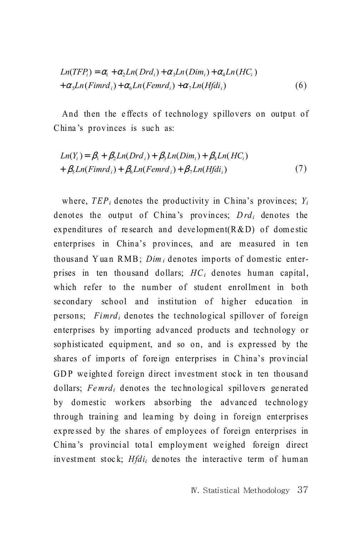$$
Ln(TFPi) = \alpha_{i} + \alpha_{2}Ln(Drd_{i}) + \alpha_{3}Ln(Dim_{i}) + \alpha_{4}Ln(HC_{i})
$$
  
+  $\alpha_{5}Ln(Fimrd_{i}) + \alpha_{6}Ln(Femrd_{i}) + \alpha_{7}Ln(Hfdi_{i})$  (6)

And then the effects of technology spillovers on output of China's provinces is such as:

$$
Ln(Y_i) = \beta_1 + \beta_2 Ln(Drd_i) + \beta_3 Ln(Dim_i) + \beta_4 Ln(HC_i)
$$
  
+  $\beta_5 Ln(Fimrd_i) + \beta_6 Ln(Femrd_i) + \beta_7 Ln(Hfdi_i)$  (7)

where,  $TEP_i$  denotes the productivity in China's provinces;  $Y_i$ denotes the output of China's provinces; *Drd<sub>i</sub>* denotes the expenditures of research and development  $(R & D)$  of domestic enterprises in China's provinces, and are measured in ten thousand Yuan RMB; *Dim<sub>i</sub>* denotes imports of domestic enterprises in ten thousand dollars;  $HC_i$  denotes human capital, which refer to the number of student enrollment in both se condary school and institution of higher education in persons; *Fimrdi* denotes the technological spillover of foreign enterprises by importing advanced products and technology or sophisticated equipment, and so on, and is expressed by the shares of imports of foreign enterprises in China's provincial GDP weighted foreign direct investment stock in ten thousand dollars; *Femrd<sub>i</sub>* denotes the technological spillovers generated by domestic workers absorbing the advanced technology through training and learning by doing in foreign enterprises expressed by the shares of employees of foreign enterprises in China's provincial total employment weighed foreign direct investment stock; *Hfdi<sub>i</sub>* denotes the interactive term of human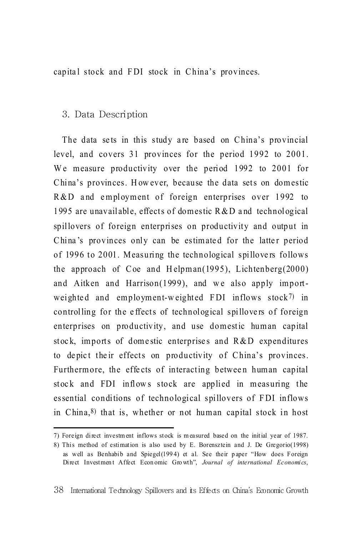capital stock and FDI stock in China's provinces.

## 3. Data Description

The data sets in this study are based on China's provincial level, and covers 31 provinces for the period 1992 to 2001. We measure productivity over the period 1992 to 2001 for China's provinces. However, because the data sets on domestic R&D and employment of foreign enterprises over 1992 to 1995 are unavailable, effects of domestic  $R&D$  and technological spillovers of foreign enterprises on productivity and output in China's provinces only can be estimated for the latter period of 1996 to 2001. Measuring the technological spillovers follows the approach of Coe and Helpman(1995), Lichtenberg(2000) and Aitken and Harrison $(1999)$ , and we also apply importweighted and employment-weighted FDI inflows  $stock$ <sup>7)</sup> in controlling for the effects of technological spillovers of foreign enterprises on productivity, and use domestic human capital stock, imports of domestic enterprises and  $R & D$  expenditures to depict their effects on productivity of China's provinces. Furtherm ore, the effects of interacting between human capital stock and FDI inflows stock are applied in measuring the essential conditions of technological spillovers of FDI inflows in China, 8) that is, whether or not human capital stock in host

<sup>7)</sup> Foreign direct investm ent inflows stock is m easured based on the initial year of 1987.

<sup>8)</sup> This method of estimation is also used by E. Borensztein and J. De Gregorio(1998) as well as Benhabib and Spiegel(199 4) et al. See their p aper "How does Foreign Direct Investment Affect Economic Growth", *Journal of international Economics*,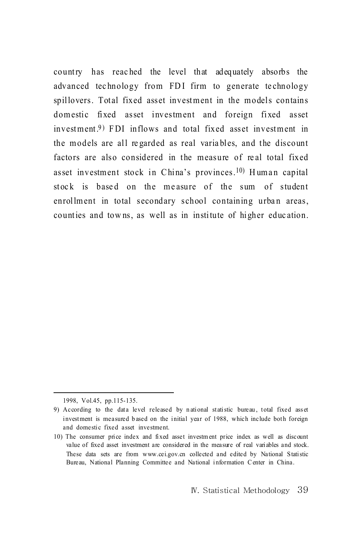country has reac hed the level that adequately absorbs the advanced technology from FDI firm to generate technology spillovers. Total fixed asset investment in the models contains domestic fixed asset investment and foreign fixed asset investment.<sup>9</sup>) FDI inflows and total fixed asset investment in the models are all regarded as real variables, and the discount factors are also considered in the measure of real total fixed asset investment stock in China's provinces.<sup>10)</sup> Human capital stock is based on the measure of the sum of student enrollment in total secondary school containing urban areas, counties and towns, as well as in institute of higher education.

1998, Vol.45, pp.115-135.

<sup>9)</sup> According to the data level released by n ational statistic bureau , total fixed ass et investment is measured b ased on the initial year of 1988, which include both foreign and domestic fixed asset investment.

<sup>10)</sup> The consumer price index and fixed asset investm ent price index as well as discount value of fixed asset investment are considered in the measure of real variables and stock. These data sets are from www.cei.gov.cn collected and edited by National Statistic Bureau, National Planning Committee and National information C enter in China.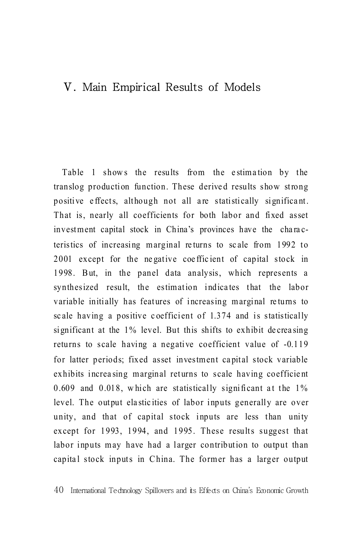# Ⅴ. Main Empirical Results of Models

Table 1 shows the results from the estimation by the translog production function. These derived results show strong positive effects, although not all are statistically significant. That is, nearly all coefficients for both labor and fixed asset investment capital stock in China's provinces have the characteristics of increasing m arginal re turns to sc ale from 1992 to 2001 except for the negative coefficient of capital stock in 1998. B ut, in the panel data analysis, which represents a synthesized result, the estimation indicates that the labor variable initially has features of increasing marginal returns to sc ale having a positive c oefficient of 1.374 and is statistically significant at the 1% level. But this shifts to exhibit de crea sing returns to scale having a negative coefficient value of -0.119 for latter periods; fixed asset investment capital stock variable exhibits increasing marginal returns to scale having coefficient 0.609 and 0.018, which are statistically significant at the  $1\%$ level. The output ela stic ities of labor inputs generally are over unity, and that of capital stock inputs are less than unity except for 1993, 1994, and 1995. These results suggest that labor inputs may have had a larger contribution to output than capital stock inputs in China. The former has a larger output

<sup>40</sup> International Technology Spillovers and its Effects on China's Economic Growth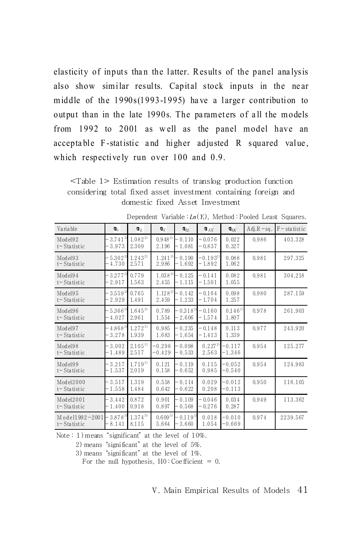elasticity of inputs than the latter. Results of the panel analysis also show similar results. Capital stock inputs in the near middle of the  $1990s(1993-1995)$  have a larger contribution to output than in the late 1990s. The parameters of all the models from 1992 to 2001 as w ell as the panel model have an accepta ble F-statistic and higher adjusted R squared value, which respectively run over 100 and 0.9.

<Table 1> Estimation results of translog production function considering total fixed asset investment containing foreign and domestic fixed Asset Investment

| Variable                          | п,                           | $\mathbf{u}_L$              | $\mathbf{q}_K$       | $\mathbf{q}_{H}$      | $R_{KK}$                 | $\Pi_{IK}$            | $Adj.R - sq.$ | $F$ – statistic |
|-----------------------------------|------------------------------|-----------------------------|----------------------|-----------------------|--------------------------|-----------------------|---------------|-----------------|
| Model92<br>$t$ – Statistic        | 3.741 <sup>3</sup><br>3.973  | 1.08222<br>2.309            | 0.94822<br>2.196     | 0.110<br>- 1.081      | $-0.076$<br>$-0.837$     | 0.022<br>0.327        | 0.986         | 403.328         |
| Model93<br>$t$ – Statistic        | $5.302^{3}$<br>4.730         | $1.243^{2}$<br>2.571        | $1.241^{3}$<br>2.986 | $-0.190$<br>- 1.692   | $-0.193^{1)}$<br>- 1.892 | 0.088<br>1.062        | 0.981         | 297.325         |
| Model94<br>$t$ – Statistic        | $3.277^{3}$<br>2.917         | 0.779<br>1.563              | $1.038^{2}$<br>2.455 | 0.125<br>- 1.115      | $-0.141$<br>-1.501       | 0.082<br>1.055        | 0.981         | 304.218         |
| Model95<br>$t$ – Statistic        | $3.559^{3}$<br>2.929         | 0.765<br>1.491              | $1.128^{2}$<br>2.459 | $-0.142$<br>$-1.233$  | $-0.164$<br>$-1.704$     | 0.098<br>1.257        | 0.980         | 287.159         |
| Model96<br>$t$ – Statistic        | $5.366^{3}$<br>4.027         | $1.645^{3}$<br>2.961        | 0.789<br>1.554       | $-0.318^{2}$<br>2.606 | $-0.160$<br>$-1.574$     | $0.146^{11}$<br>1.807 | 0.978         | 261.903         |
| Model97<br>$t$ – Statistic        | $4.868^{3}$<br>3.278         | $1.272^{11}$<br>1.939       | 0.985<br>1.683       | $-0.235$<br>$-1.654$  | $-0.148$<br>$-1.413$     | 0.113<br>1.339        | 0.977         | 243.920         |
| Model98<br>$t$ – Statistic        | 3.002<br>1.489               | 2.105 <sup>1</sup><br>2.517 | $-0.298$<br>$-0.429$ | $-0.098$<br>- 0.533   | $0.227^{2}$<br>2.563     | $-0.117$<br>-1.346    | 0.954         | 125.277         |
| Model99<br>t-Statistic            | 3.217<br>1.537               | $1.719^{11}$<br>2.019       | 0.121<br>0.158       | $-0.119$<br>$-0.652$  | 0.115<br>0.985           | $-0.052$<br>$-0.540$  | 0.954         | 124.983         |
| Model2000<br>$t -$ Statistic      | 3.517<br>1.558               | 1.319<br>1.484              | 0.558<br>0.642       | $-0.114$<br>$-0.622$  | 0.029<br>0.208           | $-0.012$<br>$-0.113$  | 0.950         | 116.105         |
| Model2001<br>$t$ – Statistic      | 3.442<br>$-1.400$            | 0.872<br>0.918              | 0.901<br>0.897       | $-0.109$<br>$-0.568$  | $-0.046$<br>$-0.276$     | 0.034<br>0.287        | 0.949         | 113.362         |
| Model1992-2001<br>$t$ – Statistic | 3.878 <sup>3)</sup><br>8.141 | $1.374^{3}$<br>8.115        | $0.609^{3}$<br>5.664 | $0.119^{31}$<br>3.660 | 0.018<br>1.054           | $-0.010$<br>-0.669    | 0.974         | 2239.567        |

Dependent Variable  $:L_n(Y_i)$ , Method : Pooled Least Squares.

Note : 1) means "significant" at the level of 10%.

2) means "significant" at the level of 5%.

3) means "significant" at the level of 1%.

For the null hypothesis,  $H0$ : Coefficient = 0.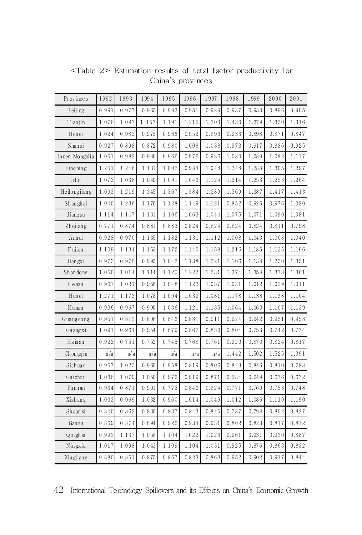| Provinces       | 1992  | 1993  | 1994  | 1995  | 1996  | 1997  | 1998  | 1999  | 2000  | 2001  |
|-----------------|-------|-------|-------|-------|-------|-------|-------|-------|-------|-------|
| <b>B</b> eijing | 0.991 | 0.977 | 0.965 | 0.993 | 0.951 | 0.929 | 0.937 | 0.933 | 0.896 | 0.905 |
| Tianjin         | 1.076 | 1.097 | 1.157 | 1.191 | 1.215 | 1.203 | 1.430 | 1.379 | 1.350 | 1.316 |
| Hebei           | 1.024 | 0.982 | 0.975 | 0.966 | 0.952 | 0.896 | 0.933 | 0.898 | 0.871 | 0.847 |
| Shanxi          | 0.927 | 0.898 | 0.872 | 0.980 | 1.008 | 1.038 | 0.973 | 0.917 | 0.886 | 0.925 |
| In ner Mongolia | 1.051 | 0.982 | 0.980 | 0.966 | 0.976 | 0.986 | 1.080 | 1.089 | 1.082 | 1.117 |
| Liaoning        | 1.251 | 1.246 | 1.131 | 1.007 | 0.984 | 1.048 | 1.248 | 1.288 | 1.305 | 1.297 |
| Jilin           | 1.072 | 1.038 | 1.049 | 1.091 | 1.043 | 1.124 | 1.214 | 1.253 | 1.253 | 1.264 |
| Heilongjiang    | 1.093 | 1.219 | 1.345 | 1.367 | 1.384 | 1.389 | 1.369 | 1.387 | 1.417 | 1.413 |
| Shanghai        | 1.040 | 1.236 | 1.176 | 1.128 | 1.149 | 1.121 | 0.852 | 0.925 | 0.976 | 1.020 |
| Jiang su        | 1.114 | 1.147 | 1.131 | 1.106 | 1.063 | 1.044 | 1.075 | 1.071 | 1.090 | 1.081 |
| Zhejiang        | 0.771 | 0.874 | 0.881 | 0.882 | 0.824 | 0.824 | 0.824 | 0.824 | 0.811 | 0.798 |
| Anhui           | 0.928 | 0.970 | 1.135 | 1.182 | 1.131 | 1.112 | 1.008 | 1.043 | 1.008 | 1.040 |
| F ujian         | 1.109 | 1.134 | 1.153 | 1.172 | 1.140 | 1.158 | 1.216 | 1.185 | 1.135 | 1.166 |
| Jiangxi         | 0.973 | 0.976 | 0.995 | 1.042 | 1.138 | 1.221 | 1.106 | 1.138 | 1.230 | 1.351 |
| Shandong        | 1.050 | 1.014 | 1.114 | 1.125 | 1.222 | 1.231 | 1.374 | 1.358 | 1.378 | 1.361 |
| Henan           | 0.967 | 1.021 | 0.956 | 1.048 | 1.122 | 1.037 | 1.031 | 1.012 | 1.029 | 1.011 |
| Hubei           | 1.271 | 1.173 | 1.078 | 1.004 | 1.039 | 1.081 | 1.178 | 1.138 | 1.138 | 1.104 |
| Hunan           | 0.936 | 0.967 | 0.990 | 1.036 | 1.121 | 1.135 | 1.064 | 1.063 | 1.107 | 1.139 |
| G ua ng do ng   | 0.951 | 0.812 | 0.808 | 0.846 | 0.881 | 0.911 | 0.924 | 0.942 | 0.951 | 0.958 |
| Guangxi         | 1.091 | 0.961 | 0.954 | 0.879 | 0.867 | 0.830 | 0.804 | 0.753 | 0.742 | 0.774 |
| Hainan          | 0.922 | 0.751 | 0.752 | 0.745 | 0.768 | 0.761 | 0.920 | 0.870 | 0.824 | 0.817 |
| Chongqin        | n/a   | n/a   | n/a   | n/a   | n/a   | n/a   | 1.442 | 1.502 | 1.525 | 1.391 |
| Sichuan         | 0.957 | 1.025 | 0.960 | 0.958 | 0.819 | 0.806 | 0.843 | 0.846 | 0.810 | 0.788 |
| Guizhou         | 1.036 | 1.079 | 1.050 | 0.976 | 0.919 | 0.871 | 0.584 | 0.649 | 0.676 | 0.672 |
| Yunn an         | 0.934 | 0.871 | 0.901 | 0.772 | 0.843 | 0.824 | 0.771 | 0.760 | 0.753 | 0.748 |
| Xizhang         | 1.033 | 0.969 | 1.032 | 0.960 | 1.014 | 1.049 | 1.012 | 1.086 | 1.119 | 1.190 |
| Shaanxi         | 0.840 | 0.862 | 0.830 | 0.837 | 0.843 | 0.845 | 0.787 | 0.798 | 0.802 | 0.827 |
| Gansu           | 0.869 | 0.874 | 0.894 | 0.926 | 0.934 | 0.931 | 0.802 | 0.823 | 0.817 | 0.812 |
| Qinghai         | 0.992 | 1.137 | 1.058 | 1.104 | 1.022 | 1.026 | 0.961 | 0.931 | 0.930 | 0.887 |
| Ningxia         | 1.017 | 1.098 | 1.043 | 1.109 | 1.104 | 1.031 | 0.925 | 0.876 | 0.863 | 0.832 |
| Xingjiang       | 0.880 | 0.851 | 0.875 | 0.867 | 0.823 | 0.863 | 0.952 | 0.902 | 0.917 | 0.844 |

<Table 2> Estimation results of total factor productivity for China's provinces

42 International Technology Spillovers and its Effects on China's Economic Growth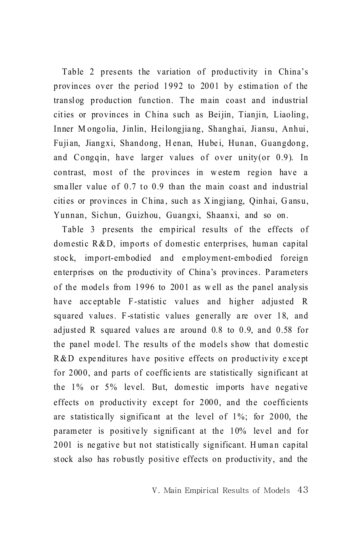Table 2 presents the variation of productivity in China's provinces over the period 1992 to 2001 by e stima tion of the translog production function. The main coast and industrial cities or provinces in China such as Beijin, Tianjin, Liaoling, Inner Mongolia, Jinlin, Heilongjiang, Shanghai, Jiansu, Anhui, Fujian, Jiangxi, Shandong, Henan, Hubei, Hunan, Guangdong, and Congqin, have larger values of over unity(or 0.9). In contrast, most of the provinces in western region have a sma ller value of 0.7 to 0.9 than the main coast and industrial cities or provinces in China, such as Xingjiang, Qinhai, Gansu, Yunnan, Sichun, Guizhou, Guangxi, Shaanxi, and so on.

Table 3 presents the empirical results of the effects of dom estic  $R & D$ , imports of domestic enterprises, human capital stock, import-embodied and employment-embodied foreign enterprises on the productivity of China's provinces. Parameters of the models from 1996 to 2001 as well as the panel analysis have acceptable F-statistic values and higher adjusted R squared values. F-statistic values generally are over 18, and adjusted R squared values are around 0.8 to 0.9, and 0.58 for the panel model. The results of the models show that domestic R &D expenditures have positive effects on productivity except for 2000, and parts of coeffic ients are statistically significant at the 1% or 5% level. But, domestic imports have negative effects on productivity except for  $2000$ , and the coefficients are statistically significant at the level of  $1\%$ ; for 2000, the param eter is positive ly significant at the 10% level and for 2001 is negative but not statistically significant. Human capital stock also has robustly positive effects on productivity, and the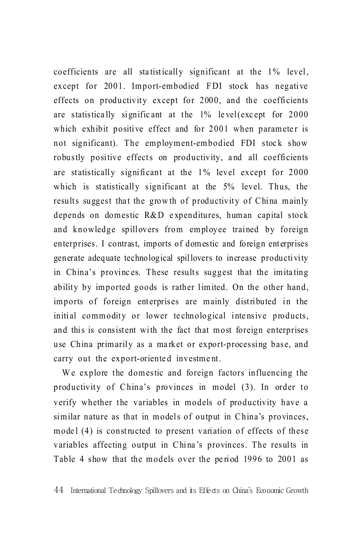coefficients are all statistically significant at the  $1\%$  level, except for 2001. Import-embodied FDI stock has negative effects on productivity except for 2000, and the coefficients are statistica lly signific ant at the 1% le vel(exc ept for 2000 which exhibit positive effect and for 2001 when parameter is not significant). The employment-embodied FDI stock show robustly positive effects on productivity, and all coefficients are statistically significant at the  $1\%$  level except for  $2000$ which is statistically significant at the 5% level. Thus, the results suggest that the growth of productivity of China mainly depends on domestic R&D e xpenditures, human capital stock and knowledge spillovers from employee trained by foreign enterprises. I contrast, imports of domestic and foreign enterprises generate adequate technological spillovers to increase productivity in China's provinc es. These results suggest that the imita ting ability by imported goods is rather limited. On the other hand, im ports of foreign enterprises are m ainly distributed in the initial commodity or lower technological intensive products, and this is consistent with the fact that most foreign enterprises use China primarily as a market or export-processing base, and carry out the export-oriented investment.

We explore the domestic and foreign factors influencing the productivity of China's provinces in model (3). In order to verify whether the variables in models of productivity have a similar nature as that in models of output in China's provinces, model  $(4)$  is constructed to present variation of effects of these variables affecting output in China's provinces. The results in Table 4 show that the models over the period 1996 to 2001 as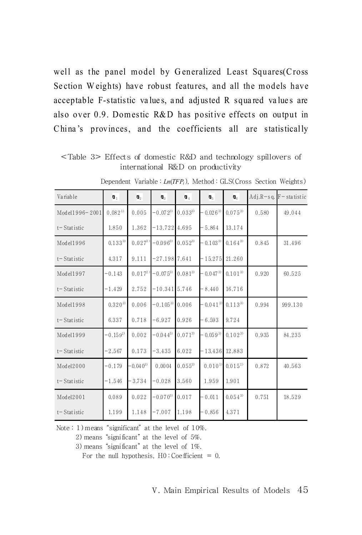well as the panel model by Generalized Least Squares(Cross Se ction W eights) have robust features, and all the models have acceptable F-statistic va lue s, a nd adj usted R squa red va lue s are also over 0.9. Domestic R&D has positive effects on output in China's provinces, and the coefficients all are statistically

<Table 3> Effects of domestic R&D and technology spillovers of international R&D on productivity

| Variable        | $\mathbf{u}_1$ | $\mathbf{u}_2$ | $\Pi_3$         | $\P$ <sub>4</sub> | ŋ,           | Q <sub>6</sub> | $Adj.R-sq.$ | $F$ – statistic |
|-----------------|----------------|----------------|-----------------|-------------------|--------------|----------------|-------------|-----------------|
| Model1996-2001  | $0.082^{10}$   | 0.005          | $-0.072^{3}$    | $0.033^{3}$       | $-0.026^{3}$ | $0.075^{3}$    | 0.580       | 49.044          |
| t-Statistic     | 1.850          | 1.362          | $-13.722$       | 4.695             | $-5.864$     | 13.174         |             |                 |
| Model1996       | $0.133^{3}$    | $0.027^{3}$    | $-0.096^{3}$    | $0.052^{3}$       | $-0.103^{3}$ | $0.164^{3}$    | 0.845       | 31.496          |
| t-Statistic     | 4.317          | 9.111          | $-27.198$ 7.641 |                   | $-15.275$    | 21.260         |             |                 |
| Model1997       | $-0.143$       | $0.017^{2}$    | $-0.075^{3}$    | $0.081^{3}$       | $-0.047^{3}$ | $0.101^{3}$    | 0.920       | 60.525          |
| t-Statistic     | $-1.429$       | 2.752          | $-10.341$ 5.746 |                   | $-8.440$     | 16.716         |             |                 |
| Model1998       | $0.320^{3}$    | 0.006          | $-0.105^{3}$    | 0.006             | $-0.041^{3}$ | $0.113^{3}$    | 0.994       | 999.130         |
| t-Statistic     | 6.337          | 0.718          | $-6.927$        | 0.926             | $-6.593$     | 9.724          |             |                 |
| Model1999       | $-0.159^{2}$   | 0.002          | $-0.044^{3}$    | $0.071^{3}$       | $-0.059^{3}$ | $0.102^{3}$    | 0.935       | 84.235          |
| t-Statistic     | $-2.567$       | 0.173          | $-3.435$        | 6.022             | $-13.436$    | 12.883         |             |                 |
| Model2000       | $-0.179$       | $-0.040^{3}$   | 0.0004          | $0.055^{3}$       | $0.010^{11}$ | $0.015^{11}$   | 0.872       | 40.563          |
| t-Statistic     | $-1.546$       | $-3.734$       | $-0.028$        | 3.560             | 1.959        | 1.901          |             |                 |
| Model2001       | 0.089          | 0.022          | $-0.070^{3}$    | 0.017             | $-0.011$     | $0.054^{3}$    | 0.751       | 18.529          |
| $t -$ Statistic | 1.199          | 1.148          | $-7.007$        | 1.198             | $-0.856$     | 4.371          |             |                 |

Dependent Variable : *Ln*(*TFPi*), Method : GLS(Cross Section Weights)

Note : 1)means "significant" at the level of 10%.

2) means "significant" at the level of 5%.

3) means "significant" at the level of 1%.

For the null hypothesis,  $H0$ : Coefficient = 0.

<sup>Ⅴ</sup>. Main Empirical Results of Models 45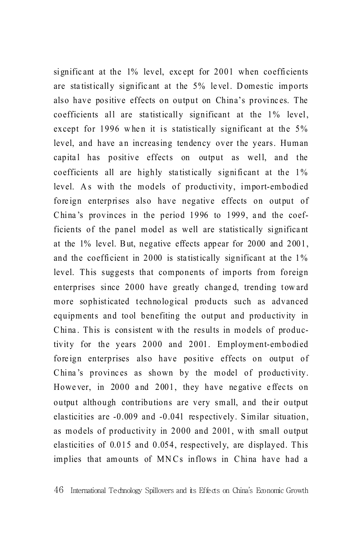significant at the  $1\%$  level, except for 2001 when coefficients are sta tistically signific ant at the 5% le vel. D omestic imports also have positive effects on output on China's provinc es. The coefficients all are statistically significant at the 1% level, except for 1996 when it is statistically significant at the  $5\%$ level, and have an increasing tendency over the years. Human capital has positive effects on output as well, and the coefficients all are highly statistically significant at the  $1\%$ level. As with the models of productivity, import-embodied foreign enterprises also have negative effects on output of China's provinces in the period 1996 to 1999, and the coefficients of the panel model as well are statistically significa nt at the  $1\%$  level. But, negative effects appear for  $2000$  and  $2001$ , and the coefficient in 2000 is statistically significant at the  $1\%$ level. This suggests that components of imports from foreign enterprises since 2000 have greatly changed, trending toward more sophisticated technological products such as advanced equipments and tool benefiting the output and productivity in China. This is consistent with the results in models of productivity for the years 2000 and 2001. Employment-embodied fore ign enterprises also have positive effects on output of China's provinces as shown by the model of productivity. However, in 2000 and 2001, they have negative effects on output although contributions are very small, and the ir output elasticities are -0.009 and -0.041 respectively. S im ilar situation, as models of productivity in 2000 and 2001, w ith small output elasticities of  $0.015$  and  $0.054$ , respectively, are displayed. This implies that amounts of MNCs inflows in China have had a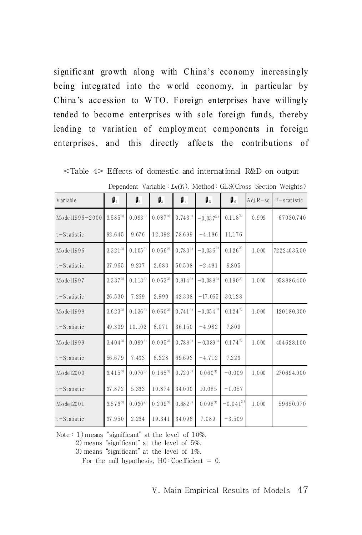signific ant growth along with China's economy increasingly being integrated into the world economy, in particular by China's accession to WTO. Foreign enterprises have willingly tended to become enterprises with sole foreign funds, thereby leading to variation of employment components in foreign enterprises, and this directly affects the contributions of

| Variable        | $\mathbf{\mu}_1$ | $\mathbf{I}_2$ | $\mathbf{I}_3$ | 1.               | β,           | $\mathbf{I}_6$     | $Adj.R-sq.$ | $F$ – s tat istic |
|-----------------|------------------|----------------|----------------|------------------|--------------|--------------------|-------------|-------------------|
| Model1996-2000  | $3.585^{3}$      | $0.093^{3}$    | $0.087^{3}$    | $0.74\,3^{\,3)}$ | $-0.037^{3}$ | $0.1\,1\,8^{\,3)}$ | 0.999       | 67030.740         |
| $t$ – Statistic | 92.645           | 9.676          | 12.392         | 78.699           | $-4.186$     | 11.176             |             |                   |
| Mode11996       | $3.321^{3}$      | $0.105^{3}$    | $0.056^{2}$    | $0.783^{3}$      | $-0.036^{2}$ | $0.126^{3}$        | 1.000       | 72224035.00       |
| $t$ – Statistic | 37.965           | 9.207          | 2.683          | 50.508           | $-2.481$     | 9.805              |             |                   |
| Mode11997       | $3.337^{3}$      | $0.113^{3}$    | $0.053^{3}$    | $0.814^{3}$      | $-0.088^{3}$ | $0.190^{3}$        | 1.000       | 958886.400        |
| $t$ – Statistic | 26.530           | 7.269          | 2.990          | 42.338           | $-17.065$    | 30.128             |             |                   |
| Mode11998       | $3.623^{3}$      | $0.136^{3}$    | $0.060^{3}$    | $0.741^{3}$      | $-0.054^{3}$ | $0.124^{3)}$       | 1.000       | 120180.300        |
| $t$ – Statistic | 49.309           | 10.102         | 6.071          | 36.150           | $-4.982$     | 7.809              |             |                   |
| Mode11999       | $3.404^{3)}$     | 0.0993         | $0.095^{3}$    | $0.788^{3}$      | $-0.089^{3}$ | $0.17\,4^{\,3)}$   | 1.000       | 404628.100        |
| $t$ -Statistic  | 56.679           | 7.433          | 6.328          | 69.693           | $-4.712$     | 7.223              |             |                   |
| Mode12000       | $3.415^{3}$      | $0.070^{3}$    | $0.165^{3}$    | $0.720^{3}$      | $0.060^{3}$  | $-0.009$           | 1.000       | 270694.000        |
| $t$ – Statistic | 37.872           | 5.363          | 10.874         | 34.000           | 10.085       | $-1.057$           |             |                   |
| Mode12001       | $3.576^{3)}$     | $0.030^{2}$    | $0.209^{3}$    | $0.682^{3}$      | $0.098^{3}$  | $-0.041^{3}$       | 1.000       | 59650.070         |
| $t$ – Statistic | 37.950           | 2.264          | 19.341         | 34.096           | 7.089        | $-3.509$           |             |                   |

<Table 4> Effects of domestic and international R&D on output

Dependent Variable :  $Ln(Y_i)$ , Method : GLS(Cross Section Weights)

Note: 1) means "significant" at the level of 10%.

2) means "significant" at the level of 5%.

3) means "significant" at the level of 1%.

For the null hypothesis,  $H0$ : Coefficient = 0.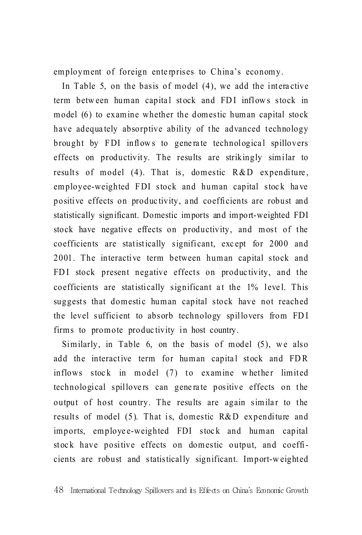employment of foreign enterprises to China's economy.

In Table 5, on the basis of model  $(4)$ , we add the interactive term between human capital stock and FDI inflows stock in model (6) to examine whether the domestic human capital stock have adequately absorptive ability of the advanced technology brought by FDI inflows to generate technological spillovers effects on productivity. The results are strikingly similar to results of model  $(4)$ . That is, domestic R&D expenditure, employee-weighted FDI stock and human capital stock have positive effects on productivity, and coefficients are robust and statistically significant. Domestic im ports and im port-weighted FDI stock have negative effects on productivity, and most of the coefficients are statistically significant, except for 2000 and 2001. The interactive term between human capital stock and FDI stock present negative effects on productivity, and the coefficients are statistically significant at the 1% level. This suggests that domestic human capital stock have not reached the level sufficient to absorb technology spillovers from FDI firms to promote produc tivity in host country.

Similarly, in Table 6, on the basis of model  $(5)$ , we also add the interactive term for human capital stock and FDR inflows stock in model  $(7)$  to examine whether limited technological spillovers can generate positive effects on the output of host country. The results are again similar to the results of model  $(5)$ . That is, domestic R&D expenditure and imports, employee-weighted FDI stock and human capital stock have positive effects on domestic output, and coefficients are robust and statistically significant. Import-w eighted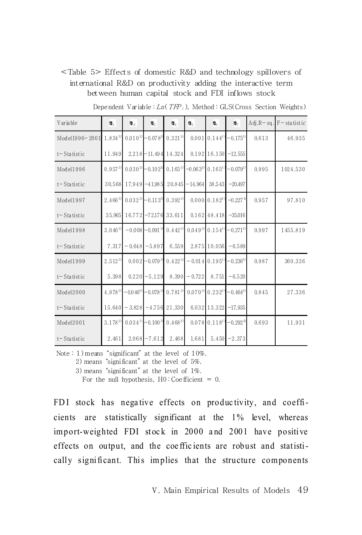## <Table 5> Effects of domestic R&D and technology spillovers of international R&D on productivity adding the interactive term between human capital stock and FDI inflows stock

| Variable        | ŋ,          | $\P_2$      | $\P$ <sub>3</sub>                  | $\mathbf{u}_4$        | ŋ.           | $\mathbf{u}_\mathrm{a}$        | $\mathbf{u}_7$           |       | $Adj.R - sq.F - statistic$ |
|-----------------|-------------|-------------|------------------------------------|-----------------------|--------------|--------------------------------|--------------------------|-------|----------------------------|
| Model1996-2001  | $1.834^{3}$ |             | $0.010^{29} - 0.078^{39}$          | $0.321^{3}$           |              | $0.001$ 0.144 <sup>3</sup>     | $-0.175^{3}$             | 0.613 | 46.935                     |
| t-Statistic     | 11.949      |             | $2.218 - 11.494$                   | 14.324                |              |                                | $0.192$ 16.150 $-12.555$ |       |                            |
| Model1996       | $0.957^{3}$ | $0.030^{3}$ | $-0.102^{3}$                       | $0.165^{3}$           | $-0.063^{3}$ | $0.165^{3}$                    | $-0.079^{3}$             | 0.995 | 1024.530                   |
| $t -$ Statistic | 30.568      | 17.949      | $-41.985$                          | 20.845                | $-14.964$    | 38.543                         | $-20.497$                |       |                            |
| Model1997       | $2.466^{3}$ |             | $0.032^{3} - 0.113^{3}$            | $0.392^{3}$           |              | $0.000$ $0.182^{3}$            | $-0.2273$                | 0.957 | 97.810                     |
| $t -$ Statistic | 35.965      |             |                                    | 16.772 -72.176 33.611 |              | $0.162$ 48.418                 | $-35.016$                |       |                            |
| Model1998       | $3.046^{3}$ |             | $-0.008 - 0.091^{3}$               | $0.442^{3}$           | $0.049^{3}$  | $0.154^{3}$                    | $-0.271^{3}$             | 0.997 | 1455.819                   |
| t-Statistic     | 7.317       | $-0.648$    | $-5.897$                           | 6.559                 |              | 2.875 10.056                   | $-6.589$                 |       |                            |
| Model1999       | $2.512^{3}$ |             | $0.002 - 0.079^{3}$                | $0.422^{3}$           |              | $-0.014$ 0.195 <sup>3</sup>    | $-0.236^{3}$             | 0.987 | 360.336                    |
| $t -$ Statistic | 5.398       | 0.220       | $-5.129$                           | 8.390                 | $-0.722$     | 8.751                          | $-6.520$                 |       |                            |
| Model2000       | 4.9783)     |             | $-0.046^{3} - 0.078^{3}$           | $0.781^{3}$           |              | $0.070^{3}$ 0.232 <sup>3</sup> | $-0.464^{3}$             | 0.845 | 27.336                     |
| $t -$ Statistic | 15.640      |             | $-3.828$ -4.756                    | 21.330                |              | 6.032 13.322                   | $-17.935$                |       |                            |
| Model2001       | $3.178^{2}$ |             | $0.034^{11}$ – 0.100 <sup>3)</sup> | $0.468^{2}$           |              | $0.078$ 0.118 <sup>3</sup>     | $-0.292^{2}$             | 0.693 | 11.931                     |
| $t -$ Statistic | 2.461       |             | $2.068 - 7.612$                    | 2.468                 | 1.681        |                                | $5.450 - 2.373$          |       |                            |

Dependent Variable :  $Ln(TFP<sub>i</sub>)$ , Method : GLS(Cross Section Weights)

Note : 1)means "significant" at the level of 10%.

2) means "significant" at the level of 5%.

3) means "significant" at the level of 1%.

For the null hypothesis,  $H0$ : Coefficient = 0.

FDI stock has negative effects on productivity, and coefficients are statistically significant at the 1% level, whereas import-weighted FDI stock in 2000 and 2001 have positive effects on output, and the coefficients are robust and statistically significant. This implies that the structure components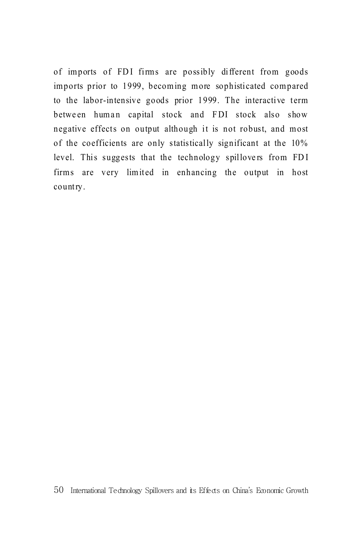of imports of FDI firms are possibly different from goods imports prior to 1999, becoming more sophisticated compared to the labor-intensive goods prior 1999. The interactive term between human capital stock and FDI stock also show negative effects on output although it is not robust, and most of the coefficients are only statistically significant at the 10% level. This suggests that the technology spillovers from FDI firms are very limited in enhancing the output in host country.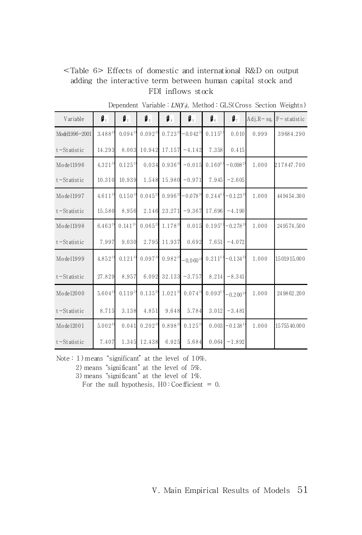## <Table 6> Effects of domestic and international R&D on output adding the interactive term between human capital stock and FDI inflows stock

| Variable        | ρ,          | $\mathbf{I}_2$ | β,          | β.          | μ,                    | $\mathbf{I}_6$ | $\mathbf{I}_7$                        | $Adj.R-sq.$ | $F$ – statistic |
|-----------------|-------------|----------------|-------------|-------------|-----------------------|----------------|---------------------------------------|-------------|-----------------|
| Model1996-2001  | $3.488^{3}$ | $0.094^{3}$    | $0.092^{3}$ | $0.723^{3}$ | $-0.042^{3}$          | $0.115^{3}$    | 0.010                                 | 0.999       | 39684.290       |
| $t$ – Statistic | 14.293      | 8.003          | 10.942      | 17.157      | $-4.142$              | 7.358          | 0.415                                 |             |                 |
| Mode11996       | $4.321^{3}$ | $0.125^{3}$    | 0.034       | $0.936^{3}$ | $-0.015$              | $0.160^{3}$    | $-0.0982$                             | 1.000       | 217847.700      |
| $t$ -Statistic  | 10.310      | 10.939         | 1.548       | 15.980      | $-0.971$              | 7.945          | $-2.605$                              |             |                 |
| Mode11997       | $4.611^{3}$ | $0.150^{3}$    | $0.045^{2}$ | $0.996^{3}$ | $-0.078$ <sup>3</sup> | $0.244^{3}$    | $-0.123^{3}$                          | 1.000       | 44 94 54, 30 0  |
| $t$ – Statistic | 15.580      | 8.956          | 2.146       | 23.271      | $-9.367$              | 17.696         | $-4.190$                              |             |                 |
| Mode11998       | $6.463^{3}$ | $0.141^{3}$    | $0.065^{2}$ | $1.178^{3}$ | 0.015                 | $0.195^{3}$    | $-0.278^{3}$                          | 1.000       | 249574.500      |
| $t$ – Statistic | 7.997       | 9.030          | 2.795       | 11.937      | 0.692                 | 7.651          | $-4.072$                              |             |                 |
| Mode11999       | $4.852^{3}$ | $0.121^{3}$    | $0.097^{3}$ | $0.982^{3}$ | $-0.060^{3}$          | $0.211^{3}$    | $-0.134$ $^{\scriptscriptstyle{(3)}}$ | 1.000       | 1501915.000     |
| $t$ – Statistic | 27.829      | 8.957          | 6.092       | 32.133      | $-3.757$              | 8.214          | $-8.341$                              |             |                 |
| Mode12000       | $5.604^{3}$ | $0.119^{3}$    | $0.135^{3}$ | $1.021^{3}$ | $0.074^{3}$           | $0.093^{3}$    | $-0.200^{3}$                          | 1.000       | 24 98 62, 200   |
| $t$ – Statistic | 8.715       | 3.138          | 4.851       | 9.648       | 5.784                 | 3.012          | $-3.481$                              |             |                 |
| Mode12001       | $5.002^{3}$ | 0.041          | $0.202^{3}$ | $0.898^{3}$ | $0.125^{3}$           | 0.003          | $-0.1381$                             | 1.000       | 1575540.000     |
| $t$ – Statistic | 7.407       | 1.345          | 12.438      | 6.925       | 5.684                 | 0.064          | $-1.892$                              |             |                 |

Dependent Variable : *LN*(*Yi)*, Method : GLS(Cross Section Weights)

Note : 1) means "significant" at the level of 10%.

2) means "significant" at the level of 5%.

3) means "significant" at the level of 1%.

For the null hypothesis,  $H0$ : Coefficient = 0.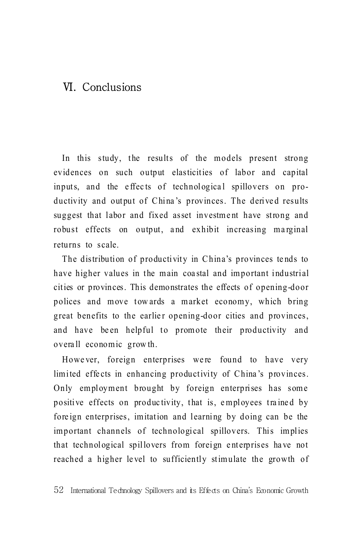# Ⅵ. Conclusions

In this study, the results of the models present strong evidences on such output elasticities of labor and capital inputs, and the effects of technological spillovers on productivity and output of China's provinces. The derived results suggest that labor and fixed asset investment have strong and robust effects on output, and exhibit increasing marginal returns to scale.

The distribution of productivity in China's provinces tends to have higher values in the main coa stal and important industrial cit ies or provinces. This demonstrates the effects of opening-door polices and move tow ards a market economy, which bring great benefits to the earlier opening-door cities and provinces, and have been helpful to promote their productivity and overa ll econom ic grow th.

Howe ver, foreign enterprises were found to have very limited effects in enhancing productivity of China's provinces. Only employment brought by foreign enterprises has some positive effects on produc tivity, that is, e mployees tra ine d by foreign enterprises, imitation and learning by doing can be the important channels of technological spillovers. This implies that technological spillovers from foreign enterprises have not reached a higher level to sufficiently stimulate the growth of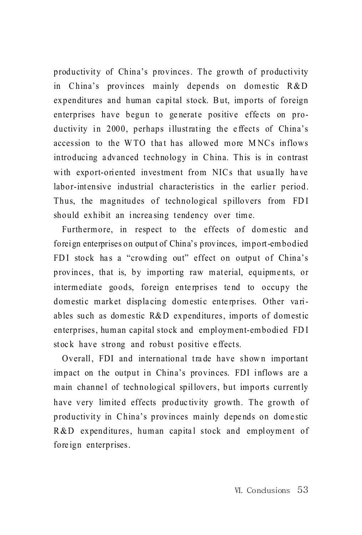productivity of China's provinces. The growth of productivity in China's provinces mainly depends on domestic R&D expenditures and human capital stock. But, imports of foreign enterprises have begun to generate positive effects on productivity in 2000, perhaps illustrating the e ffects of China's accession to the WTO that has allowed more MNCs inflows introducing a dvanced technology in China. This is in contrast with export-oriented investment from NICs that usually have labor-intensive industrial characteristics in the earlier period. Thus, the magnitudes of technological spillovers from FDI should exhibit an increa sing tendency over time.

Furthermore, in respect to the effects of domestic and forei gn enterprises on output of China's provinces, im port -em bodied FDI stock has a "crowding out" effect on output of China's provinces, that is, by importing raw material, equipments, or intermediate goods, foreign enterprises tend to occupy the dom estic market displacing domestic enterprises. Other variables such as domestic R&D expenditures, imports of domestic enterprises, human capital stock and employment-embodied FDI stock have strong and robust positive effects.

Overall, FDI and international trade have shown important impact on the output in China's provinces. FDI inflows are a main channel of technological spillovers, but imports currently have very limited effects productivity growth. The growth of productivity in China's provinces mainly depends on domestic R & D expenditures, human capital stock and employment of fore ign enterprises.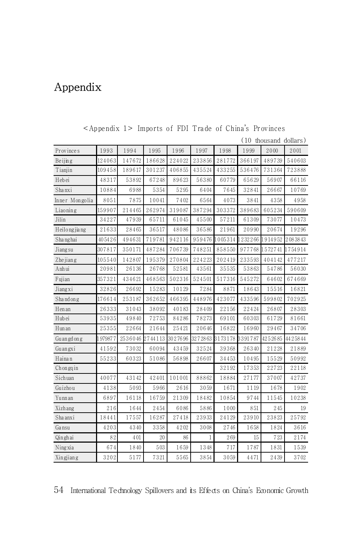# Appendix

|                     |         |         |         |         |        |                         |         | (10 thousand dollars) |         |
|---------------------|---------|---------|---------|---------|--------|-------------------------|---------|-----------------------|---------|
| Provinces           | 1993    | 1994    | 1995    | 1996    | 1997   | 1998                    | 1999    | 2000                  | 2001    |
| Beijing             | 124063  | 147672  | 186628  | 224022  | 233856 | 281772                  | 366197  | 489739                | 540603  |
| Tianjin             | 109458  | 189617  | 301237  | 406855  | 435524 | 433255                  | 536476  | 731364                | 723888  |
| Hebei               | 48317   | 53892   | 67248   | 89623   | 56380  | 60779                   | 65629   | 56907                 | 66116   |
| Shanxi              | 10884   | 6988    | 5354    | 5295    | 6404   | 7645                    | 32841   | 26667                 | 10769   |
| Inner Mongolia      | 8051    | 7875    | 10041   | 7402    | 6564   | 4073                    | 3841    | 4358                  | 4958    |
| Liaoning            | 159907  | 214465  | 262974  | 319087  | 387294 | 303372                  | 389683  | 605234                | 590609  |
| Jilin               | 34227   | 47939   | 65711   | 61045   | 45500  | 57211                   | 61309   | 73077                 | 10473   |
| Heilongjiang        | 21633   | 28465   | 36517   | 48086   | 36586  | 21961                   | 20990   | 20674                 | 19296   |
| Shanghai            | 405426  | 494631  | 719781  | 942116  | 959476 | 1005314                 | 1232266 | 1914952               | 2083843 |
| Jiang <sub>su</sub> | 307817  | 350171  | 487284  | 706739  | 748251 | 858550                  | 977768  | 1572741               | 1754914 |
| Zhejiang            | 105540  | 142807  | 195379  | 270804  | 224223 | 202419                  | 233593  | 404142                | 477217  |
| Anhui               | 20981   | 26136   | 26768   | 52581   | 43561  | 35535                   | 53863   | 54786                 | 56030   |
| Fujian              | 357321  | 434621  | 468563  | 502316  | 524501 | 517316                  | 545272  | 64602                 | 674669  |
| Jiangxi             | 32826   | 26692   | 15283   | 10129   | 7284   | 8871                    | 18643   | 15516                 | 16821   |
| Shandong            | 176614  | 253187  | 362652  | 466395  | 448976 | 423077                  | 433596  | 599802                | 702925  |
| Hen an              | 26333   | 31043   | 38092   | 40183   | 28409  | 22156                   | 22424   | 26807                 | 28303   |
| Hubei               | 53935   | 49840   | 72753   | 84286   | 78273  | 69101                   | 60303   | 61729                 | 81661   |
| H un an             | 25355   | 22664   | 21644   | 25421   | 20646  | 16822                   | 16960   | 29467                 | 34706   |
| Gu an gd on g       | 1979877 | 2536046 | 2744113 | 3027696 |        | 3272863 3173178 3391787 |         | 4252685               | 4425844 |
| Guangxi             | 41592   | 73032   | 60094   | 43459   | 32524  | 39368                   | 26340   | 21228                 | 21889   |
| Hainan              | 55233   | 60323   | 51086   | 56898   | 26607  | 34453                   | 10495   | 15529                 | 50992   |
| Chongqin            |         |         |         |         |        | 32192                   | 17353   | 22723                 | 22118   |
| Sichuan             | 40077   | 43142   | 42401   | 101001  | 88862  | 18884                   | 27177   | 37007                 | 42737   |
| Guizhou             | 4138    | 5093    | 5966    | 2616    | 3059   | 1671                    | 1119    | 1678                  | 1902    |
| Yunn an             | 6897    | 16118   | 16759   | 21309   | 18482  | 10854                   | 9744    | 11545                 | 10238   |
| Xizh ang            | 216     | 1644    | 2454    | 6086    | 5886   | 1000                    | 851     | 245                   | 19      |
| Sha anxi            | 18441   | 17557   | 16287   | 27418   | 23933  | 24129                   | 23910   | 23823                 | 25792   |
| Gansu               | 4203    | 4340    | 3358    | 4202    | 3008   | 2746                    | 1658    | 1824                  | 3616    |
| Qinghai             | 82      | 401     | 20      | 86      | 1      | 269                     | 15      | 723                   | 2174    |
| Ningxia             | 674     | 1840    | 503     | 1659    | 1348   | 717                     | 1787    | 1831                  | 1539    |
| Xingjiang           | 3202    | 5177    | 7321    | 5565    | 3854   | 3059                    | 4471    | 2439                  | 3702    |

<Appendix 1> Imports of FDI Trade of China's Provinces

54 International Technology Spillovers and its Effects on China's Economic Growth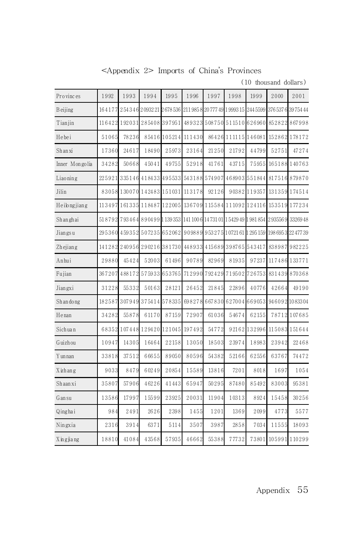<Appendix 2> Imports of China's Provinces

(10 thousand dollars)

| Provinces       | 1992   | 1993   | 1994                                                                             | 1995         | 1996   | 1997   | 1998                                           | 1999         | 2000  | 2001                |
|-----------------|--------|--------|----------------------------------------------------------------------------------|--------------|--------|--------|------------------------------------------------|--------------|-------|---------------------|
| <b>B</b> eijing | 164177 |        | 254346209322126785362119858                                                      |              |        |        | 20 777 49 1 9993 15 244 5599                   |              |       | 376 537 6 39 754 44 |
| Tianjin         |        |        | 116422 192031 285408 397951                                                      |              | 489323 |        | 508750 511510                                  | 626960       |       | 852822867998        |
| Hebei           | 51065  | 78236  |                                                                                  | 85416 105214 | 111430 |        | 86426 111115 146081                            |              |       | 152862 178172       |
| Shanxi          | 17360  | 24617  | 18490                                                                            | 25973        | 23164  | 21250  | 21792                                          | 44799        | 52751 | 47274               |
| Inner Mongolia  | 34282  | 50668  | 45041                                                                            | 49755        | 52918  | 41761  | 43715                                          | 75955        |       | 165188 140763       |
| Liaoning        | 225921 |        | 335146418433495533                                                               |              |        |        | 543188 574907 468903 551844                    |              |       | 817516879870        |
| Jilin           |        |        | 83058 130070 142483 151031                                                       |              | 113178 | 92126  |                                                | 90382 119357 |       | 131359 174514       |
| Heilongjiang    |        |        | 113497 161335 118487 122005                                                      |              |        |        | 136709 115584 111092 124116 153519 177234      |              |       |                     |
| Shanghai        |        |        | 518792 793464 890499 139353 141 1006 14731 01 15429 49 1981 854 2935569 33269 48 |              |        |        |                                                |              |       |                     |
| Jiangsu         |        |        | 295360 459352 507235 652062                                                      |              |        |        | 909889 953275 1072161 1295 159 1986953 2247739 |              |       |                     |
| Zhejiang        |        |        | 141282 240956 290216 381730                                                      |              |        |        | 448933 415689 398765 543417                    |              |       | 838987982225        |
| Anhui           | 29880  | 45424  | 52003                                                                            | 61496        | 90789  | 82969  | 81935                                          | 97237        |       | 117486 133771       |
| Fujian          | 367207 |        | 488172575933653765                                                               |              |        |        | 712990 792429 719502 726753                    |              |       | 831439 870368       |
| Jiangxi         | 31228  | 55332  | 50163                                                                            | 28121        | 26452  | 21845  | 22896                                          | 40776        | 42664 | 49190               |
| Shandong        | 182587 | 307949 |                                                                                  | 375414578335 | 698278 | 667830 |                                                | 627004669053 |       | 9460921083304       |
| Henan           | 34282  | 55878  | 61170                                                                            | 87159        | 72907  | 61036  | 54674                                          | 62155        |       | 78712 107685        |
| Sichuan         |        |        | 68352 107448 129420 121045                                                       |              | 197492 | 54772  |                                                | 92162 132996 |       | 115083 151644       |
| Guizhou         | 10947  | 14305  | 16464                                                                            | 22158        | 13050  | 18503  | 23974                                          | 18983        | 23942 | 22468               |
| Y un nan        | 33818  | 37512  | 66655                                                                            | 89050        | 80596  | 54382  | 52166                                          | 62556        | 63767 | 74472               |
| Xizhang         | 9033   | 8479   | 60249                                                                            | 20854        | 15589  | 13816  | 7201                                           | 8018         | 1697  | 1054                |
| Shaanxi         | 35807  | 57906  | 46226                                                                            | 41443        | 65947  | 50295  | 87480                                          | 85492        | 83003 | 95381               |
| Gansu           | 13586  | 17997  | 15599                                                                            | 23925        | 20031  | 11904  | 10313                                          | 8924         | 15458 | 30256               |
| Qinghai         | 984    | 2491   | 2626                                                                             | 2398         | 1455   | 1201   | 1369                                           | 2099         | 4773  | 5577                |
| Ningxia         | 2316   | 3914   | 6371                                                                             | 5114         | 3507   | 3987   | 2858                                           | 7034         | 11555 | 18093               |
| Xingjiang       | 18810  | 41084  | 43568                                                                            | 57935        | 46662  | 55388  | 77732                                          | 73801        |       | 105991110299        |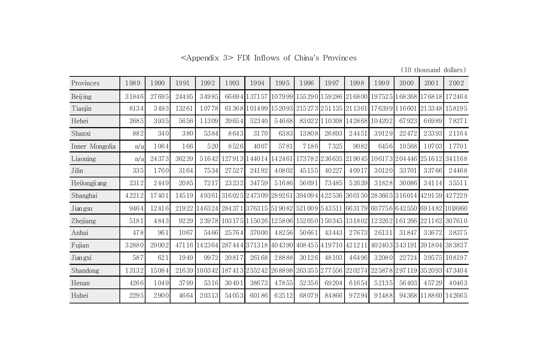<Appendix 3> FDI Inflows of China's Provinces

(10 thousand dollars)

| Provinces      | 1989  | 1990  | 1991  | 1992   | 1993                       | 1994         | 1995   | 1996  | 1997                                                                            | 1998  | 1999          | 2000                     | 2001   | 2002                     |
|----------------|-------|-------|-------|--------|----------------------------|--------------|--------|-------|---------------------------------------------------------------------------------|-------|---------------|--------------------------|--------|--------------------------|
| Beijing        | 31846 | 27695 | 24495 | 34985  |                            | 66694137157  | 107999 |       | 155290 159286 216800                                                            |       |               | 1975251168368            |        | 176818172464             |
| Tianjin        | 8134  | 3493  | 13261 | 10778  | 613681                     |              |        |       | 101499   152093   215273   251 135   21 1361                                    |       | 176399 116601 |                          | 213348 | 158195                   |
| Hebei          | 2685  | 3935  | 5656  | 11309  | 39654                      | 52340        | 54668  |       | 83022 10308 142868                                                              |       | 104202        | 67923                    | 66989  | 78271                    |
| Shanxi         | 882   | 340   | 380   | 5384   | 8643                       | 3170         | 6383   | 13808 | 26893                                                                           | 24451 | 39129         | 22472                    | 23393  | 21164                    |
| Inner Mongolia | n/a   | 1064  | 166   | 520    | 8526                       | 4007         | 5781   | 7186  | 7325                                                                            | 9082  | 6456          | 10568                    | 10703  | 17701                    |
| Liaoning       | n/a   | 24373 | 36239 | 51642  | 1279131                    | 44014        | 142461 |       | 173782 236635 219045                                                            |       |               | 106173204446             |        | 2516121341168            |
| Jilin          | 335   | 1760  | 3164  | 7534   | 27527                      | 24192        | 40802  | 45155 | 40227                                                                           | 40917 | 30120         | 33701                    | 33766  | 24468                    |
| Heilongji ang  | 2312  | 2449  | 2085  | 7217   | 23232                      | 34759        | 51686  | 56691 | 73485                                                                           | 52639 | 31828         | 30086                    | 34114  | 35511                    |
| Shanghai       | 42212 | 17401 | 14519 | 49361  | 316025247309289261         |              |        |       | 394094422536360150283665316014429159427229                                      |       |               |                          |        |                          |
| Jian gsu       | 9464  | 12416 | 21922 |        | 146324 284371              |              |        |       | . 376315 51 90 82 521 00 9 5 43 511 66 31 79 60 775 6 6 42 550 69 14 82 1018960 |       |               |                          |        |                          |
| Zhejiang       | 5181  | 4843  | 9229  |        | 23978 103175 115026 125806 |              |        |       | 152050 150345 131802 123262 161266 221162 307610                                |       |               |                          |        |                          |
| Anhui          | 4781  | 961   | 1067  | 5466   | 25764                      | 37000        | 48256  | 50661 | 43443                                                                           | 27673 | 26131         | 31847                    | 33672  | 38375                    |
| Fujian         | 32880 | 29002 |       |        |                            |              |        |       | 47116 142364 287444 371318 404390 408455 419710 421211                          |       | 402403343191  |                          |        | 391804 383837            |
| Jiangxi        | 587   | 621   | 1949  | 9972   | 20817                      | 26168        | 28888  | 30126 | 48103                                                                           | 46496 | 32080         | 22724                    |        | 39575 108197             |
| Shandong       | 13132 | 15084 | 21639 | 100342 |                            | 187413255242 | 268898 |       | 263355 277556 220274                                                            |       |               | 225878297119352093473404 |        |                          |
| Henan          | 4266  | 1049  | 3799  | 5316   | 30491                      | 38673        | 47855  | 52356 | 69204                                                                           | 61654 | 52135         | 56403                    | 45729  | 40463                    |
| Hubei          | 2295  | 2900  | 4664  | 20313  | 54053                      | 60186        | 62512  | 68079 | 84866                                                                           | 97294 | 91488         |                          |        | 94 368 11 88 60 14 266 5 |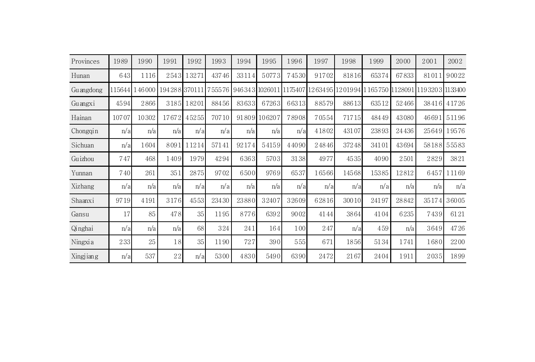| Provinces | 1989   | 1990   | 1991         | 1992       | 1993   | 1994  | 1995         | 1996  | 1997  | 1998  | 1999                                                    | 2000  | 2001           | 2002        |
|-----------|--------|--------|--------------|------------|--------|-------|--------------|-------|-------|-------|---------------------------------------------------------|-------|----------------|-------------|
| Hunan     | 643    | 1116   | 2543         | 13271      | 43746  | 33114 | 50773        | 74530 | 91702 | 81816 | 65374                                                   | 67833 | 81011          | 90022       |
| Guangdong | 115644 | 146000 | 194288370111 |            | 755576 |       |              |       |       |       | 946343 1026011 1175407 1263495 1201994 1 165750 1128091 |       | 11932031133400 |             |
| Guangxi   | 4594   | 2866   |              | 3185 18201 | 88456  | 83633 | 67263        | 66313 | 88579 | 88613 | 63512                                                   | 52466 | 38416          | 41726       |
| Hainan    | 10707  | 10302  | 17672        | 45255      | 70710  |       | 91809 106207 | 78908 | 70554 | 71715 | 48449                                                   | 43080 | 46691          | 51196       |
| Chongqin  | n/a    | n/a    | n/a          | n/a        | n/a    | n/a   | n/a          | n/a   | 41802 | 43107 | 23893                                                   | 24436 |                | 25649 19576 |
| Sichuan   | n/a    | 1604   | 8091         | 11214      | 57141  | 92174 | 54159        | 44090 | 24846 | 37248 | 34101                                                   | 43694 |                | 58188 55583 |
| Guizhou   | 747    | 468    | 1409         | 1979       | 4294   | 6363  | 5703         | 3138  | 4977  | 4535  | 4090                                                    | 2501  | 2829           | 3821        |
| Yunnan    | 740    | 261    | 351          | 2875       | 9702   | 6500  | 9769         | 6537  | 16566 | 14568 | 15385                                                   | 12812 | 6457           | 11169       |
| Xizhang   | n/a    | n/a    | n/a          | n/a        | n/a    | n/a   | n/a          | n/a   | n/a   | n/a   | n/a                                                     | n/a   | n/a            | n/a         |
| Shaanxi   | 9719   | 4191   | 3176         | 4553       | 23430  | 23880 | 32407        | 32609 | 62816 | 30010 | 24197                                                   | 28842 | 35174          | 36005       |
| Gansu     | 17     | 85     | 478          | 35         | 1195   | 8776  | 6392         | 9002  | 4144  | 3864  | 4104                                                    | 6235  | 7439           | 6121        |
| Qinghai   | n/a    | n/a    | n/a          | 68         | 324    | 241   | 164          | 100   | 247   | n/a   | 459                                                     | n/a   | 3649           | 4726        |
| Ningxia   | 233    | 25     | 18           | 35         | 1190   | 727   | 390          | 555   | 671   | 1856  | 5134                                                    | 1741  | 1680           | 2200        |
| Xingjiang | n/a    | 537    | 22           | n/a        | 5300   | 4830  | 5490         | 6390  | 2472  | 2167  | 2404                                                    | 1911  | 2035           | 1899        |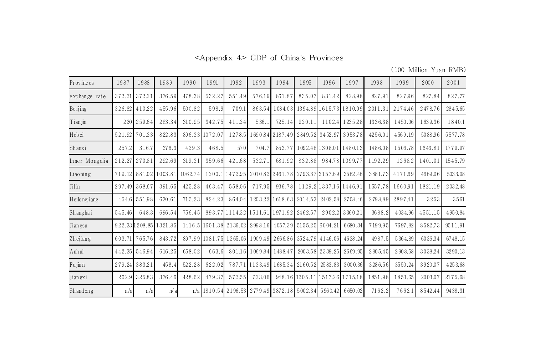<Appendix 4> GDP of China's Provinces

(100 Million Yuan RMB)

| Provinces      | 1987   | 1988           | 1989    | 1990    | 1991           | 1992                                                   | 1993           | 1994                    | 1995    | 1996                   | 1997                           | 1998    | 1999    | 2000    | 2001    |
|----------------|--------|----------------|---------|---------|----------------|--------------------------------------------------------|----------------|-------------------------|---------|------------------------|--------------------------------|---------|---------|---------|---------|
| exchange rate  | 372.21 | 372.21         | 376.59  | 478.38  | 532.27         | 551.49                                                 | 576.19         | 861.87                  | 835.07  | 831.42                 | 828.98                         | 827.91  | 827.96  | 827.84  | 827.77  |
| Beijing        | 326.82 | 410.22         | 455.96  | 500.82  | 598.9          | 709.1                                                  | 863.54         | 1084.03                 |         |                        | 1394.89 1615.73 1810.09        | 2011.31 | 2174.46 | 2478.76 | 2845.65 |
| Tianjin        | 220    | 259.64         | 283.34  | 310.95  | 342.75         | 411.24                                                 | 536.1          | 725.14                  | 920.11  | 1102.4                 | 1235.28                        | 1336.38 | 1450.06 | 1639.36 | 1840.1  |
| Hebei          | 521.92 | 701.33         | 822.83  |         | 896.33 1072.07 | 1278.5                                                 |                | 1690.84 2187.49         |         | 2849.52 3452.97        | 3953.78                        | 4256.01 | 4569.19 | 5088.96 | 5577.78 |
| Shanxi         | 257.2  | 316.7          | 376.3   | 429.3   | 468.5          | 570                                                    | 704.7          | 853.77                  |         |                        | 1092.48 1308.01 1480.13        | 1486.08 | 1506.78 | 1643.81 | 1779.97 |
| Inner Mongolia | 212.27 | 270.81         | 292.69  | 319.31  | 359.66         | 421.68                                                 | 532.71         | 681.92                  | 832.88  |                        | 984.78 1099.77                 | 1192.29 | 1268.2  | 1401.01 | 1545.79 |
| $Liao$ ning    |        | 719.12 881.02  | 1003.81 | 1062.74 |                | 1200.1 1472.95 2010.82 2461.78                         |                |                         |         | 2793.373157.69         | 3582.46                        | 3881.73 | 4171.69 | 4669.06 | 5033.08 |
| Jilin          |        | 297.49 368.67  | 391.65  | 425.28  | 463.47         | 558.06                                                 | 717.95         | 936.78                  |         | 1129.2 1337.16 1446.91 |                                | 1557.78 | 1660.91 | 1821.19 | 2032.48 |
| Heilongjiang   |        | 454.6 551.98   | 630.61  | 715.23  | 824.23         | 864.04                                                 |                | 1203.22 1618.63         | 2014.53 | 2402.58                | 2708.46                        | 2798.89 | 2897.41 | 3253    | 3561    |
| Shanghai       | 545.46 | 648.3          | 696.54  | 756.45  |                | 893.77 1114.32 1511.61 1971.92                         |                |                         | 2462.57 | 2902.2                 | 3360.21                        | 3688.2  | 4034.96 | 4551.15 | 4950.84 |
| Jiangsu        |        | 922.33 1208.85 | 1321.85 |         |                | 1416.5 1601.38 2136.02 2998.16                         |                | 4057.39                 | 5155.25 | 6004.21                | 6680.34                        | 7199.95 | 7697.82 | 8582.73 | 9511.91 |
| Zhejiang       | 603.71 | 765.76         | 843.72  |         |                | 897.99 1081.75 1365.06 1909.49 2666.86 3524.79 4146.06 |                |                         |         |                        | 4638.24                        | 4987.5  | 5364.89 | 6036.34 | 6748.15 |
| Anhui          | 442.35 | 546.94         | 616.25  | 658.02  | 663.6          |                                                        | 801.16 1069.84 | 1488.47                 | 2003.58 | 2339.25                | 2669.95                        | 2805.45 | 2908.58 | 3038.24 | 3290.13 |
| Fujian         | 279.24 | 383.21         | 458.4   | 522.28  | 622.02         | 787.71                                                 |                | 1133.49 1685.34         | 2160.52 | 2583.83                | 3000.36                        | 3286.56 | 3550.24 | 3920.07 | 4253.68 |
| Jiangxi        | 262.9  | 325.83         | 376.46  | 428.62  | 479.37         | 572.55                                                 | 723.06         |                         |         |                        | 948.16 1205.11 1517.26 1715.18 | 1851.98 | 1853.65 | 2003.07 | 2175.68 |
| Shandong       | n/a    | n/a            | n/a     |         | $n/a$ 1810.54  |                                                        |                | 2196.53 2779.49 3872.18 | 5002.34 | 5960.42                | 6650.02                        | 7162.2  | 7662.1  | 8542.44 | 9438.31 |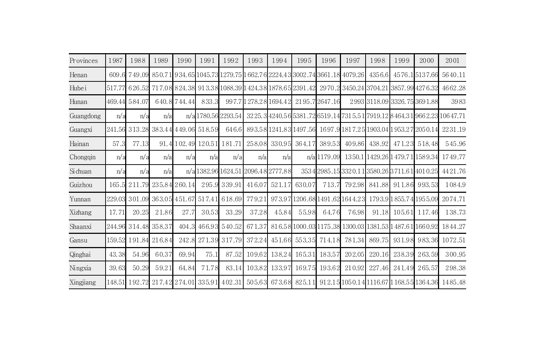| Provinces | 1987   | 1988                       | 1989                 | 1990          | 1991                      | 1992            | 1993   | 1994                 | 1995   | 1996                                   | 1997                                                                                          | 1998   | 1999   | 2000                      | 2001                                                                                       |
|-----------|--------|----------------------------|----------------------|---------------|---------------------------|-----------------|--------|----------------------|--------|----------------------------------------|-----------------------------------------------------------------------------------------------|--------|--------|---------------------------|--------------------------------------------------------------------------------------------|
| Henan     | 609.6  | 749.09                     |                      |               |                           |                 |        |                      |        |                                        | 850.71 934.65 1045.73 1279.75 1 662.76 2224.43 3002.74 3661.18 4079.26                        | 4356.6 |        | 4576.15137.66             | 5640.11                                                                                    |
| Hubei     | 517.77 | 626.52                     |                      |               |                           |                 |        |                      |        |                                        | 717.08 824.38 913.38 1088.39 1 424.38 1878.65 2391.42 29 70.2 3450.24 3704.21 3857.99 4276.32 |        |        |                           | 4662.28                                                                                    |
| Hunan     |        | 469.44  584.07             |                      | 640.8744.44   | 833.3                     |                 |        |                      |        | 997.7 1 278.28 1694.42 21 95.7 2647.16 |                                                                                               |        |        | 29933118.093326.753691.88 | 3983                                                                                       |
| Guangdong | n/a    | n/a                        | n/a                  | n/a           |                           | 1780.56 2293.54 |        |                      |        |                                        |                                                                                               |        |        |                           | 32 25. 3 4 240.5 6 5 381.72 6 519.14 731 5.5 1 79 19.12 8 4 64.3 1 9 6 6 2.23 1 0 6 4 7.71 |
| Guangxi   | 241.56 | 313.28                     |                      | 383.44449.06  | 518.59                    | 646.6           |        |                      |        |                                        | 893.58 1241.83 1497.56 1697.9 1817.25 1903.04 1953.27 2050.14                                 |        |        |                           | 2231.19                                                                                    |
| Hainan    | 57.3   | 77.13                      |                      |               | 91.4 102.49 120.51 181.71 |                 | 258.08 | 330.95               | 364.17 | 389.53                                 | 409.86                                                                                        | 438.92 | 471.23 | 518.48                    | 545.96                                                                                     |
| Chongqin  | n/a    | n/a                        | n/a                  | n/a           | n/a                       | n/a             | n/a    | n/a                  |        | n/al1179.09                            |                                                                                               |        |        |                           | 1350.11429.2611479.7111589.34 1749.77                                                      |
| Si chuan  | n/a    | n/a                        | n/a                  |               | n/al1382.9611624.51       |                 |        | 2096.482777.88       |        |                                        | 35342985.153320.113580.263711.614010.25                                                       |        |        |                           | 4421.76                                                                                    |
| Guizhou   |        | 165.5 211.79 235.84 260.14 |                      |               | 295.9                     | 339.91          | 416.07 | 521.17               | 630.07 | 713.7                                  | 792.98                                                                                        | 841.88 |        | 911.86 993.53             | 1084.9                                                                                     |
| Yunnan    | 229.03 |                            | 301.09 363.05 451.67 |               | 517.41                    | 618.69          | 779.21 |                      |        |                                        | 973.97 1206.68 1491.62 1644.23                                                                |        |        | 1793.91855.741955.09      | 2074.71                                                                                    |
| Xizhang   | 17.71  | 20.25                      | 21.86                | 27.7          | 30.53                     | 33.29           | 37.28  | 45.84                | 55.98  | 64.76                                  | 76.98                                                                                         | 91.18  | 105.61 | 117.46                    | 138.73                                                                                     |
| Shaanxi   |        | 244.96 314.48 358.37       |                      | 404.3         | 466.93                    | 540.52          | 671.37 |                      |        |                                        | 816.58 1000.03 1175.38 1300.03 1381.53 1487.61 1660.92                                        |        |        |                           | 1844.27                                                                                    |
| Gansu     |        | 159.52 191.84 216.84       |                      | 242.8         | 271.39                    | 317.79          | 372.24 | 451.66               |        | 553.35 714.18                          | 781.34                                                                                        | 869.75 | 931.98 |                           | 983.36 1072.51                                                                             |
| Qinghai   | 43.38  | 54.96                      | 60.37                | 69.94         | 75.1                      | 87.52           | 109.62 | 138.24               | 165.31 | 183.57                                 | 202.05                                                                                        | 220.16 | 238.39 | 263.59                    | 300.95                                                                                     |
| Ningxia   | 39.63  | 50.29                      | 59.21                | 64.84         | 71.78                     | 83.14           | 103.82 | 133.97               | 169.75 | 193.62                                 | 210.92                                                                                        | 227.46 | 241.49 | 265.57                    | 298.38                                                                                     |
| Xingjiang |        | 148.51 192.72              |                      | 217.42 274.01 | 335.91                    | 402.31          |        | 505.63 673.68 825.11 |        |                                        |                                                                                               |        |        |                           | 912.15 105 0.14 1116.67 1 168.55 1364.36 1485.48                                           |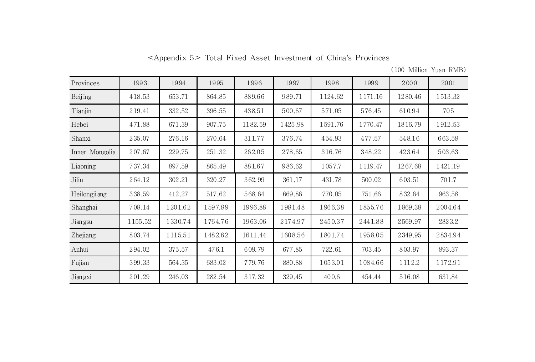| <appendix 5=""> Total Fixed Asset Investment of China's Provinces</appendix> |  |  |  |  |  |  |  |
|------------------------------------------------------------------------------|--|--|--|--|--|--|--|
|------------------------------------------------------------------------------|--|--|--|--|--|--|--|

| (100 Million Yuan RMB) |  |
|------------------------|--|

| Provinces      | 1993    | 1994    | 1995    | 1996    | 1997    | 1998    | 1999    | 2000    | 2001    |
|----------------|---------|---------|---------|---------|---------|---------|---------|---------|---------|
| Beijing        | 418.53  | 653.71  | 864.85  | 889.66  | 989.71  | 1124.62 | 1171.16 | 1280.46 | 1513.32 |
| Tianjin        | 219.41  | 332.52  | 396.55  | 438.51  | 500.67  | 571.05  | 576.45  | 610.94  | 705     |
| Hebei          | 471.88  | 671.39  | 907.75  | 1182.59 | 1425.98 | 1591.76 | 1770.47 | 1816.79 | 1912.53 |
| Shanxi         | 235.07  | 276.16  | 270.64  | 311.77  | 376.74  | 454.93  | 477.57  | 548.16  | 663.58  |
| Inner Mongolia | 207.67  | 229.75  | 251.32  | 262.05  | 278.65  | 316.76  | 348.22  | 423.64  | 503.63  |
| Liaoning       | 737.34  | 897.59  | 865.49  | 881.67  | 986.62  | 1057.7  | 1119.47 | 1267.68 | 1421.19 |
| Jilin          | 264.12  | 302.21  | 320.27  | 362.99  | 361.17  | 431.78  | 500.02  | 603.51  | 701.7   |
| Heilongji ang  | 338.59  | 412.27  | 517.62  | 568.64  | 669.86  | 770.05  | 751.66  | 832.64  | 963.58  |
| Shanghai       | 708.14  | 1201.62 | 1597.89 | 1996.88 | 1981.48 | 1966.38 | 1855.76 | 1869.38 | 2004.64 |
| Jian gsu       | 1155.52 | 1330.74 | 1764.76 | 1963.06 | 2174.97 | 2450.37 | 2441.88 | 2569.97 | 2823.2  |
| Zhejiang       | 803.74  | 1115.51 | 1482.62 | 1611.44 | 1608.56 | 1801.74 | 1958.05 | 2349.95 | 2834.94 |
| Anhui          | 294.02  | 375.57  | 476.1   | 609.79  | 677.85  | 722.61  | 703.45  | 803.97  | 893.37  |
| Fujian         | 399.33  | 564.35  | 683.02  | 779.76  | 880.88  | 1053.01 | 1084.66 | 1112.2  | 1172.91 |
| Jiangxi        | 201.29  | 246.03  | 282.54  | 317.32  | 329.45  | 400.6   | 454.44  | 516.08  | 631.84  |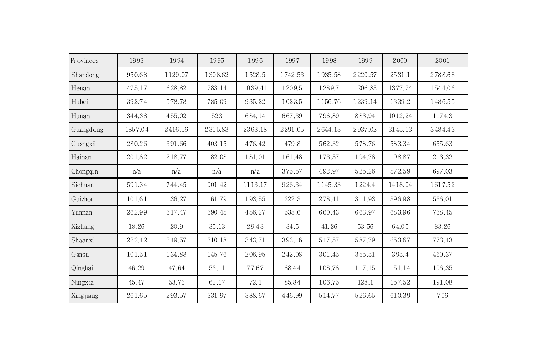| <b>Provinces</b> | 1993    | 1994    | 1995    | 1996    | 1997    | 1998    | 1999    | 2000    | 2001    |
|------------------|---------|---------|---------|---------|---------|---------|---------|---------|---------|
| Shandong         | 950.68  | 1129.07 | 1308.62 | 1528.5  | 1742.53 | 1935.58 | 2220.57 | 2531.1  | 2788.68 |
| Henan            | 475.17  | 628.82  | 783.14  | 1039.41 | 1209.5  | 1289.7  | 1206.83 | 1377.74 | 1544.06 |
| Hubei            | 392.74  | 578.78  | 785.09  | 935.22  | 1023.5  | 1156.76 | 1239.14 | 1339.2  | 1486.55 |
| Hunan            | 344.38  | 455.02  | 523     | 684.14  | 667.39  | 796.89  | 883.94  | 1012.24 | 1174.3  |
| Guangdong        | 1857.04 | 2416.56 | 2315.83 | 2363.18 | 2291.05 | 2644.13 | 2937.02 | 3145.13 | 3484.43 |
| Guangxi          | 280.26  | 391.66  | 403.15  | 476.42  | 479.8   | 562.32  | 578.76  | 583.34  | 655.63  |
| Hainan           | 201.82  | 218.77  | 182.08  | 181.01  | 161.48  | 173.37  | 194.78  | 198.87  | 213.32  |
| Chongqin         | n/a     | n/a     | n/a     | n/a     | 375.57  | 492.97  | 525.26  | 572.59  | 697.03  |
| Sichuan          | 591.34  | 744.45  | 901.42  | 1113.17 | 926.34  | 1145.33 | 1224.4  | 1418.04 | 1617.52 |
| Guizhou          | 101.61  | 136.27  | 161.79  | 193.55  | 222.3   | 278.41  | 311.93  | 396.98  | 536.01  |
| Yunnan           | 262.99  | 317.47  | 390.45  | 456.27  | 538.6   | 660.43  | 663.97  | 683.96  | 738.45  |
| Xizhang          | 18.26   | 20.9    | 35.13   | 29.43   | 34.5    | 41.26   | 53.56   | 64.05   | 83.26   |
| Shaanxi          | 222.42  | 249.57  | 310.18  | 343.71  | 393.16  | 517.57  | 587.79  | 653.67  | 773.43  |
| Gansu            | 101.51  | 134.88  | 145.76  | 206.95  | 242.08  | 301.45  | 355.51  | 395.4   | 460.37  |
| Qinghai          | 46.29   | 47.64   | 53.11   | 77.67   | 88.44   | 108.78  | 117.15  | 151.14  | 196.35  |
| Ningxia          | 45.47   | 53.73   | 62.17   | 72.1    | 85.84   | 106.75  | 128.1   | 157.52  | 191.08  |
| Xingjiang        | 261.65  | 293.57  | 331.97  | 388.67  | 446.99  | 514.77  | 526.65  | 610.39  | 706     |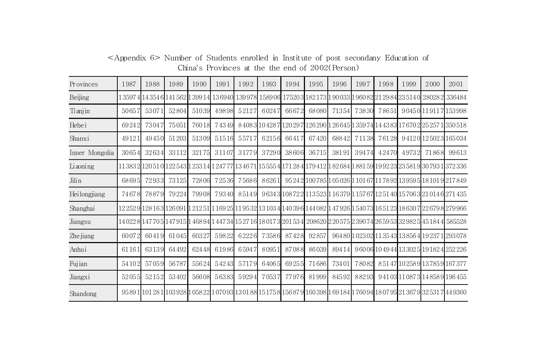| Provinces      | 1987  | 1988                                                                                                                                  | 1989  | 1990   | 1991  | 1992                 | 1993  | 1994  | 1995  | 1996  | 1997  | 1998  | 1999  | 2000                                                                          | 2001   |
|----------------|-------|---------------------------------------------------------------------------------------------------------------------------------------|-------|--------|-------|----------------------|-------|-------|-------|-------|-------|-------|-------|-------------------------------------------------------------------------------|--------|
| Beijing        |       | 1 3597 4 14 354 6 141 562                                                                                                             |       | 139914 |       | 136940 139978 158906 |       |       |       |       |       |       |       | 175203 182173 190033 196082 212984 235140 280282                              | 336484 |
| Tianjin        | 50657 | 53071                                                                                                                                 | 52804 | 51039  | 49898 | 52127                | 60247 | 66672 | 68080 | 71354 | 73830 | 78651 |       | 90450119117153998                                                             |        |
| Hebei          | 69242 | 73047                                                                                                                                 | 75051 | 76018  | 74349 |                      |       |       |       |       |       |       |       | 84083 104287 120297 126 290 126 645 1359 74 14 43 83 17 670 2 25 257 1350 518 |        |
| Shanxi         | 49121 | 49450                                                                                                                                 | 51203 | 51309  | 51516 | 55717                | 62156 | 66417 | 67420 | 68842 | 71138 | 76128 |       | 94120125023165034                                                             |        |
| Inner Mongolia | 30654 | 32634                                                                                                                                 | 33112 | 32175  | 31107 | 31779                | 37290 | 38606 | 36715 | 38191 | 39474 | 42470 | 49732 | 71868                                                                         | 99613  |
| Liaoning       |       | 11 383 2 120 5 1 0 122 543 1 233 14 1 247 77 13 46 71 15 555 4 171 28 4 179 4 12 1 82 684 1 881 59 19 92 23 23 581 9 30 793 1 372 336 |       |        |       |                      |       |       |       |       |       |       |       |                                                                               |        |
| Jilin          | 68695 | 72933                                                                                                                                 | 73125 | 72806  | 72536 | 75686                | 86261 |       |       |       |       |       |       | 95242 100 785 1 05 026 1 101 67 11 78 92 13 959 5 18 101 9 217 849            |        |
| Heilongjiang   | 74678 | 78879                                                                                                                                 | 79224 | 79908  | 79340 | 85149                |       |       |       |       |       |       |       | 96343 108722 113523 1 16379 1 15767 1251 40 157063 210 146 271 435            |        |
| Shanghai       |       | 122529 128163 126091 121251 116925 119532 131034 140396 144082 147926 154073 165123 186307 226798 279966                              |       |        |       |                      |       |       |       |       |       |       |       |                                                                               |        |
| Jiangsu        |       | 140228147705114791511468941144734115271611801731201534120862022057512390741265953132982514518441585528                                |       |        |       |                      |       |       |       |       |       |       |       |                                                                               |        |
| Zhe jiang      | 60072 | 60419                                                                                                                                 | 61045 | 60327  | 59822 | 62226                | 73586 | 87428 | 92857 |       |       |       |       | 96480 1 023 02 11 35 43 13 856 4 19 237 1 293 078                             |        |
| Anhui          | 61161 | 63139                                                                                                                                 | 64492 | 62448  | 61986 | 65947                | 80951 | 87088 | 86039 | 89414 |       |       |       | 96006 104944 133025 191824 252226                                             |        |
| Fujian         | 54102 | 57059                                                                                                                                 | 56787 | 55624  | 54243 | 57179                | 64065 | 69255 | 71686 | 73401 | 78082 |       |       | 85147 102589 137859 167377                                                    |        |
| Jiangxi        | 52055 | 52152                                                                                                                                 | 53402 | 56608  | 56383 | 59294                | 70537 | 77976 | 81999 | 84592 | 88293 |       |       | 94103 110873 148589 196455                                                    |        |
| Shandong       |       | 95891 101281 103928 105822 107093 130188 151758 156879 160398 169184 176094 180795 213679 325317 449360                               |       |        |       |                      |       |       |       |       |       |       |       |                                                                               |        |

<Appendix 6> Number of Students enrolled in Institute of post secondany Education of China's Provinces at the the end of 2002(Person)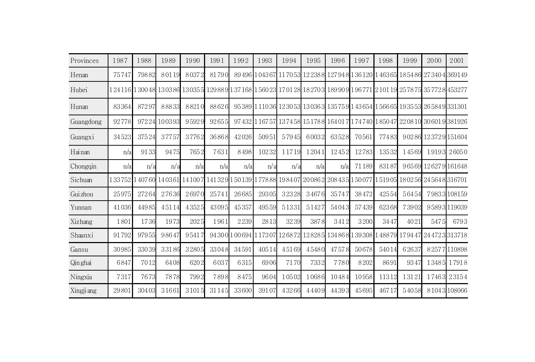| Provinces  | 1987     | 1988  | 1989         | 1990  | 1991                                                                                                                              | 1992  | 1993  | 1994                | 1995                                                                                                                        | 1996  | 1997  | 1998  | 1999  | 2000                                             | 2001         |
|------------|----------|-------|--------------|-------|-----------------------------------------------------------------------------------------------------------------------------------|-------|-------|---------------------|-----------------------------------------------------------------------------------------------------------------------------|-------|-------|-------|-------|--------------------------------------------------|--------------|
| Henan      | 75747    | 79882 | 80119        | 80372 | 81790                                                                                                                             |       |       | 89496 104367 117053 |                                                                                                                             |       |       |       |       | 122388 127948 136120 146365 185486 273404 369149 |              |
| Hubei      |          |       |              |       | 1 24 116 1 300 48 1303 86 13035 5 129 88 9 1 37 168 1 560 23 17 01 28 18 270 3 189 90 9 1 96 771 2101 19 25 78 75 35 772 8 453277 |       |       |                     |                                                                                                                             |       |       |       |       |                                                  |              |
| Hunan      | 83364    | 87297 | 88833        | 88210 | 88626                                                                                                                             |       |       |                     | 95389 1 110 36 12 30 53 13 036 3 135 75 9 143 654 1566 65 19 35 53 26 584 9 331301                                          |       |       |       |       |                                                  |              |
| Guangdong  | 92778    |       | 97224 100393 | 95929 | 92655                                                                                                                             |       |       |                     | 97 432 1 167 57 1374 58 15 178 8 164 01 7 17 4 740 1850 47 22 08 10 30 601 9 381926                                         |       |       |       |       |                                                  |              |
| Guangxi    | 34523    | 37524 | 37757        | 37762 | 36868                                                                                                                             | 42026 | 50951 | 57945               | 60032                                                                                                                       | 63528 | 70561 | 77483 |       | 90286 123729 151604                              |              |
| Hainan     | n/a      | 9133  | 9475         | 7652  | 7631                                                                                                                              | 8498  | 10232 | 11719               | 12041                                                                                                                       | 12452 | 12783 | 13532 | 14569 |                                                  | 19193 26050  |
| Chongqin   | n/a      | n/a   | n/a          | n/a   | n/a                                                                                                                               | n/a   | n/a   | n/a                 | n/a                                                                                                                         | n/a   | 71189 | 83187 |       | 96569 126279 161648                              |              |
| Sichuan    | 1 33 752 |       |              |       | 140760 140361 141007 141329 150139 1778 88 198407 200862 208435 150077                                                            |       |       |                     |                                                                                                                             |       |       |       |       | 151905 180256 245648 316701                      |              |
| Gui zhou   | 25975    | 27264 | 27636        | 26970 | 25741                                                                                                                             | 26685 | 29305 | 32328               | 34676                                                                                                                       | 35747 | 38472 | 42554 | 56454 |                                                  | 79833 108159 |
| Yunnan     | 41036    | 44985 | 45114        | 43525 | 43095                                                                                                                             | 45357 | 49559 | 51331               | 51427                                                                                                                       | 54043 | 57439 | 62368 | 73902 |                                                  | 95893 119039 |
| Xizhang    | 1801     | 1736  | 1973         | 2025  | 1961                                                                                                                              | 2239  | 2813  | 3239                | 3878                                                                                                                        | 3412  | 3200  | 3447  | 4021  | 5475                                             | 6793         |
| Shaanxi    | 91792    | 97955 | 98647        | 95417 |                                                                                                                                   |       |       |                     | 94 30 0 1 0 0 694 1 173 0 7 1 2 6 8 7 2 1 2 8 2 8 5 1 3 4 8 6 8 1 3 9 3 0 8 1 4 8 8 7 9 1 7 9 4 4 7 2 4 4 7 2 3 3 1 3 7 1 8 |       |       |       |       |                                                  |              |
| Gansu      | 30985    | 33039 | 33186        | 32805 | 33048                                                                                                                             | 34591 | 40514 | 45169               | 45480                                                                                                                       | 47578 | 50678 | 54014 | 62637 |                                                  | 82577110898  |
| Qinghai    | 6847     | 7012  | 6408         | 6202  | 6037                                                                                                                              | 6315  | 6906  | 7170                | 7332                                                                                                                        | 7780  | 8202  | 8691  | 9347  |                                                  | 13485 17918  |
| Ningxia    | 7317     | 7673  | 7878         | 7992  | 7898                                                                                                                              | 8475  | 9604  | 10502               | 10686                                                                                                                       | 10484 | 10958 | 11312 | 13121 |                                                  | 17463 23154  |
| Xingji ang | 29801    | 30403 | 31661        | 31015 | 31145                                                                                                                             | 33600 | 39107 | 43266               | 44409                                                                                                                       | 44393 | 45695 | 46717 | 54058 |                                                  | 81043108066  |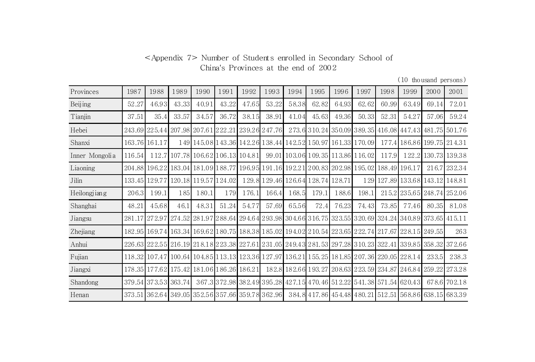## <Appendix 7> Number of Students enrolled in Secondary School of China's Provinces at the end of 2002

(10 thousand persons)

| Provinces      | 1987   | 1988                                                                                                                        | 1989  | 1990                              | 1991  | 1992  | 1993  | 1994  | 1995                                                                                | 1996  | 1997  | 1998  | 1999                                                                                                               | 2000  | 2001          |
|----------------|--------|-----------------------------------------------------------------------------------------------------------------------------|-------|-----------------------------------|-------|-------|-------|-------|-------------------------------------------------------------------------------------|-------|-------|-------|--------------------------------------------------------------------------------------------------------------------|-------|---------------|
| Beijing        | 52.27  | 46.93                                                                                                                       | 43.33 | 40.91                             | 43.22 | 47.65 | 53.22 | 58.38 | 62.82                                                                               | 64.93 | 62.62 | 60.99 | 63.49                                                                                                              | 69.14 | 72.01         |
| Tianjin        | 37.51  | 35.4                                                                                                                        | 33.57 | 34.57                             | 36.72 | 38.15 | 38.91 | 41.04 | 45.63                                                                               | 49.36 | 50.33 | 52.31 | 54.27                                                                                                              | 57.06 | 59.24         |
| Hebei          |        | 243.69 225.44 207.98 207.61 222.21 239.26 247.76                                                                            |       |                                   |       |       |       |       |                                                                                     |       |       |       | 273.6 310.24 350.09 389.35 416.08 447.43 481.75 501.76                                                             |       |               |
| Shanxi         |        | 163.76 161.17                                                                                                               |       |                                   |       |       |       |       | 149 145 08 143 36 142 26 138 44 142 52 150 97 161 33 170 09                         |       |       |       | 177.4 186.86 199.75 214.31                                                                                         |       |               |
| Inner Mongolia | 116.54 |                                                                                                                             |       | 112.7 107.78 106.62 106.13 104.81 |       |       |       |       | 99.01 103.06 109.35 113.86 116.02                                                   |       |       | 117.9 | 122.2                                                                                                              |       | 130.73 139.38 |
| Liaoning       | 204.88 |                                                                                                                             |       |                                   |       |       |       |       | 196.22 183.04 181.09 188.77 196.95 191.16 192.21 200.83 202.98 195.02 188.49 196.17 |       |       |       |                                                                                                                    |       | 216.7 232.34  |
| Jilin          | 133.45 | 129.77                                                                                                                      |       | 120.18 119.57 124.02              |       |       |       |       | 129.8 129.46 126.64 128.74 128.71                                                   |       |       |       | 129 127.89 133.68 143.12 148.81                                                                                    |       |               |
| Heilongjiang   | 206.3  | 199.1                                                                                                                       | 185   | 180.1                             | 179   | 176.1 | 166.4 | 168.5 | 179.1                                                                               | 188.6 | 198.1 |       | 215.2 235.65 248.74 252.06                                                                                         |       |               |
| Shanghai       | 48.21  | 45.68                                                                                                                       | 46.1  | 48.31                             | 51.24 | 54.77 | 57.69 | 65.56 | 72.4                                                                                | 76.23 | 74.43 | 73.85 | 77.46                                                                                                              | 80.35 | 81.08         |
| Jiangsu        | 281.17 | 272.97                                                                                                                      |       |                                   |       |       |       |       |                                                                                     |       |       |       | 274.52   281.97   288.64   294.64   293.98   304.66   316.75   323.55   320.69   324.24   340.89   373.65   415.11 |       |               |
| Zhejiang       |        | 182.95   169.74   163.34   169.62   180.75   188.38   185.02   194.02   210.54   223.65   222.74   217.67   228.15   249.55 |       |                                   |       |       |       |       |                                                                                     |       |       |       |                                                                                                                    |       | 263           |
| Anhui          |        | 226.63 222.55 216.19 218.18 223.38 227.61                                                                                   |       |                                   |       |       |       |       |                                                                                     |       |       |       | 231 .05   249.43   281.53   297.28   310.23   322.41   339.85   358.32   372.66                                    |       |               |
| Fujian         |        | 118.32 107.47 100.64 104.85 113.13 123.36 127.97 136.21 155.25 181.85 207.36 220.05 228.14                                  |       |                                   |       |       |       |       |                                                                                     |       |       |       |                                                                                                                    | 233.5 | 238.3         |
| Jiangxi        |        | 178.35 177.62 175.42 181.06 186.26 186.21                                                                                   |       |                                   |       |       |       |       |                                                                                     |       |       |       | 182.8 182.66 193.27 208.63 223.59 234.87 246.84 259.22 273.28                                                      |       |               |
| Shandong       |        | 379.54 373.53 363.74                                                                                                        |       |                                   |       |       |       |       |                                                                                     |       |       |       | 367.3 372.98 382.49 395.28 427.15 470.46 512.22 541.38 571.54 620.43                                               |       | 678.6 702.18  |
| Henan          | 373.51 | 362.64  349.05  352.56  357.66  359.78  362.96                                                                              |       |                                   |       |       |       |       |                                                                                     |       |       |       | 384.8417.86454.48480.21512.51568.86638.15683.39                                                                    |       |               |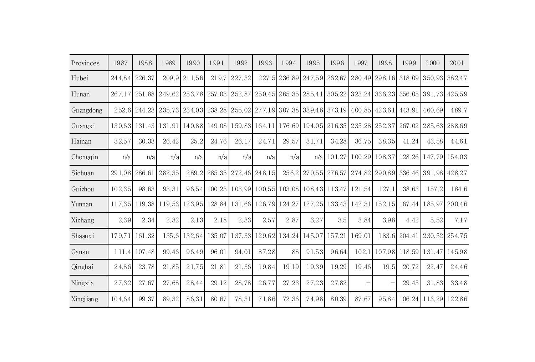| Provinces | 1987   | 1988          | 1989   | 1990          | 1991                 | 1992          | 1993   | 1994                 | 1995                                             | 1996   | 1997   | 1998                 | 1999   | 2000                 | 2001   |
|-----------|--------|---------------|--------|---------------|----------------------|---------------|--------|----------------------|--------------------------------------------------|--------|--------|----------------------|--------|----------------------|--------|
| Hubei     | 244.84 | 226.37        | 209.9  | 211.56        | 219.7                | 227.32        |        |                      | 227.5 236.89 247.59                              | 262.67 | 280.49 | 298.16               | 318.09 | 350.93               | 382.47 |
| Hunan     | 267.17 | 251.88        | 249.62 |               | 253.78 257.03 252.87 |               |        |                      | 250.45 265.35 285.41                             |        |        | 305.22 323.24 336.23 |        | 356.05 391.73        | 425.59 |
| Guangdong | 252.6  | 244.23        | 235.73 | 234.03        | 238.28               |               |        |                      | 255.02 277.19 307.38 339.46 373.19 400.85 423.61 |        |        |                      | 443.91 | 460.69               | 489.7  |
| Guangxi   |        | 130.63 131.43 | 131.91 |               | 140.88 149.08        |               |        |                      | 159.83 164.11 176.69 194.05 216.35 235.28 252.37 |        |        |                      | 267.02 | 285.63               | 288.69 |
| Hainan    | 32.57  | 30.33         | 26.42  | 25.2          | 24.76                | 26.17         | 24.71  | 29.57                | 31.71                                            | 34.28  | 36.75  | 38.35                | 41.24  | 43.58                | 44.61  |
| Chongqin  | n/a    | n/a           | n/a    | n/a           | n/a                  | n/a           | n/a    | n/a                  | n/a                                              | 101.27 |        | 100.29 108.37        |        | 128.26 147.79 154.03 |        |
| Sichuan   | 291.08 | 286.61        | 282.35 | 289.2         |                      | 285.35 272.46 | 248.15 | 256.2                | 270.55                                           | 276.57 | 274.82 | 290.89               |        | 336.46 391.98        | 428.27 |
| Guizhou   | 102.35 | 98.63         | 93.31  |               |                      |               |        |                      | 96.54 100.23 103.99 100.55 103.08 108.43 113.47  |        | 121.54 | 127.1                | 138.63 | 157.2                | 184.6  |
| Yunnan    | 117.35 | 119.38        | 119.53 | 123.95 128.84 |                      |               |        |                      | 131.66 126.79 124.27 127.25 133.43 142.31 152.15 |        |        |                      | 167.44 | 185.97               | 200.46 |
| Xizhang   | 2.39   | 2.34          | 2.32   | 2.13          | 2.18                 | 2.33          | 2.57   | 2.87                 | 3.27                                             | 3.5    | 3.84   | 3.98                 | 4.42   | 5.521                | 7.17   |
| Shaanxi   | 179.71 | 161.32        | 135.6  | 132.64 135.07 |                      | 137.33        |        | 129.62 134.24 145.07 |                                                  | 157.21 | 169.01 | 183.6                | 204.41 | 230.52               | 254.75 |
| Gansu     | 111.4  | 107.48        | 99.46  | 96.49         | 96.01                | 94.01         | 87.28  | 88                   | 91.53                                            | 96.64  | 102.1  | 107.98               | 118.59 | 131.47               | 145.98 |
| Qinghai   | 24.86  | 23.78         | 21.85  | 21.75         | 21.81                | 21.36         | 19.84  | 19.19                | 19.39                                            | 19.29  | 19.46  | 19.5                 | 20.72  | 22.47                | 24.46  |
| Ningxia   | 27.32  | 27.67         | 27.68  | 28.44         | 29.12                | 28.78         | 26.77  | 27.23                | 27.23                                            | 27.82  |        |                      | 29.45  | 31.83                | 33.48  |
| Xingjiang | 104.64 | 99.37         | 89.32  | 86.31         | 80.67                | 78.31         | 71.86  | 72.36                | 74.98                                            | 80.39  | 87.67  | 95.84                | 106.24 | 113.29               | 122.86 |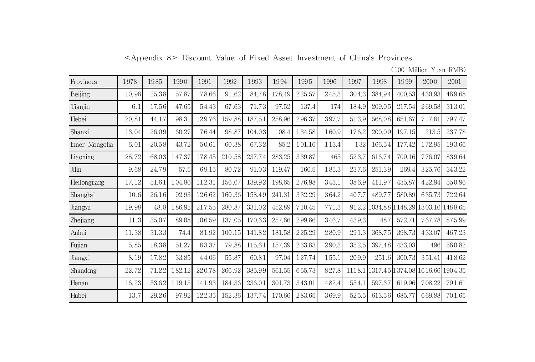| <appendix 8=""> Discount Value of Fixed Asset Investment of China's Provinces</appendix> |  |  |  |  |  |  |  |  |
|------------------------------------------------------------------------------------------|--|--|--|--|--|--|--|--|
|------------------------------------------------------------------------------------------|--|--|--|--|--|--|--|--|

(100 Million Yuan RMB)

| Provinces      | 1978  | 1985  | 1990   | 1991   | 1992   | 1993   | 1994   | 1995   | 1996  | 1997   | 1998   | 1999            | 2000                                  | 2001   |
|----------------|-------|-------|--------|--------|--------|--------|--------|--------|-------|--------|--------|-----------------|---------------------------------------|--------|
| Beijing        | 10.96 | 25.38 | 57.87  | 78.66  | 91.62  | 84.78  | 178.49 | 225.57 | 245.3 | 304.3  | 384.94 | 400.53          | 430.93                                | 469.68 |
| Tianjin        | 6.1   | 17.56 | 47.65  | 54.43  | 67.63  | 71.73  | 97.52  | 137.4  | 174   | 184.9  | 209.05 | 217.54          | 269.58                                | 313.01 |
| Hebei          | 20.81 | 44.17 | 98.31  | 129.76 | 159.88 | 187.51 | 258.96 | 296.37 | 397.7 | 513.9  | 568.08 | 651.67          | 717.61                                | 797.47 |
| Shanxi         | 13.04 | 26.09 | 60.27  | 76.44  | 98.87  | 104.03 | 108.4  | 134.58 | 160.9 | 176.2  | 200.09 | 197.15          | 213.5                                 | 237.78 |
| Inner Mongolia | 6.01  | 20.58 | 43.72  | 50.61  | 60.38  | 67.32  | 85.2   | 101.16 | 113.4 | 132    | 166.54 | 177.42          | 172.95                                | 193.66 |
| Liaoning       | 28.72 | 68.03 | 147.37 | 178.45 | 210.58 | 237.74 | 283.25 | 339.87 | 465   | 523.7  | 616.74 | 709.16          | 776.07                                | 839.64 |
| Jilin          | 9.68  | 24.79 | 57.5   | 69.15  | 80.72  | 91.03  | 119.47 | 160.5  | 185.3 | 237.6  | 251.39 | 269.4           | 325.76                                | 343.22 |
| Heilongjiang   | 17.12 | 51.61 | 104.86 | 112.31 | 156.67 | 139.92 | 198.65 | 276.98 | 343.1 | 386.9  | 411.97 | 435.87          | 422.94                                | 550.96 |
| Shanghai       | 10.6  | 26.16 | 92.93  | 126.62 | 160.36 | 158.49 | 241.31 | 332.29 | 364.2 | 407.7  | 489.77 | 580.89          | 635.73                                | 722.64 |
| Jiangsu        | 19.98 | 48.8  | 186.92 | 217.55 | 280.87 | 331.02 | 452.89 | 710.45 | 771.3 |        |        |                 | 912.2 1034.88 1148.29 1303.16 1488.65 |        |
| Zhejiang       | 11.3  | 35.07 | 89.08  | 106.59 | 137.05 | 170.63 | 257.66 | 299.86 | 346.7 | 439.3  | 487    | 572.71          | 767.78                                | 875.99 |
| Anhui          | 11.38 | 31.33 | 74.4   | 81.92  | 100.15 | 141.82 | 181.58 | 225.29 | 280.9 | 291.3  | 368.75 | 398.73          | 433.07                                | 467.23 |
| Fujian         | 5.85  | 18.38 | 51.27  | 63.37  | 79.88  | 115.61 | 157.39 | 233.83 | 290.3 | 352.5  | 397.48 | 433.03          | 496                                   | 560.82 |
| Jiangxi        | 8.19  | 17.82 | 33.85  | 44.06  | 55.87  | 60.81  | 97.04  | 127.74 | 155.1 | 209.9  | 251.6  | 300.73          | 351.41                                | 418.62 |
| Shandong       | 22.72 | 71.22 | 182.12 | 220.78 | 266.92 | 385.99 | 561.55 | 655.73 | 827.8 | 1118.1 |        | 1317.45 1374.08 | 1616.66 1904.35                       |        |
| Henan          | 16.23 | 53.62 | 119.13 | 141.93 | 184.36 | 236.01 | 301.73 | 343.01 | 482.4 | 554.1  | 597.37 | 619.96          | 708.22                                | 791.61 |
| Hubei          | 13.7  | 29.26 | 97.92  | 122.35 | 152.36 | 137.74 | 170.66 | 283.65 | 369.9 | 525.5  | 613.56 | 685.77          | 669.88                                | 701.65 |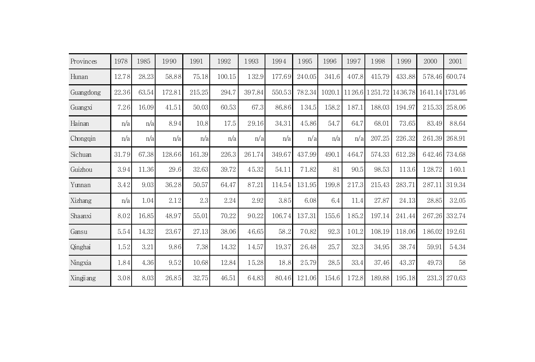| Provinces  | 1978  | 1985  | 1990   | 1991   | 1992   | 1993   | 1994   | 1995   | 1996   | 1997   | 1998   | 1999    | 2000            | 2001   |
|------------|-------|-------|--------|--------|--------|--------|--------|--------|--------|--------|--------|---------|-----------------|--------|
| Hunan      | 12.78 | 28.23 | 58.88  | 75.18  | 100.15 | 132.9  | 177.69 | 240.05 | 341.6  | 407.8  | 415.79 | 433.88  | 578.46          | 600.74 |
| Guangdong  | 22.36 | 63.54 | 172.81 | 215.25 | 294.7  | 397.84 | 550.53 | 782.34 | 1020.1 | 1126.6 | 251.72 | 1436.78 | 1641.14 1731.46 |        |
| Guangxi    | 7.26  | 16.09 | 41.51  | 50.03  | 60.53  | 67.3   | 86.86  | 134.5  | 158.2  | 187.1  | 188.03 | 194.97  | 215.33          | 258.06 |
| Hainan     | n/a   | n/a   | 8.94   | 10.8   | 17.5   | 29.16  | 34.31  | 45.86  | 54.7   | 64.7   | 68.01  | 73.65   | 83.49           | 88.64  |
| Chongqin   | n/a   | n/a   | n/a    | n/a    | n/a    | n/a    | n/a    | n/a    | n/a    | n/a    | 207.25 | 226.32  | 261.39          | 268.91 |
| Sichuan    | 31.79 | 67.38 | 128.66 | 161.39 | 226.3  | 261.74 | 349.67 | 437.99 | 490.1  | 464.7  | 574.33 | 612.28  | 642.46          | 734.68 |
| Guizhou    | 3.94  | 11.36 | 29.6   | 32.63  | 39.72  | 45.32  | 54.11  | 71.82  | 81     | 90.5   | 98.53  | 113.6   | 128.72          | 160.1  |
| Yunnan     | 3.42  | 9.03  | 36.28  | 50.57  | 64.47  | 87.21  | 114.54 | 131.95 | 199.8  | 217.3  | 215.43 | 283.71  | 287.11          | 319.34 |
| Xizhang    | n/a   | 1.04  | 2.12   | 2.3    | 2.24   | 2.92   | 3.85   | 6.08   | 6.4    | 11.4   | 27.87  | 24.13   | 28.85           | 32.05  |
| Shaanxi    | 8.02  | 16.85 | 48.97  | 55.01  | 70.22  | 90.22  | 106.74 | 137.31 | 155.6  | 185.2  | 197.14 | 241.44  | 267.26          | 332.74 |
| Gansu      | 5.54  | 14.32 | 23.67  | 27.13  | 38.06  | 46.65  | 58.2   | 70.82  | 92.3   | 101.2  | 108.19 | 118.06  | 186.02          | 192.61 |
| Qinghai    | 1.52  | 3.21  | 9.86   | 7.38   | 14.32  | 14.57  | 19.37  | 26.48  | 25.7   | 32.3   | 34.95  | 38.74   | 59.91           | 54.34  |
| Ningxia    | 1.84  | 4.36  | 9.52   | 10.68  | 12.84  | 15.28  | 18.8   | 25.79  | 28.5   | 33.4   | 37.46  | 43.37   | 49.73           | 58     |
| Xingji ang | 3.08  | 8.03  | 26.85  | 32.75  | 46.51  | 64.83  | 80.46  | 121.06 | 154.6  | 172.8  | 189.88 | 195.18  | 231.3           | 270.63 |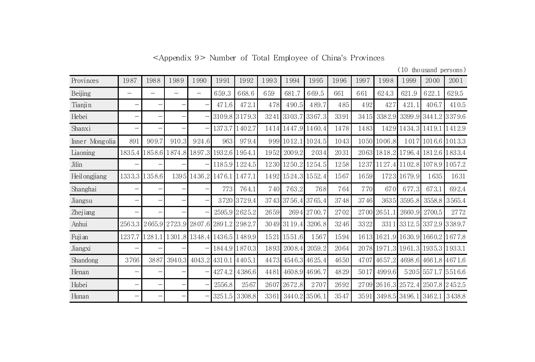<Appendix 9> Number of Total Employee of China's Provinces

(10 thousand persons)

| Provinces      | 1987                     | 1988   | 1989          | 1990                       | 1991   | 1992          | 1993 | 1994        | 1995                  | 1996 | 1997 | 1998   | 1999                 | 2000                               | 2001   |
|----------------|--------------------------|--------|---------------|----------------------------|--------|---------------|------|-------------|-----------------------|------|------|--------|----------------------|------------------------------------|--------|
| Beijing        | -                        |        |               | —                          | 659.3  | 668.6         | 659  | 681.7       | 669.5                 | 661  | 661  | 624.3  | 621.9                | 622.1                              | 629.5  |
| Tianjin        |                          |        |               |                            | 471.6  | 472.1         | 478  | 490.5       | 489.7                 | 485  | 492  | 427    | 421.1                | 406.7                              | 410.5  |
| Hebei          | $\overline{\phantom{m}}$ |        |               |                            |        | 3109.8 3179.3 | 3241 | 3303.7      | 3367.3                | 3391 | 3415 | 3382.9 |                      | 3399.93441.23379.6                 |        |
| Shanxi         | -                        |        |               |                            | 1373.7 | 1402.7        |      |             | 14 14 14 47 9 14 60 4 | 1478 | 1483 |        | 1429 1434.3          | 1419.1 1412.9                      |        |
| Inner Mongolia | 891                      | 909.7  | 910.3         | 924.6                      | 963    | 979.4         |      |             | 999 1012.1 1024.5     | 1043 | 1050 | 1006.8 |                      | 1017 1016.6 1013.3                 |        |
| Liaoning       | 1835.4                   |        |               | 858.6 1874.8 1897.3 1932.6 |        | 1954.1        | 1952 | 2009.2      | 2034                  | 2031 |      |        |                      | 2063 1818 2 1796 4 1812 6 1833 4   |        |
| Jilin          |                          |        |               |                            |        | 1185.9 1224.5 |      | 1230 1250.2 | 1254.5                | 1258 | 1237 |        |                      | 1127.4 1102.8 1078.9 1057.2        |        |
| Heil ongjiang  | 1333.3                   | 1358.6 |               | 1395 1436.2                | 1476.1 | 1477.1        | 1492 | 1524.3      | 1552.4                | 1567 | 1659 |        | 1723 1679.9          | 1635                               | 1631   |
| Shanghai       |                          |        |               |                            | 773    | 764.1         | 740  | 763.2       | 768                   | 764  | 770  | 670    | 677.3                | 673.1                              | 692.4  |
| Jiangsu        |                          |        |               |                            | 3720   | 3729.4        |      | 3743 3756.4 | 3765.4                | 3748 | 3746 | 3635   | 3595.8               | 3558.8                             | 3565.4 |
| Zhejiang       |                          |        |               |                            |        | 2595.9 2625.2 | 2659 |             | 2694 2700.7           | 2702 | 2700 | 2651.1 | 2660.9               | 2700.5                             | 2772   |
| Anhui          | 2563.3                   |        | 2665.9 2723.9 | 2807.6 2891.2              |        | 2982.7        |      | 3049 3119.4 | 3206.8                | 3246 | 3322 | 3311   | 3312.5               | 3372.9 3389.7                      |        |
| Fuji an        | 1237.7                   | 1281.1 |               | 1301.8 1348.4 1436.5       |        | 1489.9        | 1521 | 1551.6      | 1567                  | 1594 | 1613 |        |                      | 1621.9 1630.9 1660.2 1677.8        |        |
| Jiangxi        | -                        |        |               |                            |        | 1844.9 1870.3 | 1893 | 2008.4      | 2059.2                | 2064 | 2078 |        | 1971.3 1961.3        | 1935.3 1933.1                      |        |
| Shandong       | 3766                     | 3887   | 3940.3        | 4043.2                     | 4310.1 | 4405.1        | 4473 |             | 4546.3 4625.4         | 4650 | 4707 | 4657.2 |                      | 4698.6 4661.8 4671.6               |        |
| Henan          | -                        |        |               |                            | 4274.2 | 4386.6        | 4481 |             | 4608.9 4696.7         | 4829 | 5017 | 4999.6 |                      | 5205 5571.7 5516.6                 |        |
| Hubei          |                          |        |               |                            | 2556.8 | 2567          | 2607 | 2672.8      | 2707                  | 2692 | 2709 |        |                      | 26 16 .3 25 72 .4 250 7.8 2 45 2.5 |        |
| Hunan          |                          |        |               |                            | 3251.5 | 3308.8        | 3361 | 3440.2      | 3506.1                | 3547 | 3591 |        | 3498.5 3496.1 3462.1 |                                    | 3438.8 |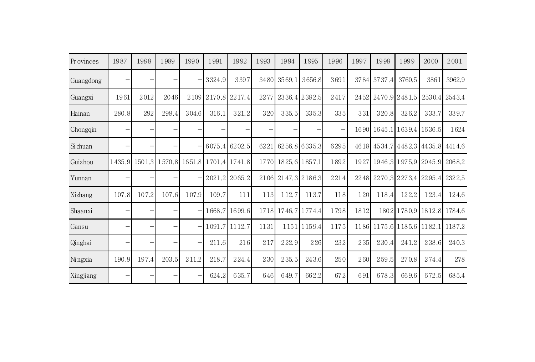| Provinces | 1987   | 1988                     | 1989  | 1990                     | 1991       | 1992                               | 1993 | 1994               | 1995          | 1996 | 1997 | 1998                                       | 1999   | 2000                      | 2001   |
|-----------|--------|--------------------------|-------|--------------------------|------------|------------------------------------|------|--------------------|---------------|------|------|--------------------------------------------|--------|---------------------------|--------|
| Guangdong |        |                          | —     |                          | $-$ 3324.9 | 3397                               |      | 3480 3569.1        | 3656.8        | 3691 |      | 3784 3737.4                                | 3760.5 | 3861                      | 3962.9 |
| Guangxi   | 1961   | 2012                     | 2046  |                          |            | 2109 2170.8 2217.4                 | 2277 |                    | 2336.4 2382.5 | 2417 |      | 2452 2470.9 2481.5                         |        | 2530.4 2543.4             |        |
| Hainan    | 280.8  | 292                      | 298.4 | 304.6                    | 316.1      | 321.2                              | 320  | 335.5              | 335.3         | 335  | 331  | 320.8                                      | 326.2  | 333.7                     | 339.7  |
| Chongqin  |        | $\overline{\phantom{0}}$ |       |                          |            |                                    |      |                    |               |      |      | 1690 1645.1 1639.4 1636.5                  |        |                           | 1624   |
| Si chuan  |        | $\qquad \qquad -$        |       |                          |            | 6075.4 6202.5                      |      | 6221 6256.8 6335.3 |               | 6295 |      | 46 18 45 34 .7 4 48 2 .3 44 35 .8 44 14 .6 |        |                           |        |
| Guizhou   | 1435.9 |                          |       |                          |            | 1501.3 1570.8 1651.8 1701.4 1741.8 |      | 1770 1825.6 1857.1 |               | 1892 |      | 1927   1946.3   1975.9   2045.9   2068.2   |        |                           |        |
| Yunnan    |        |                          | —     | $\qquad \qquad -$        |            | 2021.2 2065.2                      |      | 2106 2147.3 2186.3 |               | 2214 |      | 2248 2270.3 2273.4 2295.4 2322.5           |        |                           |        |
| Xizhang   | 107.8  | 107.2                    | 107.6 | 107.9                    | 109.7      | 111                                | 113  | 112.7              | 113.7         | 118  | 120  | 118.4                                      | 122.2  | 123.4                     | 124.6  |
| Shaanxi   |        | $\overline{\phantom{0}}$ |       |                          |            | 1668.7 1699.6                      |      | 1718 1746.7 1774.4 |               | 1798 | 1812 |                                            |        | 1802 1780.9 1812.8 1784.6 |        |
| Gansu     |        |                          |       |                          |            | $-$ 1091.7 1112.7                  | 1131 |                    | 1151 1159.4   | 1175 |      | 1186 1175.6 1185.6 1182.1 1187.2           |        |                           |        |
| Qinghai   |        |                          | -     | $\overline{\phantom{0}}$ | 211.6      | 216                                | 217  | 222.9              | 226           | 232  | 235  | 230.4                                      | 241.2  | 238.6                     | 240.3  |
| Ningxia   | 190.9  | 197.4                    | 203.5 | 211.2                    | 218.7      | 224.4                              | 230  | 235.5              | 243.6         | 250  | 260  | 259.5                                      | 270.8  | 274.4                     | 278    |
| Xingjiang |        |                          |       |                          | 624.2      | 635.7                              | 646  | 649.7              | 662.2         | 672  | 691  | 678.3                                      | 669.6  | 672.5                     | 685.4  |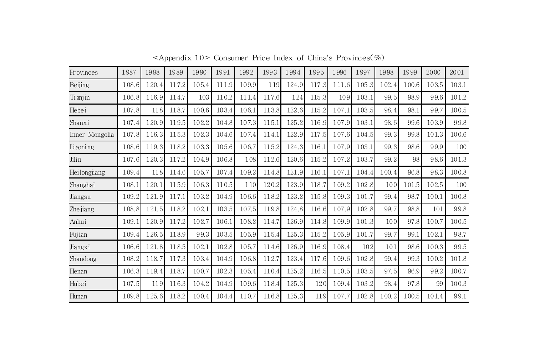| Provinces      | 1987  | 1988  | 1989  | 1990  | 1991  | 1992  | 1993  | 1994  | 1995  | 1996  | 1997  | 1998  | 1999  | 2000  | 2001  |
|----------------|-------|-------|-------|-------|-------|-------|-------|-------|-------|-------|-------|-------|-------|-------|-------|
| Beijing        | 108.6 | 120.4 | 117.2 | 105.4 | 111.9 | 109.9 | 119   | 124.9 | 117.3 | 111.6 | 105.3 | 102.4 | 100.6 | 103.5 | 103.1 |
| Tianjin        | 106.8 | 116.9 | 114.7 | 103   | 110.2 | 111.4 | 117.6 | 124   | 115.3 | 109   | 103.1 | 99.5  | 98.9  | 99.6  | 101.2 |
| Hebei          | 107.8 | 118   | 118.7 | 100.6 | 103.4 | 106.1 | 113.8 | 122.6 | 115.2 | 107.1 | 103.5 | 98.4  | 98.1  | 99.7  | 100.5 |
| Shanxi         | 107.4 | 120.9 | 119.5 | 102.2 | 104.8 | 107.3 | 115.1 | 125.2 | 116.9 | 107.9 | 103.1 | 98.6  | 99.6  | 103.9 | 99.8  |
| Inner Mongolia | 107.8 | 116.3 | 115.3 | 102.3 | 104.6 | 107.4 | 114.1 | 122.9 | 117.5 | 107.6 | 104.5 | 99.3  | 99.8  | 101.3 | 100.6 |
| Liaoning       | 108.6 | 119.3 | 118.2 | 103.3 | 105.6 | 106.7 | 115.2 | 124.3 | 116.1 | 107.9 | 103.1 | 99.3  | 98.6  | 99.9  | 100   |
| Jilin          | 107.6 | 120.3 | 117.2 | 104.9 | 106.8 | 108   | 112.6 | 120.6 | 115.2 | 107.2 | 103.7 | 99.2  | 98    | 98.6  | 101.3 |
| Heilongjiang   | 109.4 | 118   | 114.6 | 105.7 | 107.4 | 109.2 | 114.8 | 121.9 | 116.1 | 107.1 | 104.4 | 100.4 | 96.8  | 98.3  | 100.8 |
| Shanghai       | 108.1 | 120.1 | 115.9 | 106.3 | 110.5 | 110   | 120.2 | 123.9 | 118.7 | 109.2 | 102.8 | 100   | 101.5 | 102.5 | 100   |
| Jiangsu        | 109.2 | 121.9 | 117.1 | 103.2 | 104.9 | 106.6 | 118.2 | 123.2 | 115.8 | 109.3 | 101.7 | 99.4  | 98.7  | 100.1 | 100.8 |
| Zhe jiang      | 108.8 | 121.5 | 118.2 | 102.1 | 103.5 | 107.5 | 119.8 | 124.8 | 116.6 | 107.9 | 102.8 | 99.7  | 98.8  | 101   | 99.8  |
| Anhui          | 109.1 | 120.9 | 117.2 | 102.7 | 106.1 | 108.2 | 114.7 | 126.9 | 114.8 | 109.9 | 101.3 | 100   | 97.8  | 100.7 | 100.5 |
| Fujian         | 109.4 | 126.5 | 118.9 | 99.3  | 103.5 | 105.9 | 115.4 | 125.3 | 115.2 | 105.9 | 101.7 | 99.7  | 99.1  | 102.1 | 98.7  |
| Jiangxi        | 106.6 | 121.8 | 118.5 | 102.1 | 102.8 | 105.7 | 114.6 | 126.9 | 116.9 | 108.4 | 102   | 101   | 98.6  | 100.3 | 99.5  |
| Shandong       | 108.2 | 118.7 | 117.3 | 103.4 | 104.9 | 106.8 | 112.7 | 123.4 | 117.6 | 109.6 | 102.8 | 99.4  | 99.3  | 100.2 | 101.8 |
| Henan          | 106.3 | 119.4 | 118.7 | 100.7 | 102.3 | 105.4 | 110.4 | 125.2 | 116.5 | 110.5 | 103.5 | 97.5  | 96.9  | 99.2  | 100.7 |
| Hubei          | 107.5 | 119   | 116.3 | 104.2 | 104.9 | 109.6 | 118.4 | 125.3 | 120   | 109.4 | 103.2 | 98.4  | 97.8  | 99    | 100.3 |
| Hunan          | 109.8 | 125.6 | 118.2 | 100.4 | 104.4 | 110.7 | 116.8 | 125.3 | 119   | 107.7 | 102.8 | 100.2 | 100.5 | 101.4 | 99.1  |

<Appendix 10> Consumer Price Index of China's Provinces(%)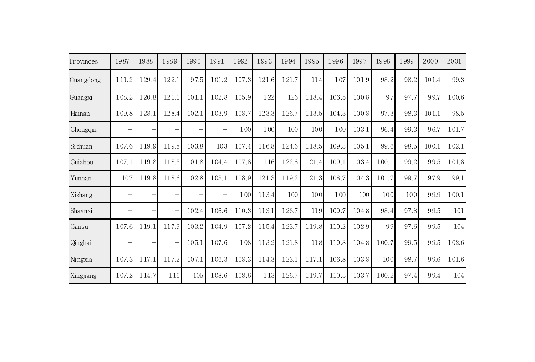| Provinces | 1987              | 1988              | 1989                     | 1990                     | 1991  | 1992  | 1993  | 1994  | 1995  | 1996  | 1997  | 1998  | 1999 | 2000  | 2001  |
|-----------|-------------------|-------------------|--------------------------|--------------------------|-------|-------|-------|-------|-------|-------|-------|-------|------|-------|-------|
| Guangdong | 111.2             | 129.4             | 122.1                    | 97.5                     | 101.2 | 107.3 | 121.6 | 121.7 | 114   | 107   | 101.9 | 98.2  | 98.2 | 101.4 | 99.3  |
| Guangxi   | 108.2             | 120.8             | 121.1                    | 101.1                    | 102.8 | 105.9 | 122   | 126   | 118.4 | 106.5 | 100.8 | 97    | 97.7 | 99.7  | 100.6 |
| Hainan    | 109.8             | 128.1             | 128.4                    | 102.1                    | 103.9 | 108.7 | 123.3 | 126.7 | 113.5 | 104.3 | 100.8 | 97.3  | 98.3 | 101.1 | 98.5  |
| Chongqin  | $\qquad \qquad -$ |                   |                          | $\overline{\phantom{m}}$ |       | 100   | 100   | 100   | 100   | 100   | 103.1 | 96.4  | 99.3 | 96.7  | 101.7 |
| Si chuan  | 107.6             | 119.9             | 119.8                    | 103.8                    | 103   | 107.4 | 116.8 | 124.6 | 118.5 | 109.3 | 105.1 | 99.6  | 98.5 | 100.1 | 102.1 |
| Guizhou   | 107.1             | 119.8             | 118.3                    | 101.8                    | 104.4 | 107.8 | 116   | 122.8 | 121.4 | 109.1 | 103.4 | 100.1 | 99.2 | 99.5  | 101.8 |
| Yunnan    | 107               | 119.8             | 118.6                    | 102.8                    | 103.1 | 108.9 | 121.3 | 119.2 | 121.3 | 108.7 | 104.3 | 101.7 | 99.7 | 97.9  | 99.1  |
| Xizhang   | -                 |                   | $\overline{\phantom{0}}$ | $\overline{\phantom{m}}$ |       | 100   | 113.4 | 100   | 100   | 100   | 100   | 100   | 100  | 99.9  | 100.1 |
| Shaanxi   | -                 |                   | -                        | 102.4                    | 106.6 | 110.3 | 113.1 | 126.7 | 119   | 109.7 | 104.8 | 98.4  | 97.8 | 99.5  | 101   |
| Gansu     | 107.6             | 119.1             | 117.9                    | 103.2                    | 104.9 | 107.2 | 115.4 | 123.7 | 119.8 | 110.2 | 102.9 | 99    | 97.6 | 99.5  | 104   |
| Qinghai   | -                 | $\qquad \qquad -$ | Ξ                        | 105.1                    | 107.6 | 108   | 113.2 | 121.8 | 118   | 110.8 | 104.8 | 100.7 | 99.5 | 99.5  | 102.6 |
| Ningxia   | 107.3             | 117.1             | 117.2                    | 107.1                    | 106.3 | 108.3 | 114.3 | 123.1 | 117.1 | 106.8 | 103.8 | 100   | 98.7 | 99.6  | 101.6 |
| Xingjiang | 107.2             | 114.7             | 116                      | 105                      | 108.6 | 108.6 | 113   | 126.7 | 119.7 | 110.5 | 103.7 | 100.2 | 97.4 | 99.4  | 104   |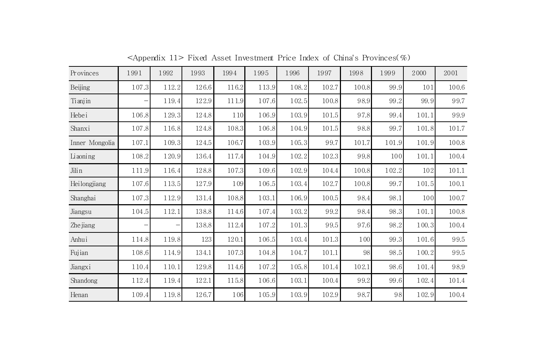| Provinces      | 1991  | 1992  | 1993  | 1994  | 1995  | 1996  | 1997  | 1998  | 1999  | 2000  | 2001  |
|----------------|-------|-------|-------|-------|-------|-------|-------|-------|-------|-------|-------|
| Beijing        | 107.3 | 112.2 | 126.6 | 116.2 | 113.9 | 108.2 | 102.7 | 100.8 | 99.9  | 101   | 100.6 |
| Ti anjin       |       | 119.4 | 122.9 | 111.9 | 107.6 | 102.5 | 100.8 | 98.9  | 99.2  | 99.9  | 99.7  |
| Hebei          | 106.8 | 129.3 | 124.8 | 110   | 106.9 | 103.9 | 101.5 | 97.8  | 99.4  | 101.1 | 99.9  |
| Shanxi         | 107.8 | 116.8 | 124.8 | 108.3 | 106.8 | 104.9 | 101.5 | 98.8  | 99.7  | 101.8 | 101.7 |
| Inner Mongolia | 107.1 | 109.3 | 124.5 | 106.7 | 103.9 | 105.3 | 99.7  | 101.7 | 101.9 | 101.9 | 100.8 |
| Liaoning       | 108.2 | 120.9 | 136.4 | 117.4 | 104.9 | 102.2 | 102.3 | 99.8  | 100   | 101.1 | 100.4 |
| Jili n         | 111.9 | 116.4 | 128.8 | 107.3 | 109.6 | 102.9 | 104.4 | 100.8 | 102.2 | 102   | 101.1 |
| Heilongjiang   | 107.6 | 113.5 | 127.9 | 109   | 106.5 | 103.4 | 102.7 | 100.8 | 99.7  | 101.5 | 100.1 |
| Shanghai       | 107.3 | 112.9 | 131.4 | 108.8 | 103.1 | 106.9 | 100.5 | 98.4  | 98.1  | 100   | 100.7 |
| Jiangsu        | 104.5 | 112.1 | 138.8 | 114.6 | 107.4 | 103.2 | 99.2  | 98.4  | 98.3  | 101.1 | 100.8 |
| Zhe jiang      | -     | -     | 138.8 | 112.4 | 107.2 | 101.3 | 99.5  | 97.6  | 98.2  | 100.3 | 100.4 |
| Anhui          | 114.8 | 119.8 | 123   | 120.1 | 106.5 | 103.4 | 101.3 | 100   | 99.3  | 101.6 | 99.5  |
| Fujian         | 108.6 | 114.9 | 134.1 | 107.3 | 104.8 | 104.7 | 101.1 | 98    | 98.5  | 100.2 | 99.5  |
| Jiangxi        | 110.4 | 110.1 | 129.8 | 114.6 | 107.2 | 105.8 | 101.4 | 102.1 | 98.6  | 101.4 | 98.9  |
| Shandong       | 112.4 | 119.4 | 122.1 | 115.8 | 106.6 | 103.1 | 100.4 | 99.2  | 99.6  | 102.4 | 101.4 |
| Henan          | 109.4 | 119.8 | 126.7 | 106   | 105.9 | 103.9 | 102.9 | 98.7  | 98    | 102.9 | 100.4 |

<Appendix 11> Fixed Asset Investment Price Index of China's Provinces(%)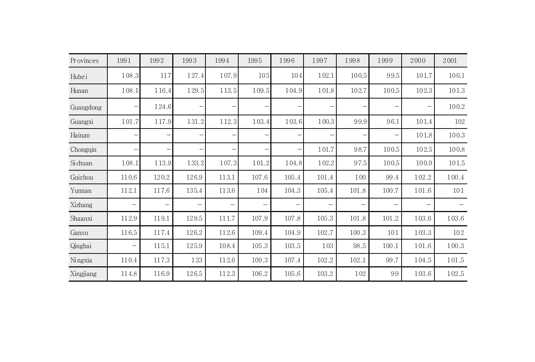| Provinces | 1991  | 1992  | 1993  | 1994  | 1995                     | 1996              | 1997                     | 1998                     | 1999                     | 2000                     | 2001  |
|-----------|-------|-------|-------|-------|--------------------------|-------------------|--------------------------|--------------------------|--------------------------|--------------------------|-------|
| Hubei     | 108.3 | 117   | 127.4 | 107.9 | 105                      | 104               | 102.1                    | 100.5                    | 99.5                     | 101.7                    | 100.1 |
| Hunan     | 108.1 | 116.4 | 129.5 | 113.5 | 109.5                    | 104.9             | 101.8                    | 102.7                    | 100.5                    | 102.3                    | 101.3 |
| Guangdong |       | 124.6 |       |       |                          |                   |                          |                          | —                        | -                        | 100.2 |
| Guangxi   | 101.7 | 117.9 | 131.2 | 112.3 | 103.4                    | 103.6             | 100.3                    | 99.9                     | 96.1                     | 101.4                    | 102   |
| Hainan    |       |       |       |       |                          |                   |                          |                          | $\qquad \qquad -$        | 101.8                    | 100.3 |
| Chongqin  |       |       |       |       |                          |                   | 101.7                    | 98.7                     | 100.5                    | 102.5                    | 100.8 |
| Si chuan  | 108.1 | 113.9 | 133.2 | 107.3 | 101.2                    | 104.8             | 102.2                    | 97.5                     | 100.5                    | 100.9                    | 101.5 |
| Guizhou   | 110.6 | 120.2 | 126.9 | 113.1 | 107.6                    | 105.4             | 101.4                    | 100                      | 99.4                     | 102.2                    | 100.4 |
| Yunnan    | 112.1 | 117.6 | 135.4 | 113.6 | 104                      | 104.3             | 105.4                    | 101.8                    | 100.7                    | 101.6                    | 101   |
| Xizhang   |       | —     |       | —     | $\overline{\phantom{0}}$ | $\qquad \qquad -$ | $\overline{\phantom{0}}$ | $\overline{\phantom{m}}$ | $\overline{\phantom{m}}$ | $\overline{\phantom{m}}$ |       |
| Shaanxi   | 112.9 | 119.1 | 129.5 | 111.7 | 107.9                    | 107.8             | 105.3                    | 101.8                    | 101.2                    | 103.6                    | 103.6 |
| Gansu     | 116.5 | 117.4 | 126.2 | 112.6 | 109.4                    | 104.9             | 102.7                    | 100.3                    | 101                      | 103.3                    | 102   |
| Qinghai   |       | 115.1 | 125.9 | 108.4 | 105.3                    | 103.5             | 103                      | 98.5                     | 100.1                    | 101.6                    | 100.3 |
| Ningxia   | 110.4 | 117.3 | 123   | 112.6 | 109.3                    | 107.4             | 102.2                    | 102.1                    | 99.7                     | 104.5                    | 101.5 |
| Xingjiang | 114.8 | 116.9 | 126.5 | 112.3 | 106.2                    | 105.6             | 103.2                    | 102                      | 99                       | 103.6                    | 102.5 |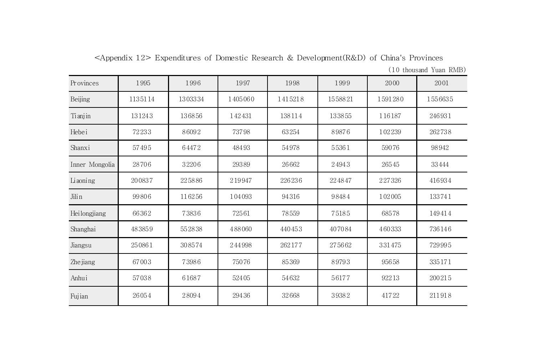|  |  | $\leq$ Appendix 12> Expenditures of Domestic Research & Development(R&D) of China's Provinces |  |  |
|--|--|-----------------------------------------------------------------------------------------------|--|--|
|  |  |                                                                                               |  |  |

|  | (10 thousand Yuan RMB) |  |  |  |
|--|------------------------|--|--|--|
|--|------------------------|--|--|--|

| Provinces      | 1995    | 1996    | 1997    | 1998    | 1999    | 2000    | 2001    |
|----------------|---------|---------|---------|---------|---------|---------|---------|
| Beijing        | 1135114 | 1303334 | 1405060 | 1415218 | 1558821 | 1591280 | 1556635 |
| Tianjin        | 131243  | 136856  | 142431  | 138114  | 133855  | 116187  | 246931  |
| Hebei          | 72233   | 86092   | 73798   | 63254   | 89876   | 102239  | 262738  |
| Shanxi         | 57495   | 64472   | 48493   | 54978   | 55361   | 59076   | 98942   |
| Inner Mongolia | 28706   | 32206   | 29389   | 26662   | 24943   | 26545   | 33444   |
| Liaoning       | 200837  | 225886  | 219947  | 226236  | 224847  | 227326  | 416934  |
| Jilin          | 99806   | 116256  | 104093  | 94316   | 98484   | 102005  | 133741  |
| Heilongjiang   | 66362   | 73836   | 72561   | 78559   | 75185   | 68578   | 149414  |
| Shanghai       | 483859  | 552838  | 488060  | 440453  | 407084  | 460333  | 736146  |
| Jiangsu        | 250861  | 308574  | 244998  | 262177  | 275662  | 331475  | 729995  |
| Zhe jiang      | 67003   | 73986   | 75076   | 85369   | 89793   | 95658   | 335171  |
| Anhui          | 57038   | 61687   | 52405   | 54632   | 56177   | 92213   | 200215  |
| Fujian         | 26054   | 28094   | 29436   | 32668   | 39382   | 41722   | 211918  |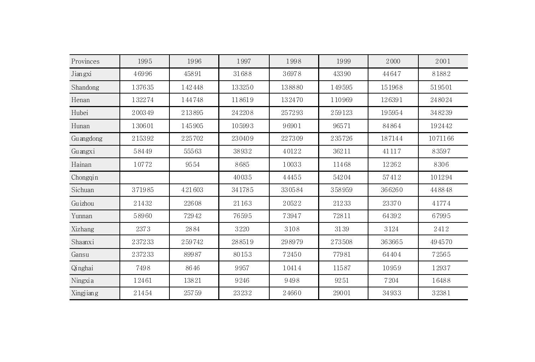| Provinces | 1995   | 1996   | 1997   | 1998   | 1999   | 2000   | 2001    |
|-----------|--------|--------|--------|--------|--------|--------|---------|
| Jiangxi   | 46996  | 45891  | 31688  | 36978  | 43390  | 44647  | 81882   |
| Shandong  | 137635 | 142448 | 133250 | 138880 | 149595 | 151968 | 519501  |
| Henan     | 132274 | 144748 | 118619 | 132470 | 110969 | 126391 | 248024  |
| Hubei     | 200349 | 213895 | 242208 | 257293 | 259123 | 195954 | 348239  |
| Hunan     | 130601 | 145905 | 105993 | 96901  | 96571  | 84864  | 192442  |
| Guangdong | 215392 | 225702 | 230409 | 227309 | 235726 | 187144 | 1071166 |
| Guangxi   | 58449  | 55563  | 38932  | 40122  | 36211  | 41117  | 83597   |
| Hainan    | 10772  | 9554   | 8685   | 10033  | 11468  | 12262  | 8306    |
| Chongqin  |        |        | 40035  | 44455  | 54204  | 57412  | 101294  |
| Sichuan   | 371985 | 421603 | 341785 | 330584 | 358959 | 366260 | 448848  |
| Guizhou   | 21432  | 22608  | 21163  | 20522  | 21233  | 23370  | 41774   |
| Yunnan    | 58960  | 72942  | 76595  | 73947  | 72811  | 64392  | 67995   |
| Xizhang   | 2373   | 2884   | 3220   | 3108   | 3139   | 3124   | 2412    |
| Shaanxi   | 237233 | 259742 | 288519 | 298979 | 273508 | 363665 | 494570  |
| Gansu     | 237233 | 89987  | 80153  | 72450  | 77981  | 64404  | 72565   |
| Qinghai   | 7498   | 8646   | 9957   | 10414  | 11587  | 10959  | 12937   |
| Ningxia   | 12461  | 13821  | 9246   | 9498   | 9251   | 7204   | 16488   |
| Xingjiang | 21454  | 25759  | 23232  | 24660  | 29001  | 34933  | 32381   |
|           |        |        |        |        |        |        |         |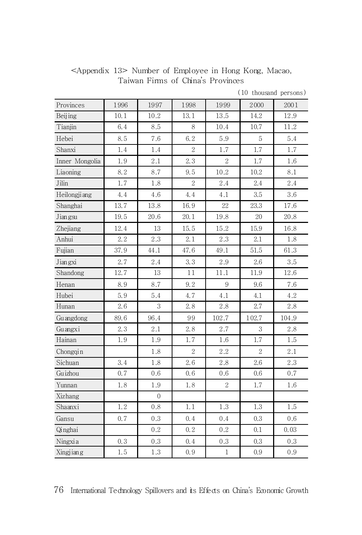| <appendix 13=""> Number of Employee in Hong Kong, Macao,</appendix> |  |                                   |  |  |
|---------------------------------------------------------------------|--|-----------------------------------|--|--|
|                                                                     |  | Taiwan Firms of China's Provinces |  |  |

| Provinces      | 1996    | 1997        | 1998           | 1999           | 2000       | 2001    |
|----------------|---------|-------------|----------------|----------------|------------|---------|
| Beijing        | 10.1    | 10.2        | 13.1           | 13.5           | 14.2       | 12.9    |
| Tianjin        | 6.4     | 8.5         | 8              | 10.4           | 10.7       | 11.2    |
| Hebei          | 8.5     | 7.6         | 6.2            | 5.9            | 5          | 5.4     |
| Shanxi         | 1.4     | 1.4         | $\overline{2}$ | 1.7            | 1.7        | 1.7     |
| Inner Mongolia | 1.9     | $2.1\,$     | 2.3            | $\sqrt{2}$     | 1.7        | 1.6     |
| Liaoning       | 8.2     | 8.7         | 9.5            | $10.2\,$       | 10.2       | 8.1     |
| Jilin          | $1.7\,$ | 1.8         | $\overline{2}$ | 2.4            | 2.4        | $2.4\,$ |
| Heilongji ang  | 4.4     | 4.6         | 4.4            | 4.1            | 3.5        | 3.6     |
| Shanghai       | 13.7    | 13.8        | 16.9           | 22             | 23.3       | 17.6    |
| Jiangsu        | 19.5    | 20.6        | 20.1           | 19.8           | 20         | 20.8    |
| Zhejiang       | 12.4    | 13          | 15.5           | 15.2           | 15.9       | 16.8    |
| Anhui          | 2.2     | 2.3         | 2.1            | 2.3            | 2.1        | 1.8     |
| Fujian         | 37.9    | 44.1        | 47.6           | 49.1           | 51.5       | 61.3    |
| Jiangxi        | 2.7     | 2.4         | 3.3            | 2.9            | 2.6        | 3.5     |
| Shandong       | 12.7    | 13          | 11             | 11.1           | 11.9       | 12.6    |
| Henan          | 8.9     | 8.7         | 9.2            | 9              | 9.6        | 7.6     |
| Hubei          | 5.9     | 5.4         | 4.7            | 4.1            | 4.1        | 4.2     |
| Hunan          | 2.6     | 3           | 2.8            | 2.8            | $2.7\,$    | 2.8     |
| Guangdong      | 89.6    | 96.4        | 99             | 102.7          | 102.7      | 104.9   |
| Guangxi        | 2.3     | $2.1\,$     | 2.8            | 2.7            | 3          | 2.8     |
| Hainan         | 1.9     | 1.9         | 1.7            | 1.6            | 1.7        | 1.5     |
| Chongqin       |         | 1.8         | $\sqrt{2}$     | 2.2            | $\sqrt{2}$ | 2.1     |
| Sichuan        | 3.4     | 1.8         | 2.6            | 2.8            | 2.6        | 2.3     |
| Guizhou        | 0.7     | 0.6         | 0.6            | 0.6            | 0.6        | 0.7     |
| Yunnan         | 1.8     | 1.9         | 1.8            | $\overline{2}$ | 1.7        | 1.6     |
| Xizhang        |         | $\mathbf 0$ |                |                |            |         |
| Shaanxi        | 1.2     | 0.8         | 1.1            | 1.3            | 1.3        | 1.5     |
| Gansu          | 0.7     | 0.3         | 0.4            | 0.4            | 0.3        | 0.6     |
| Qinghai        |         | 0.2         | 0.2            | 0.2            | 0.1        | 0.03    |
| Ningxia        | 0.3     | 0.3         | 0.4            | 0.3            | 0.3        | 0.3     |
| Xingjiang      | 1.5     | $1.3\,$     | 0.9            | $\,1\,$        | 0.9        | 0.9     |

(10 thousand persons)

76 International Technology Spillovers and its Effects on China's Economic Growth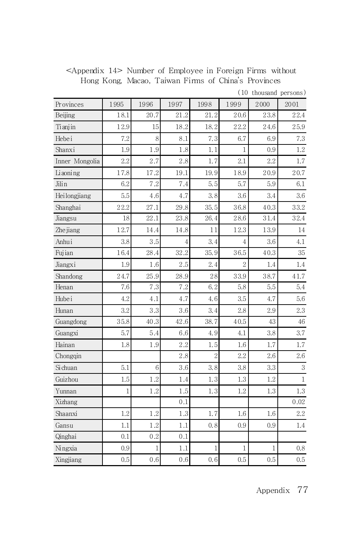<Appendix 14> Number of Employee in Foreign Firms without Hong Kong, Macao, Taiwan Firms of China's Provinces

| Provinces      | 1995 | 1996 | 1997 | 1998           | 1999         | 2000 | 2001 |
|----------------|------|------|------|----------------|--------------|------|------|
| Beijing        | 18.1 | 20.7 | 21.2 | 21.2           | 20.6         | 23.8 | 22.4 |
| Tianjin        | 12.9 | 15   | 18.2 | 18.2           | 22.2         | 24.6 | 25.9 |
| Hebei          | 7.2  | 8    | 8.1  | 7.3            | 6.7          | 6.9  | 7.3  |
| Shanxi         | 1.9  | 1.9  | 1.8  | 1.1            | 1            | 0.9  | 1.2  |
| Inner Mongolia | 2.2  | 2.7  | 2.8  | 1.7            | 2.1          | 2.2  | 1.7  |
| Li aoning      | 17.8 | 17.2 | 19.1 | 19.9           | 18.9         | 20.9 | 20.7 |
| Jilin          | 6.2  | 7.2  | 7.4  | 5.5            | 5.7          | 5.9  | 6.1  |
| Heilongjiang   | 5.5  | 4.6  | 4.7  | 3.8            | 3.6          | 3.4  | 3.6  |
| Shanghai       | 22.2 | 27.1 | 29.8 | 35.5           | 36.8         | 40.3 | 33.2 |
| Jiangsu        | 18   | 22.1 | 23.8 | 26.4           | 28.6         | 31.4 | 32.4 |
| Zhe jiang      | 12.7 | 14.4 | 14.8 | 11             | 12.3         | 13.9 | 14   |
| Anhui          | 3.8  | 3.5  | 4    | 3.4            | 4            | 3.6  | 4.1  |
| Fujian         | 16.4 | 28.4 | 32.2 | 35.9           | 36.5         | 40.3 | 35   |
| Jiangxi        | 1.9  | 1.6  | 2.5  | 2.4            | $\mathbf{2}$ | 1.4  | 1.4  |
| Shandong       | 24.7 | 25.9 | 28.9 | 28             | 33.9         | 38.7 | 41.7 |
| Henan          | 7.6  | 7.3  | 7.2  | 6.2            | 5.8          | 5.5  | 5.4  |
| Hube i         | 4.2  | 4.1  | 4.7  | 4.6            | 3.5          | 4.7  | 5.6  |
| Hunan          | 3.2  | 3.3  | 3.6  | 3,4            | 2.8          | 2.9  | 2.3  |
| Guangdong      | 35.8 | 40.3 | 42.6 | 38.7           | 40.5         | 43   | 46   |
| Guangxi        | 5.7  | 5.4  | 6.6  | 4.9            | 4.1          | 3.8  | 3.7  |
| Hainan         | 1.8  | 1.9  | 2.2  | 1.5            | 1.6          | 1.7  | 1.7  |
| Chongqin       |      |      | 2.8  | $\overline{2}$ | 2.2          | 2.6  | 2.6  |
| Si chuan       | 5.1  | 6    | 3.6  | 3.8            | 3.8          | 3.3  | 3    |
| Guizhou        | 1.5  | 1.2  | 1.4  | 1.3            | 1.3          | 1.2  | 1    |
| Yunnan         | 1    | 1.2  | 1.5  | 1.3            | 1.2          | 1.3  | 1.3  |
| Xizhang        |      |      | 0.1  |                |              |      | 0.02 |
| Shaanxi        | 1.2  | 1.2  | 1.3  | 1.7            | $1.6\,$      | 1.6  | 2.2  |
| Gansu          | 1.1  | 1.2  | 1.1  | 0.8            | 0.9          | 0.9  | 1.4  |
| Qinghai        | 0.1  | 0.2  | 0.1  |                |              |      |      |
| Ningxia        | 0.9  | 1    | 1.1  | 1              | 1            | 1    | 0.8  |
| Xingjiang      | 0.5  | 0.6  | 0.6  | 0.6            | 0.5          | 0.5  | 0.5  |

(10 thousand persons)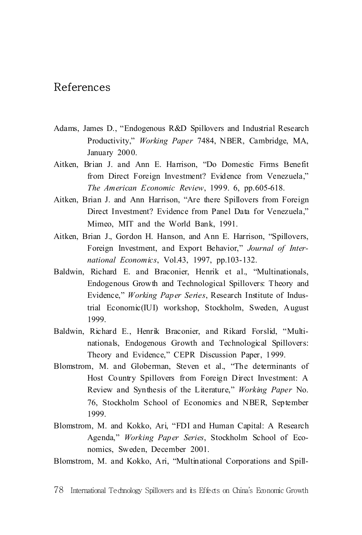## References

- Adams, James D., "Endogenous R&D Spillovers and Industrial Research Productivity," *Working Paper* 7484, NBER, Cambridge, MA, January 2000.
- Aitken, Brian J. and Ann E. Harrison, "Do Domestic Firms Benefit from Direct Foreign Investment? Evidence from Venezuela," *The American Economic Review*, 1999. 6, pp.605-618.
- Aitken, Brian J. and Ann Harrison, "Are there Spillovers from Foreign Direct Investment? Evidence from Panel Data for Venezuela," Mimeo, MIT and the World Bank, 1991.
- Aitken, Brian J., Gordon H. Hanson, and Ann E. Harrison, "Spillovers, Foreign Investment, and Export Behavior," *Journal of International Economics*, Vol.43, 1997, pp.103-132.
- Baldwin, Richard E. and Braconier, Henrik et al., "Multinationals, Endogenous Growth and Technological Spillovers: Theory and Evidence," *Working Paper Series*, Research Institute of Industrial Economic(IUI) workshop, Stockholm, Sweden, August 1999.
- Baldwin, Richard E., Henrik Braconier, and Rikard Forslid, "Multinationals, Endogenous Growth and Technological Spillovers: Theory and Evidence," CEPR Discussion Paper, 1999.
- Blomstrom, M. and Globerman, Steven et al., "The determinants of Host Country Spillovers from Foreign Direct Investment: A Review and Synthesis of the Literature," *Working Paper* No. 76, Stockholm School of Economics and NBER, September 1999.
- Blomstrom, M. and Kokko, Ari, "FDI and Human Capital: A Research Agenda," *Working Paper Series*, Stockholm School of Economics, Sweden, December 2001.
- Blomstrom, M. and Kokko, Ari, "Multinational Corporations and Spill-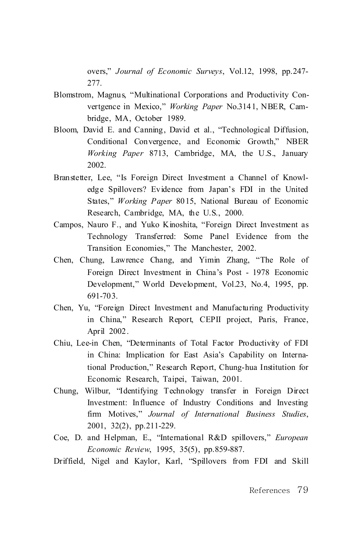overs," *Journal of Economic Surveys*, Vol.12, 1998, pp.247- 277.

- Blomstrom, Magnus, "Multinational Corporations and Productivity Convertgence in Mexico," *Working Paper* No.3141, NBER, Cambridge, MA, October 1989.
- Bloom, David E. and Canning, David et al., "Technological Diffusion, Conditional Convergence, and Economic Growth," NBER *Working Paper* 8713, Cambridge, MA, the U.S., January 2002.
- Branstetter, Lee, "Is Foreign Direct Investment a Channel of Knowledge Spillovers? Evidence from Japan's FDI in the United States," *Working Paper* 8015, National Bureau of Economic Research, Cambridge, MA, the U.S., 2000.
- Campos, Nauro F., and Yuko Kinoshita, "Foreign Direct Investment as Technology Transferred: Some Panel Evidence from the Transition Economies," The Manchester, 2002.
- Chen, Chung, Lawrence Chang, and Yimin Zhang, "The Role of Foreign Direct Investment in China's Post - 1978 Economic Development," World Development, Vol.23, No.4, 1995, pp. 691-703.
- Chen, Yu, "Foreign Direct Investment and Manufacturing Productivity in China," Research Report, CEPII project, Paris, France, April 2002.
- Chiu, Lee-in Chen, "Determinants of Total Factor Productivity of FDI in China: Implication for East Asia's Capability on International Production," Research Report, Chung-hua Institution for Economic Research, Taipei, Taiwan, 2001.
- Chung, Wilbur, "Identifying Technology transfer in Foreign Direct Investment: Influence of Industry Conditions and Investing firm Motives," *Journal of International Business Studies*, 2001, 32(2), pp.211-229.
- Coe, D. and Helpman, E., "International R&D spillovers," *European Economic Review*, 1995, 35(5), pp.859-887.
- Driffield, Nigel and Kaylor, Karl, "Spillovers from FDI and Skill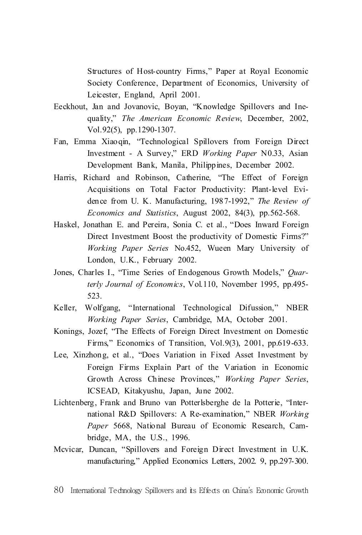Structures of Host-country Firms," Paper at Royal Economic Society Conference, Department of Economics, University of Leicester, England, April 2001.

- Eeckhout, Jan and Jovanovic, Boyan, "Knowledge Spillovers and Inequality," *The American Economic Review*, December, 2002, Vol.92(5), pp.1290-1307.
- Fan, Emma Xiaoqin, "Technological Spillovers from Foreign Direct Investment - A Survey," ERD *Working Paper* N0.33, Asian Development Bank, Manila, Philippines, December 2002.
- Harris, Richard and Robinson, Catherine, "The Effect of Foreign Acquisitions on Total Factor Productivity: Plant-level Evidence from U. K. Manufacturing, 1987-1992," *The Review of Economics and Statistics*, August 2002, 84(3), pp.562-568.
- Haskel, Jonathan E. and Pereira, Sonia C. et al., "Does Inward Foreign Direct Investment Boost the productivity of Domestic Firms?" *Working Paper Series* No.452, Wueen Mary University of London, U.K., February 2002.
- Jones, Charles I., "Time Series of Endogenous Growth Models," *Quarterly Journal of Economics*, Vol.110, November 1995, pp.495- 523.
- Keller, Wolfgang, "International Technological Difussion," NBER *Working Paper Series*, Cambridge, MA, October 2001.
- Konings, Jozef, "The Effects of Foreign Direct Investment on Domestic Firms," Economics of Transition, Vol.9(3), 2001, pp.619-633.
- Lee, Xinzhong, et al., "Does Variation in Fixed Asset Investment by Foreign Firms Explain Part of the Variation in Economic Growth Across Chinese Provinces," *Working Paper Series*, ICSEAD, Kitakyushu, Japan, June 2002.
- Lichtenberg, Frank and Bruno van Potterlsberghe de la Potterie, "International R&D Spillovers: A Re-examination," NBER *Working Paper* 5668, National Bureau of Economic Research, Cambridge, MA, the U.S., 1996.
- Mcvicar, Duncan, "Spillovers and Foreign Direct Investment in U.K. manufacturing," Applied Economics Letters, 2002. 9, pp.297-300.

<sup>80</sup> International Technology Spillovers and its Effects on China's Economic Growth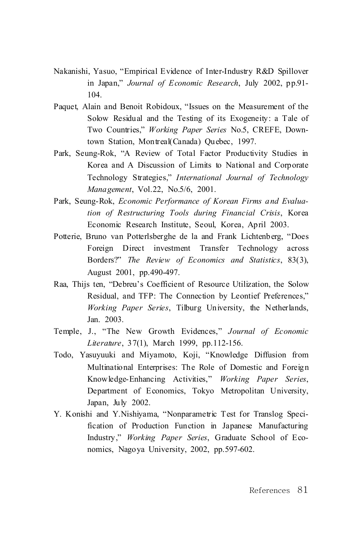- Nakanishi, Yasuo, "Empirical Evidence of Inter-Industry R&D Spillover in Japan," *Journal of Economic Research*, July 2002, pp.91- 104.
- Paquet, Alain and Benoit Robidoux, "Issues on the Measurement of the Solow Residual and the Testing of its Exogeneity: a Tale of Two Countries," *Working Paper Series* No.5, CREFE, Downtown Station, Montreal(Canada) Quebec, 1997.
- Park, Seung-Rok, "A Review of Total Factor Productivity Studies in Korea and A Discussion of Limits to National and Corporate Technology Strategies," *International Journal of Technology Management*, Vol.22, No.5/6, 2001.
- Park, Seung-Rok, *Economic Performance of Korean Firms and Evaluation of Restructuring Tools during Financial Crisis*, Korea Economic Research Institute, Seoul, Korea, April 2003.
- Potterie, Bruno van Potterlsberghe de la and Frank Lichtenberg, "Does Foreign Direct investment Transfer Technology across Borders?" *The Review of Economics and Statistics*, 83(3), August 2001, pp.490-497.
- Raa, Thijs ten, "Debreu's Coefficient of Resource Utilization, the Solow Residual, and TFP: The Connection by Leontief Preferences," *Working Paper Series*, Tilburg University, the Netherlands, Jan. 2003.
- Temple, J., "The New Growth Evidences," *Journal of Economic Literature*, 37(1), March 1999, pp.112-156.
- Todo, Yasuyuuki and Miyamoto, Koji, "Knowledge Diffusion from Multinational Enterprises: The Role of Domestic and Foreign Knowledge-Enhancing Activities," *Working Paper Series*, Department of Economics, Tokyo Metropolitan University, Japan, July 2002.
- Y. Konishi and Y.Nishiyama, "Nonparametric Test for Translog Specification of Production Function in Japanese Manufacturing Industry," *Working Paper Series*, Graduate School of Economics, Nagoya University, 2002, pp.597-602.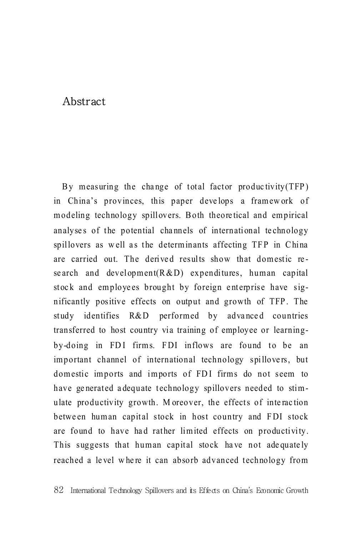## Abstract

By measuring the change of total factor productivity  $(TFP)$ in China's provinces, this paper develops a framework of modeling technology spillovers. Both theoretical and empirical analyses of the potential channels of international technology spillovers as well as the determinants affecting TFP in China are carried out. The derived results show that domestic research and development  $(R & D)$  expenditures, human capital stock and employees brought by foreign enterprise have significantly positive effects on output and growth of TFP. The study identifies R&D performed by advanced countries transferred to host country via training of employee or learningby-doing in FDI firms. FDI inflows are found to be an important channel of international technology spillovers, but domestic imports and imports of FDI firms do not seem to have generated adequate technology spillovers needed to stimulate productivity growth. Moreover, the effects of interaction between human capital stock in host country and FDI stock are found to have had rather limited effects on productivity. This suggests that human capital stock have not adequately reached a level where it can absorb advanced technology from